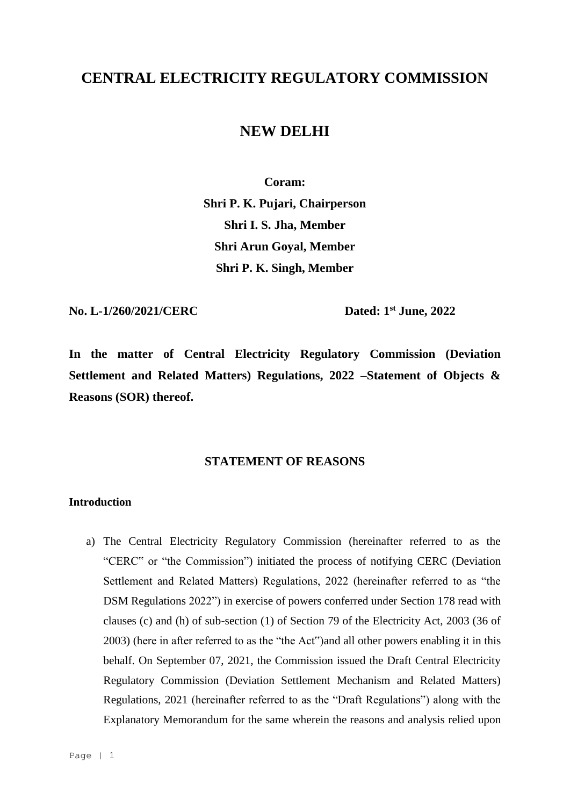# **CENTRAL ELECTRICITY REGULATORY COMMISSION**

# **NEW DELHI**

**Coram:**

**Shri P. K. Pujari, Chairperson Shri I. S. Jha, Member Shri Arun Goyal, Member Shri P. K. Singh, Member**

**No. L-1/260/2021/CERC** 

Dated: 1<sup>st</sup> June, 2022

**In the matter of Central Electricity Regulatory Commission (Deviation Settlement and Related Matters) Regulations, 2022 –Statement of Objects & Reasons (SOR) thereof.**

# **STATEMENT OF REASONS**

## **Introduction**

a) The Central Electricity Regulatory Commission (hereinafter referred to as the "CERC" or "the Commission") initiated the process of notifying CERC (Deviation Settlement and Related Matters) Regulations, 2022 (hereinafter referred to as "the DSM Regulations 2022") in exercise of powers conferred under Section 178 read with clauses (c) and (h) of sub-section (1) of Section 79 of the Electricity Act, 2003 (36 of 2003) (here in after referred to as the "the Act")and all other powers enabling it in this behalf. On September 07, 2021, the Commission issued the Draft Central Electricity Regulatory Commission (Deviation Settlement Mechanism and Related Matters) Regulations, 2021 (hereinafter referred to as the "Draft Regulations") along with the Explanatory Memorandum for the same wherein the reasons and analysis relied upon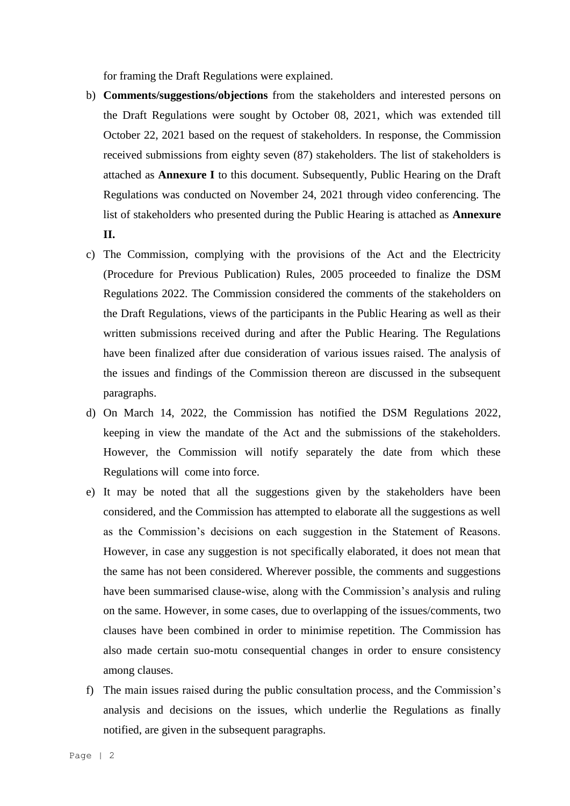for framing the Draft Regulations were explained.

- b) **Comments/suggestions/objections** from the stakeholders and interested persons on the Draft Regulations were sought by October 08, 2021, which was extended till October 22, 2021 based on the request of stakeholders. In response, the Commission received submissions from eighty seven (87) stakeholders. The list of stakeholders is attached as **Annexure I** to this document. Subsequently, Public Hearing on the Draft Regulations was conducted on November 24, 2021 through video conferencing. The list of stakeholders who presented during the Public Hearing is attached as **Annexure II.**
- c) The Commission, complying with the provisions of the Act and the Electricity (Procedure for Previous Publication) Rules, 2005 proceeded to finalize the DSM Regulations 2022. The Commission considered the comments of the stakeholders on the Draft Regulations, views of the participants in the Public Hearing as well as their written submissions received during and after the Public Hearing. The Regulations have been finalized after due consideration of various issues raised. The analysis of the issues and findings of the Commission thereon are discussed in the subsequent paragraphs.
- d) On March 14, 2022, the Commission has notified the DSM Regulations 2022, keeping in view the mandate of the Act and the submissions of the stakeholders. However, the Commission will notify separately the date from which these Regulations will come into force.
- e) It may be noted that all the suggestions given by the stakeholders have been considered, and the Commission has attempted to elaborate all the suggestions as well as the Commission's decisions on each suggestion in the Statement of Reasons. However, in case any suggestion is not specifically elaborated, it does not mean that the same has not been considered. Wherever possible, the comments and suggestions have been summarised clause-wise, along with the Commission's analysis and ruling on the same. However, in some cases, due to overlapping of the issues/comments, two clauses have been combined in order to minimise repetition. The Commission has also made certain suo-motu consequential changes in order to ensure consistency among clauses.
- f) The main issues raised during the public consultation process, and the Commission's analysis and decisions on the issues, which underlie the Regulations as finally notified, are given in the subsequent paragraphs.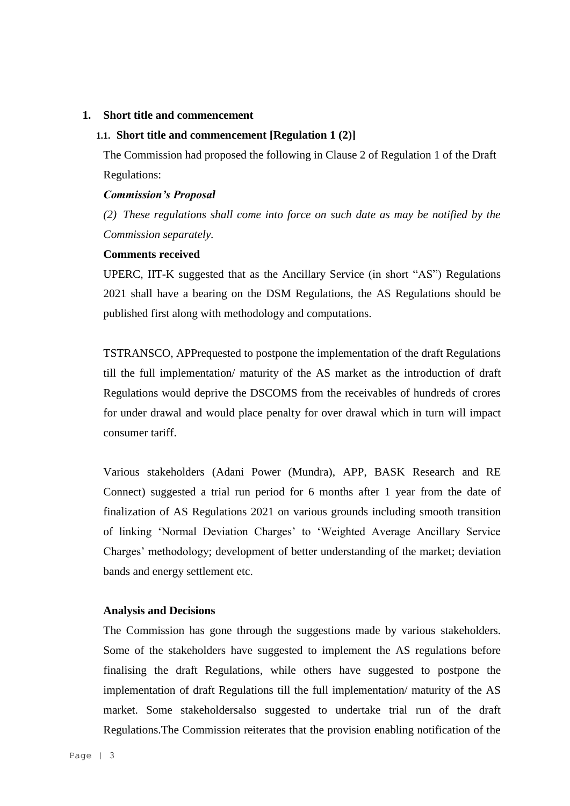## **1. Short title and commencement**

### **1.1. Short title and commencement [Regulation 1 (2)]**

The Commission had proposed the following in Clause 2 of Regulation 1 of the Draft Regulations:

#### *Commission's Proposal*

*(2) These regulations shall come into force on such date as may be notified by the Commission separately.*

### **Comments received**

UPERC, IIT-K suggested that as the Ancillary Service (in short "AS") Regulations 2021 shall have a bearing on the DSM Regulations, the AS Regulations should be published first along with methodology and computations.

TSTRANSCO, APPrequested to postpone the implementation of the draft Regulations till the full implementation/ maturity of the AS market as the introduction of draft Regulations would deprive the DSCOMS from the receivables of hundreds of crores for under drawal and would place penalty for over drawal which in turn will impact consumer tariff.

Various stakeholders (Adani Power (Mundra), APP, BASK Research and RE Connect) suggested a trial run period for 6 months after 1 year from the date of finalization of AS Regulations 2021 on various grounds including smooth transition of linking 'Normal Deviation Charges' to 'Weighted Average Ancillary Service Charges' methodology; development of better understanding of the market; deviation bands and energy settlement etc.

#### **Analysis and Decisions**

The Commission has gone through the suggestions made by various stakeholders. Some of the stakeholders have suggested to implement the AS regulations before finalising the draft Regulations, while others have suggested to postpone the implementation of draft Regulations till the full implementation/ maturity of the AS market. Some stakeholdersalso suggested to undertake trial run of the draft Regulations.The Commission reiterates that the provision enabling notification of the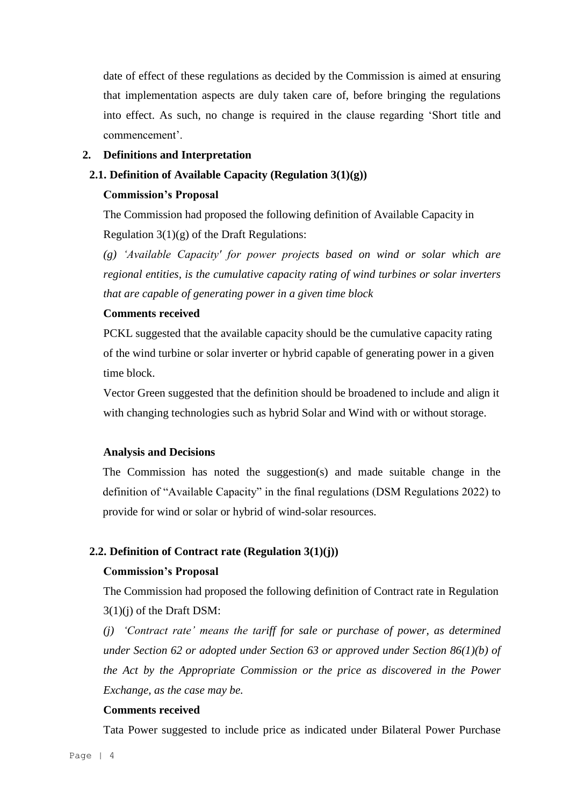date of effect of these regulations as decided by the Commission is aimed at ensuring that implementation aspects are duly taken care of, before bringing the regulations into effect. As such, no change is required in the clause regarding 'Short title and commencement'.

## **2. Definitions and Interpretation**

## **2.1. Definition of Available Capacity (Regulation 3(1)(g))**

### **Commission's Proposal**

The Commission had proposed the following definition of Available Capacity in Regulation  $3(1)(g)$  of the Draft Regulations:

*(g) 'Available Capacity' for power projects based on wind or solar which are regional entities, is the cumulative capacity rating of wind turbines or solar inverters that are capable of generating power in a given time block* 

#### **Comments received**

PCKL suggested that the available capacity should be the cumulative capacity rating of the wind turbine or solar inverter or hybrid capable of generating power in a given time block.

Vector Green suggested that the definition should be broadened to include and align it with changing technologies such as hybrid Solar and Wind with or without storage.

#### **Analysis and Decisions**

The Commission has noted the suggestion(s) and made suitable change in the definition of "Available Capacity" in the final regulations (DSM Regulations 2022) to provide for wind or solar or hybrid of wind-solar resources.

## **2.2. Definition of Contract rate (Regulation 3(1)(j))**

# **Commission's Proposal**

The Commission had proposed the following definition of Contract rate in Regulation 3(1)(j) of the Draft DSM:

*(j) 'Contract rate' means the tariff for sale or purchase of power, as determined under Section 62 or adopted under Section 63 or approved under Section 86(1)(b) of the Act by the Appropriate Commission or the price as discovered in the Power Exchange, as the case may be.*

# **Comments received**

Tata Power suggested to include price as indicated under Bilateral Power Purchase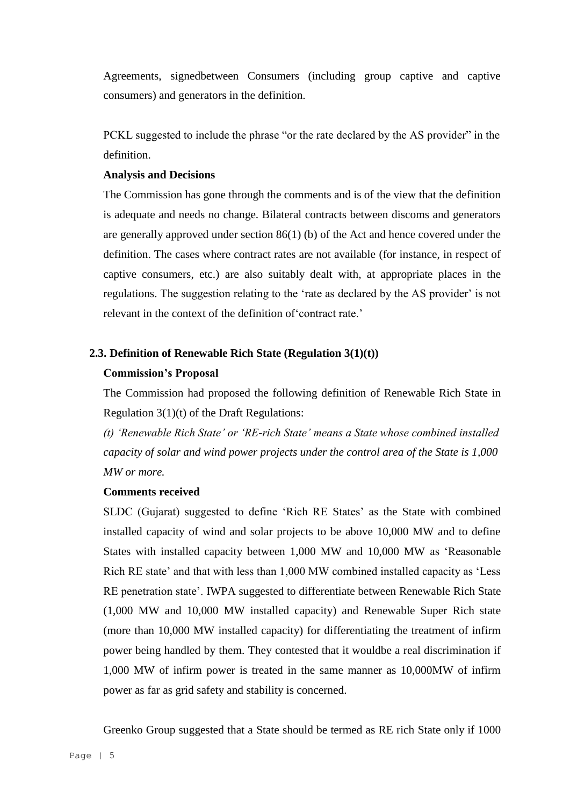Agreements, signedbetween Consumers (including group captive and captive consumers) and generators in the definition.

PCKL suggested to include the phrase "or the rate declared by the AS provider" in the definition.

## **Analysis and Decisions**

The Commission has gone through the comments and is of the view that the definition is adequate and needs no change. Bilateral contracts between discoms and generators are generally approved under section 86(1) (b) of the Act and hence covered under the definition. The cases where contract rates are not available (for instance, in respect of captive consumers, etc.) are also suitably dealt with, at appropriate places in the regulations. The suggestion relating to the 'rate as declared by the AS provider' is not relevant in the context of the definition of'contract rate.'

# **2.3. Definition of Renewable Rich State (Regulation 3(1)(t))**

# **Commission's Proposal**

The Commission had proposed the following definition of Renewable Rich State in Regulation 3(1)(t) of the Draft Regulations:

*(t) 'Renewable Rich State' or 'RE-rich State' means a State whose combined installed capacity of solar and wind power projects under the control area of the State is 1,000 MW or more.*

# **Comments received**

SLDC (Gujarat) suggested to define 'Rich RE States' as the State with combined installed capacity of wind and solar projects to be above 10,000 MW and to define States with installed capacity between 1,000 MW and 10,000 MW as 'Reasonable Rich RE state' and that with less than 1,000 MW combined installed capacity as 'Less RE penetration state'. IWPA suggested to differentiate between Renewable Rich State (1,000 MW and 10,000 MW installed capacity) and Renewable Super Rich state (more than 10,000 MW installed capacity) for differentiating the treatment of infirm power being handled by them. They contested that it wouldbe a real discrimination if 1,000 MW of infirm power is treated in the same manner as 10,000MW of infirm power as far as grid safety and stability is concerned.

Greenko Group suggested that a State should be termed as RE rich State only if 1000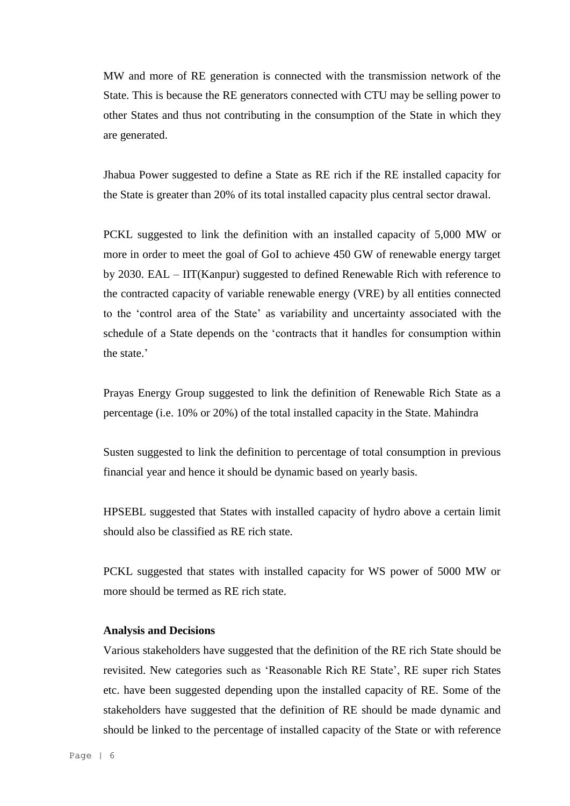MW and more of RE generation is connected with the transmission network of the State. This is because the RE generators connected with CTU may be selling power to other States and thus not contributing in the consumption of the State in which they are generated.

Jhabua Power suggested to define a State as RE rich if the RE installed capacity for the State is greater than 20% of its total installed capacity plus central sector drawal.

PCKL suggested to link the definition with an installed capacity of 5,000 MW or more in order to meet the goal of GoI to achieve 450 GW of renewable energy target by 2030. EAL – IIT(Kanpur) suggested to defined Renewable Rich with reference to the contracted capacity of variable renewable energy (VRE) by all entities connected to the 'control area of the State' as variability and uncertainty associated with the schedule of a State depends on the 'contracts that it handles for consumption within the state.'

Prayas Energy Group suggested to link the definition of Renewable Rich State as a percentage (i.e. 10% or 20%) of the total installed capacity in the State. Mahindra

Susten suggested to link the definition to percentage of total consumption in previous financial year and hence it should be dynamic based on yearly basis.

HPSEBL suggested that States with installed capacity of hydro above a certain limit should also be classified as RE rich state.

PCKL suggested that states with installed capacity for WS power of 5000 MW or more should be termed as RE rich state.

#### **Analysis and Decisions**

Various stakeholders have suggested that the definition of the RE rich State should be revisited. New categories such as 'Reasonable Rich RE State', RE super rich States etc. have been suggested depending upon the installed capacity of RE. Some of the stakeholders have suggested that the definition of RE should be made dynamic and should be linked to the percentage of installed capacity of the State or with reference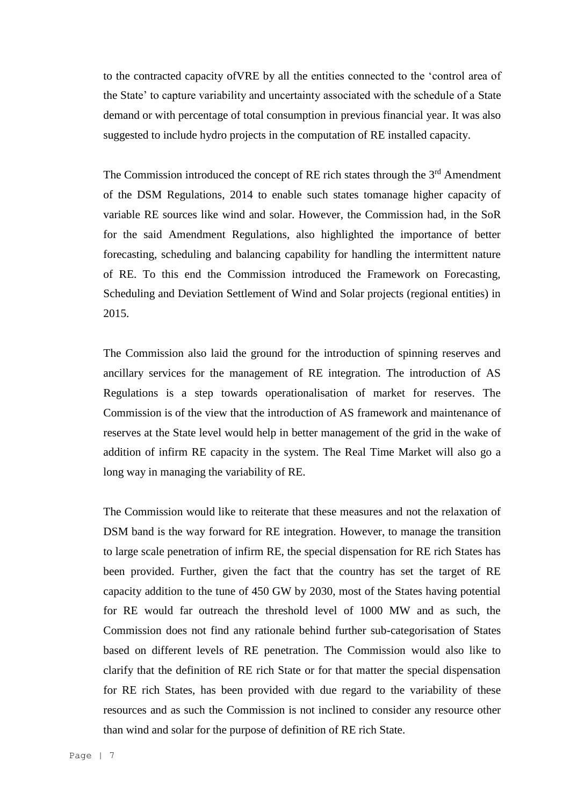to the contracted capacity ofVRE by all the entities connected to the 'control area of the State' to capture variability and uncertainty associated with the schedule of a State demand or with percentage of total consumption in previous financial year. It was also suggested to include hydro projects in the computation of RE installed capacity.

The Commission introduced the concept of RE rich states through the  $3<sup>rd</sup>$  Amendment of the DSM Regulations, 2014 to enable such states tomanage higher capacity of variable RE sources like wind and solar. However, the Commission had, in the SoR for the said Amendment Regulations, also highlighted the importance of better forecasting, scheduling and balancing capability for handling the intermittent nature of RE. To this end the Commission introduced the Framework on Forecasting, Scheduling and Deviation Settlement of Wind and Solar projects (regional entities) in 2015.

The Commission also laid the ground for the introduction of spinning reserves and ancillary services for the management of RE integration. The introduction of AS Regulations is a step towards operationalisation of market for reserves. The Commission is of the view that the introduction of AS framework and maintenance of reserves at the State level would help in better management of the grid in the wake of addition of infirm RE capacity in the system. The Real Time Market will also go a long way in managing the variability of RE.

The Commission would like to reiterate that these measures and not the relaxation of DSM band is the way forward for RE integration. However, to manage the transition to large scale penetration of infirm RE, the special dispensation for RE rich States has been provided. Further, given the fact that the country has set the target of RE capacity addition to the tune of 450 GW by 2030, most of the States having potential for RE would far outreach the threshold level of 1000 MW and as such, the Commission does not find any rationale behind further sub-categorisation of States based on different levels of RE penetration. The Commission would also like to clarify that the definition of RE rich State or for that matter the special dispensation for RE rich States, has been provided with due regard to the variability of these resources and as such the Commission is not inclined to consider any resource other than wind and solar for the purpose of definition of RE rich State.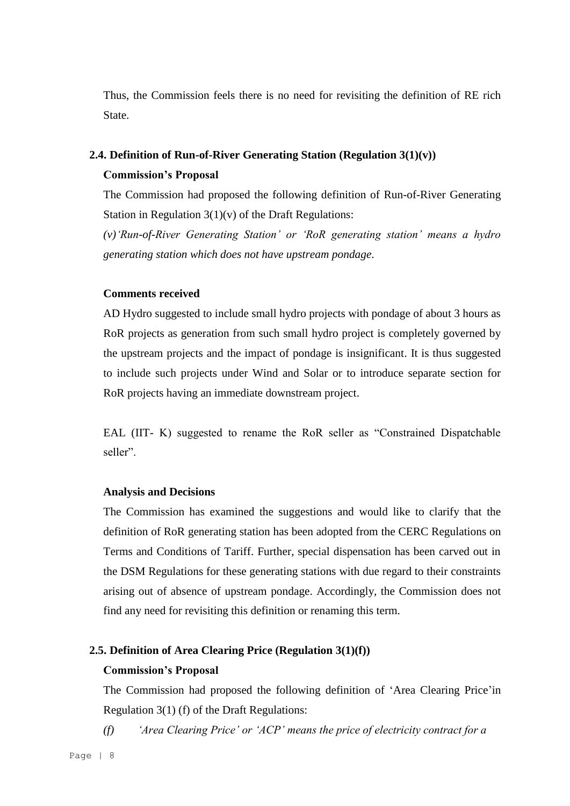Thus, the Commission feels there is no need for revisiting the definition of RE rich State.

## **2.4. Definition of Run-of-River Generating Station (Regulation 3(1)(v))**

#### **Commission's Proposal**

The Commission had proposed the following definition of Run-of-River Generating Station in Regulation  $3(1)(v)$  of the Draft Regulations:

*(v)'Run-of-River Generating Station' or 'RoR generating station' means a hydro generating station which does not have upstream pondage.*

#### **Comments received**

AD Hydro suggested to include small hydro projects with pondage of about 3 hours as RoR projects as generation from such small hydro project is completely governed by the upstream projects and the impact of pondage is insignificant. It is thus suggested to include such projects under Wind and Solar or to introduce separate section for RoR projects having an immediate downstream project.

EAL (IIT- K) suggested to rename the RoR seller as "Constrained Dispatchable seller".

### **Analysis and Decisions**

The Commission has examined the suggestions and would like to clarify that the definition of RoR generating station has been adopted from the CERC Regulations on Terms and Conditions of Tariff. Further, special dispensation has been carved out in the DSM Regulations for these generating stations with due regard to their constraints arising out of absence of upstream pondage. Accordingly, the Commission does not find any need for revisiting this definition or renaming this term.

# **2.5. Definition of Area Clearing Price (Regulation 3(1)(f))**

### **Commission's Proposal**

The Commission had proposed the following definition of 'Area Clearing Price'in Regulation 3(1) (f) of the Draft Regulations:

*(f) 'Area Clearing Price' or 'ACP' means the price of electricity contract for a*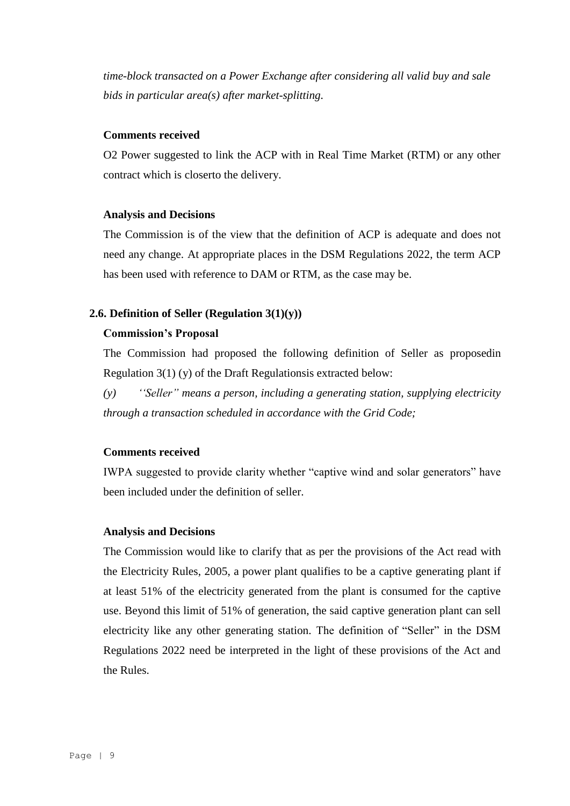*time-block transacted on a Power Exchange after considering all valid buy and sale bids in particular area(s) after market-splitting.*

### **Comments received**

O2 Power suggested to link the ACP with in Real Time Market (RTM) or any other contract which is closerto the delivery.

## **Analysis and Decisions**

The Commission is of the view that the definition of ACP is adequate and does not need any change. At appropriate places in the DSM Regulations 2022, the term ACP has been used with reference to DAM or RTM, as the case may be.

# **2.6. Definition of Seller (Regulation 3(1)(y))**

## **Commission's Proposal**

The Commission had proposed the following definition of Seller as proposedin Regulation 3(1) (y) of the Draft Regulationsis extracted below:

*(y) ''Seller" means a person, including a generating station, supplying electricity through a transaction scheduled in accordance with the Grid Code;*

# **Comments received**

IWPA suggested to provide clarity whether "captive wind and solar generators" have been included under the definition of seller.

#### **Analysis and Decisions**

The Commission would like to clarify that as per the provisions of the Act read with the Electricity Rules, 2005, a power plant qualifies to be a captive generating plant if at least 51% of the electricity generated from the plant is consumed for the captive use. Beyond this limit of 51% of generation, the said captive generation plant can sell electricity like any other generating station. The definition of "Seller" in the DSM Regulations 2022 need be interpreted in the light of these provisions of the Act and the Rules.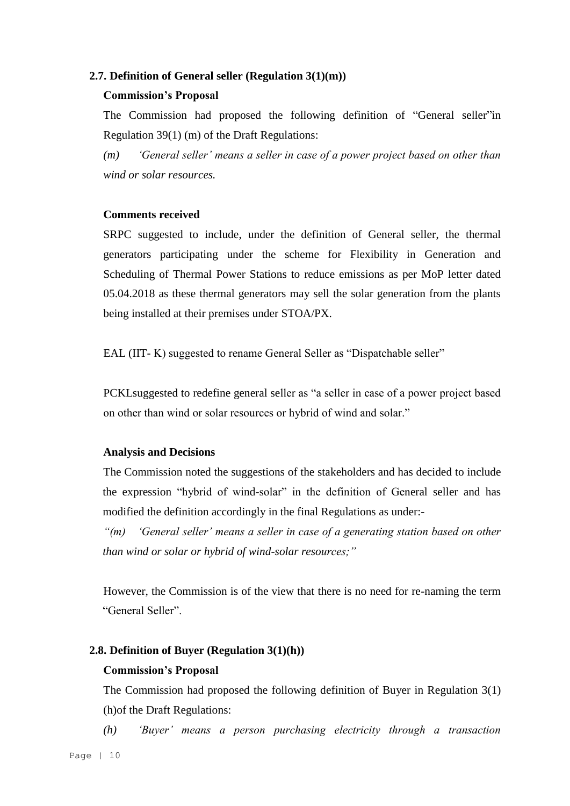# **2.7. Definition of General seller (Regulation 3(1)(m))**

# **Commission's Proposal**

The Commission had proposed the following definition of "General seller"in Regulation 39(1) (m) of the Draft Regulations:

*(m) 'General seller' means a seller in case of a power project based on other than wind or solar resources.*

# **Comments received**

SRPC suggested to include, under the definition of General seller, the thermal generators participating under the scheme for Flexibility in Generation and Scheduling of Thermal Power Stations to reduce emissions as per MoP letter dated 05.04.2018 as these thermal generators may sell the solar generation from the plants being installed at their premises under STOA/PX.

EAL (IIT- K) suggested to rename General Seller as "Dispatchable seller"

PCKLsuggested to redefine general seller as "a seller in case of a power project based on other than wind or solar resources or hybrid of wind and solar."

# **Analysis and Decisions**

The Commission noted the suggestions of the stakeholders and has decided to include the expression "hybrid of wind-solar" in the definition of General seller and has modified the definition accordingly in the final Regulations as under:-

*"(m) 'General seller' means a seller in case of a generating station based on other than wind or solar or hybrid of wind-solar resources;"*

However, the Commission is of the view that there is no need for re-naming the term "General Seller".

# **2.8. Definition of Buyer (Regulation 3(1)(h))**

# **Commission's Proposal**

The Commission had proposed the following definition of Buyer in Regulation 3(1) (h)of the Draft Regulations:

*(h) 'Buyer' means a person purchasing electricity through a transaction*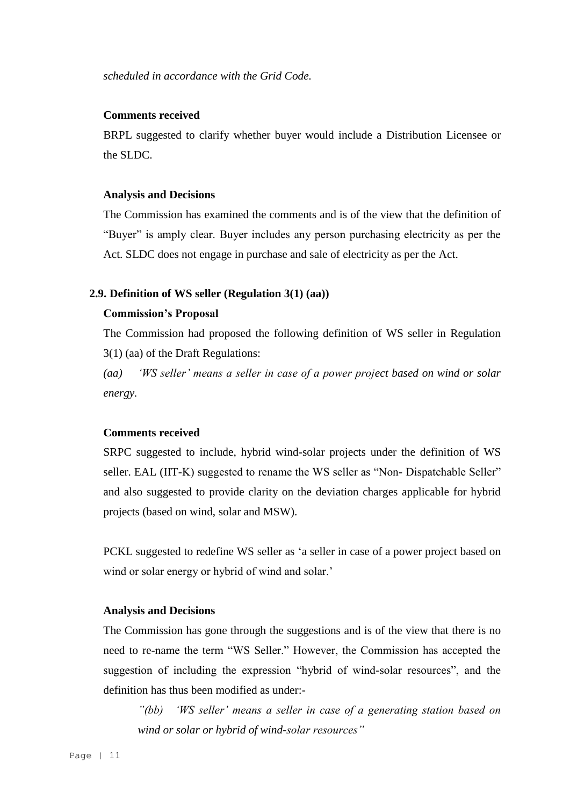*scheduled in accordance with the Grid Code.*

#### **Comments received**

BRPL suggested to clarify whether buyer would include a Distribution Licensee or the SLDC.

## **Analysis and Decisions**

The Commission has examined the comments and is of the view that the definition of "Buyer" is amply clear. Buyer includes any person purchasing electricity as per the Act. SLDC does not engage in purchase and sale of electricity as per the Act.

# **2.9. Definition of WS seller (Regulation 3(1) (aa))**

## **Commission's Proposal**

The Commission had proposed the following definition of WS seller in Regulation 3(1) (aa) of the Draft Regulations:

*(aa) 'WS seller' means a seller in case of a power project based on wind or solar energy.*

#### **Comments received**

SRPC suggested to include, hybrid wind-solar projects under the definition of WS seller. EAL (IIT-K) suggested to rename the WS seller as "Non-Dispatchable Seller" and also suggested to provide clarity on the deviation charges applicable for hybrid projects (based on wind, solar and MSW).

PCKL suggested to redefine WS seller as 'a seller in case of a power project based on wind or solar energy or hybrid of wind and solar.'

#### **Analysis and Decisions**

The Commission has gone through the suggestions and is of the view that there is no need to re-name the term "WS Seller." However, the Commission has accepted the suggestion of including the expression "hybrid of wind-solar resources", and the definition has thus been modified as under:-

*"(bb) 'WS seller' means a seller in case of a generating station based on wind or solar or hybrid of wind-solar resources"*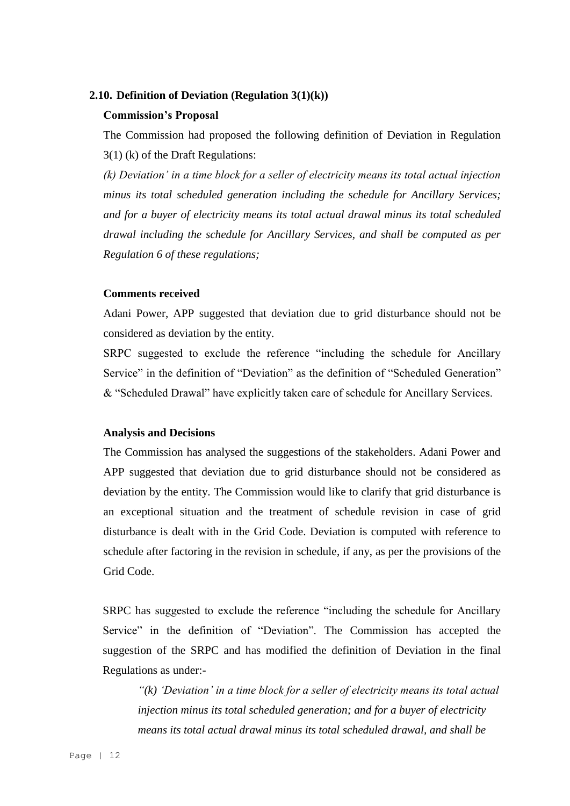### **2.10. Definition of Deviation (Regulation 3(1)(k))**

### **Commission's Proposal**

The Commission had proposed the following definition of Deviation in Regulation 3(1) (k) of the Draft Regulations:

*(k) Deviation' in a time block for a seller of electricity means its total actual injection minus its total scheduled generation including the schedule for Ancillary Services; and for a buyer of electricity means its total actual drawal minus its total scheduled drawal including the schedule for Ancillary Services, and shall be computed as per Regulation 6 of these regulations;*

#### **Comments received**

Adani Power, APP suggested that deviation due to grid disturbance should not be considered as deviation by the entity.

SRPC suggested to exclude the reference "including the schedule for Ancillary Service" in the definition of "Deviation" as the definition of "Scheduled Generation" & "Scheduled Drawal" have explicitly taken care of schedule for Ancillary Services.

#### **Analysis and Decisions**

The Commission has analysed the suggestions of the stakeholders. Adani Power and APP suggested that deviation due to grid disturbance should not be considered as deviation by the entity. The Commission would like to clarify that grid disturbance is an exceptional situation and the treatment of schedule revision in case of grid disturbance is dealt with in the Grid Code. Deviation is computed with reference to schedule after factoring in the revision in schedule, if any, as per the provisions of the Grid Code.

SRPC has suggested to exclude the reference "including the schedule for Ancillary Service" in the definition of "Deviation". The Commission has accepted the suggestion of the SRPC and has modified the definition of Deviation in the final Regulations as under:-

*"(k) 'Deviation' in a time block for a seller of electricity means its total actual injection minus its total scheduled generation; and for a buyer of electricity means its total actual drawal minus its total scheduled drawal, and shall be*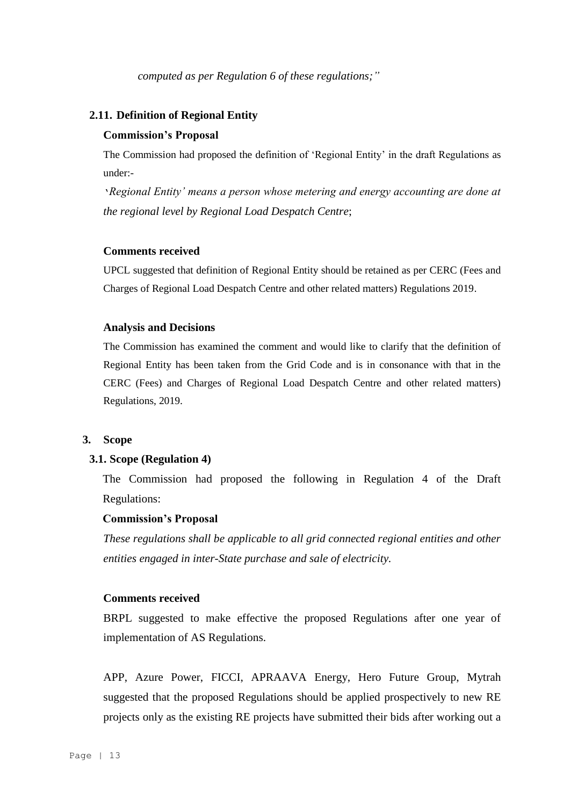#### **2.11. Definition of Regional Entity**

#### **Commission's Proposal**

The Commission had proposed the definition of 'Regional Entity' in the draft Regulations as under:-

'*Regional Entity' means a person whose metering and energy accounting are done at the regional level by Regional Load Despatch Centre*;

#### **Comments received**

UPCL suggested that definition of Regional Entity should be retained as per CERC (Fees and Charges of Regional Load Despatch Centre and other related matters) Regulations 2019.

#### **Analysis and Decisions**

The Commission has examined the comment and would like to clarify that the definition of Regional Entity has been taken from the Grid Code and is in consonance with that in the CERC (Fees) and Charges of Regional Load Despatch Centre and other related matters) Regulations, 2019.

# **3. Scope**

### **3.1. Scope (Regulation 4)**

The Commission had proposed the following in Regulation 4 of the Draft Regulations:

#### **Commission's Proposal**

*These regulations shall be applicable to all grid connected regional entities and other entities engaged in inter-State purchase and sale of electricity.* 

#### **Comments received**

BRPL suggested to make effective the proposed Regulations after one year of implementation of AS Regulations.

APP, Azure Power, FICCI, APRAAVA Energy, Hero Future Group, Mytrah suggested that the proposed Regulations should be applied prospectively to new RE projects only as the existing RE projects have submitted their bids after working out a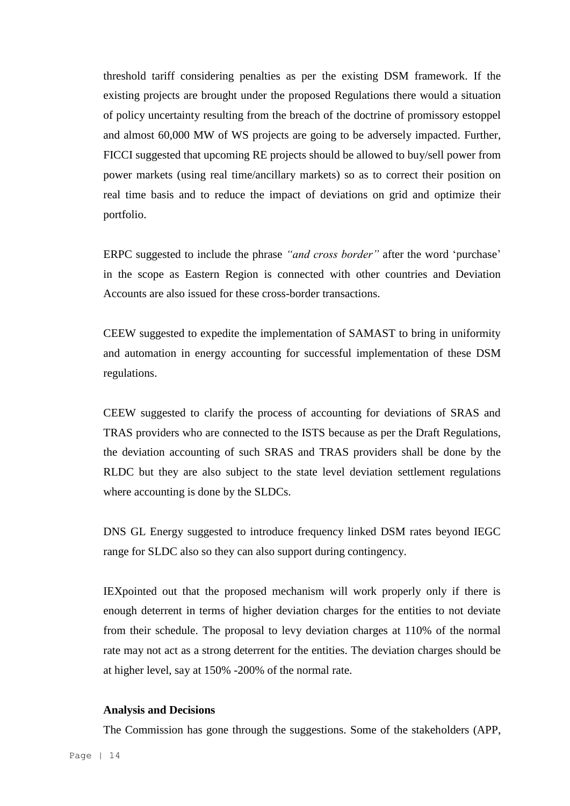threshold tariff considering penalties as per the existing DSM framework. If the existing projects are brought under the proposed Regulations there would a situation of policy uncertainty resulting from the breach of the doctrine of promissory estoppel and almost 60,000 MW of WS projects are going to be adversely impacted. Further, FICCI suggested that upcoming RE projects should be allowed to buy/sell power from power markets (using real time/ancillary markets) so as to correct their position on real time basis and to reduce the impact of deviations on grid and optimize their portfolio.

ERPC suggested to include the phrase *"and cross border"* after the word 'purchase' in the scope as Eastern Region is connected with other countries and Deviation Accounts are also issued for these cross-border transactions.

CEEW suggested to expedite the implementation of SAMAST to bring in uniformity and automation in energy accounting for successful implementation of these DSM regulations.

CEEW suggested to clarify the process of accounting for deviations of SRAS and TRAS providers who are connected to the ISTS because as per the Draft Regulations, the deviation accounting of such SRAS and TRAS providers shall be done by the RLDC but they are also subject to the state level deviation settlement regulations where accounting is done by the SLDCs.

DNS GL Energy suggested to introduce frequency linked DSM rates beyond IEGC range for SLDC also so they can also support during contingency.

IEXpointed out that the proposed mechanism will work properly only if there is enough deterrent in terms of higher deviation charges for the entities to not deviate from their schedule. The proposal to levy deviation charges at 110% of the normal rate may not act as a strong deterrent for the entities. The deviation charges should be at higher level, say at 150% -200% of the normal rate.

#### **Analysis and Decisions**

The Commission has gone through the suggestions. Some of the stakeholders (APP,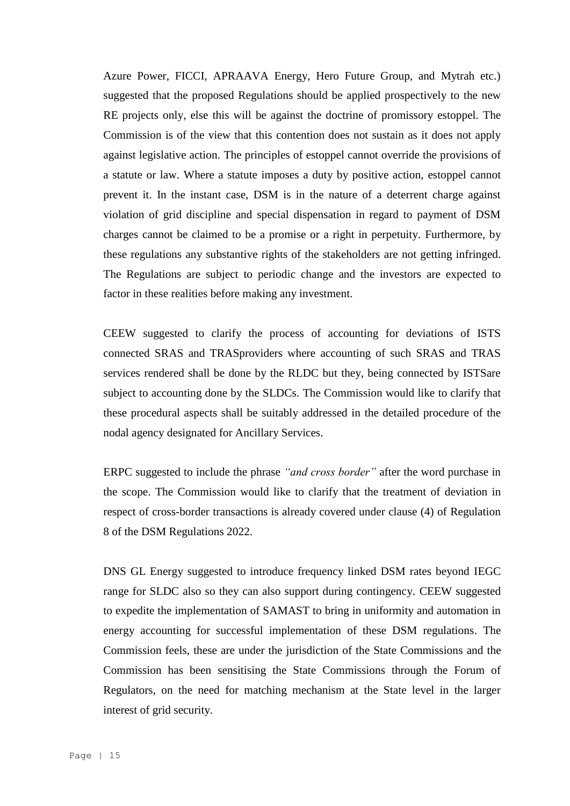Azure Power, FICCI, APRAAVA Energy, Hero Future Group, and Mytrah etc.) suggested that the proposed Regulations should be applied prospectively to the new RE projects only, else this will be against the doctrine of promissory estoppel*.* The Commission is of the view that this contention does not sustain as it does not apply against legislative action. The principles of estoppel cannot override the provisions of a statute or law. Where a statute imposes a duty by positive action, estoppel cannot prevent it. In the instant case, DSM is in the nature of a deterrent charge against violation of grid discipline and special dispensation in regard to payment of DSM charges cannot be claimed to be a promise or a right in perpetuity. Furthermore, by these regulations any substantive rights of the stakeholders are not getting infringed. The Regulations are subject to periodic change and the investors are expected to factor in these realities before making any investment.

CEEW suggested to clarify the process of accounting for deviations of ISTS connected SRAS and TRASproviders where accounting of such SRAS and TRAS services rendered shall be done by the RLDC but they, being connected by ISTSare subject to accounting done by the SLDCs. The Commission would like to clarify that these procedural aspects shall be suitably addressed in the detailed procedure of the nodal agency designated for Ancillary Services.

ERPC suggested to include the phrase *"and cross border"* after the word purchase in the scope. The Commission would like to clarify that the treatment of deviation in respect of cross-border transactions is already covered under clause (4) of Regulation 8 of the DSM Regulations 2022.

DNS GL Energy suggested to introduce frequency linked DSM rates beyond IEGC range for SLDC also so they can also support during contingency. CEEW suggested to expedite the implementation of SAMAST to bring in uniformity and automation in energy accounting for successful implementation of these DSM regulations. The Commission feels, these are under the jurisdiction of the State Commissions and the Commission has been sensitising the State Commissions through the Forum of Regulators, on the need for matching mechanism at the State level in the larger interest of grid security.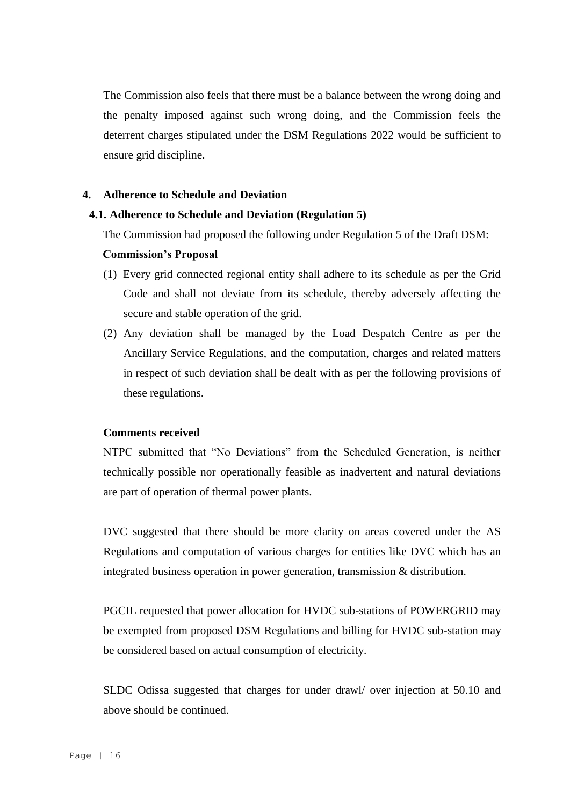The Commission also feels that there must be a balance between the wrong doing and the penalty imposed against such wrong doing, and the Commission feels the deterrent charges stipulated under the DSM Regulations 2022 would be sufficient to ensure grid discipline.

# **4. Adherence to Schedule and Deviation**

# **4.1. Adherence to Schedule and Deviation (Regulation 5)**

The Commission had proposed the following under Regulation 5 of the Draft DSM:

# **Commission's Proposal**

- (1) Every grid connected regional entity shall adhere to its schedule as per the Grid Code and shall not deviate from its schedule, thereby adversely affecting the secure and stable operation of the grid.
- (2) Any deviation shall be managed by the Load Despatch Centre as per the Ancillary Service Regulations, and the computation, charges and related matters in respect of such deviation shall be dealt with as per the following provisions of these regulations.

# **Comments received**

NTPC submitted that "No Deviations" from the Scheduled Generation, is neither technically possible nor operationally feasible as inadvertent and natural deviations are part of operation of thermal power plants.

DVC suggested that there should be more clarity on areas covered under the AS Regulations and computation of various charges for entities like DVC which has an integrated business operation in power generation, transmission & distribution.

PGCIL requested that power allocation for HVDC sub-stations of POWERGRID may be exempted from proposed DSM Regulations and billing for HVDC sub-station may be considered based on actual consumption of electricity.

SLDC Odissa suggested that charges for under drawl/ over injection at 50.10 and above should be continued.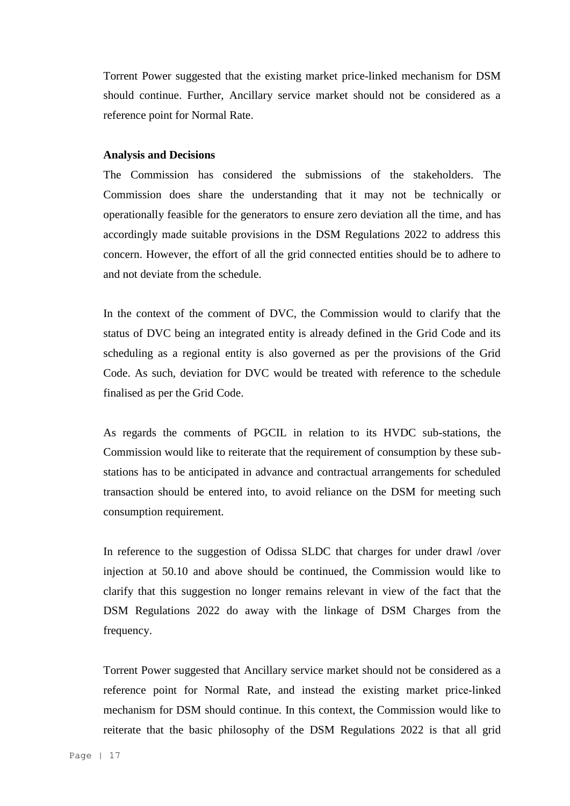Torrent Power suggested that the existing market price‐linked mechanism for DSM should continue. Further, Ancillary service market should not be considered as a reference point for Normal Rate.

#### **Analysis and Decisions**

The Commission has considered the submissions of the stakeholders. The Commission does share the understanding that it may not be technically or operationally feasible for the generators to ensure zero deviation all the time, and has accordingly made suitable provisions in the DSM Regulations 2022 to address this concern. However, the effort of all the grid connected entities should be to adhere to and not deviate from the schedule.

In the context of the comment of DVC, the Commission would to clarify that the status of DVC being an integrated entity is already defined in the Grid Code and its scheduling as a regional entity is also governed as per the provisions of the Grid Code. As such, deviation for DVC would be treated with reference to the schedule finalised as per the Grid Code.

As regards the comments of PGCIL in relation to its HVDC sub-stations, the Commission would like to reiterate that the requirement of consumption by these substations has to be anticipated in advance and contractual arrangements for scheduled transaction should be entered into, to avoid reliance on the DSM for meeting such consumption requirement.

In reference to the suggestion of Odissa SLDC that charges for under drawl /over injection at 50.10 and above should be continued, the Commission would like to clarify that this suggestion no longer remains relevant in view of the fact that the DSM Regulations 2022 do away with the linkage of DSM Charges from the frequency.

Torrent Power suggested that Ancillary service market should not be considered as a reference point for Normal Rate, and instead the existing market price‐linked mechanism for DSM should continue. In this context, the Commission would like to reiterate that the basic philosophy of the DSM Regulations 2022 is that all grid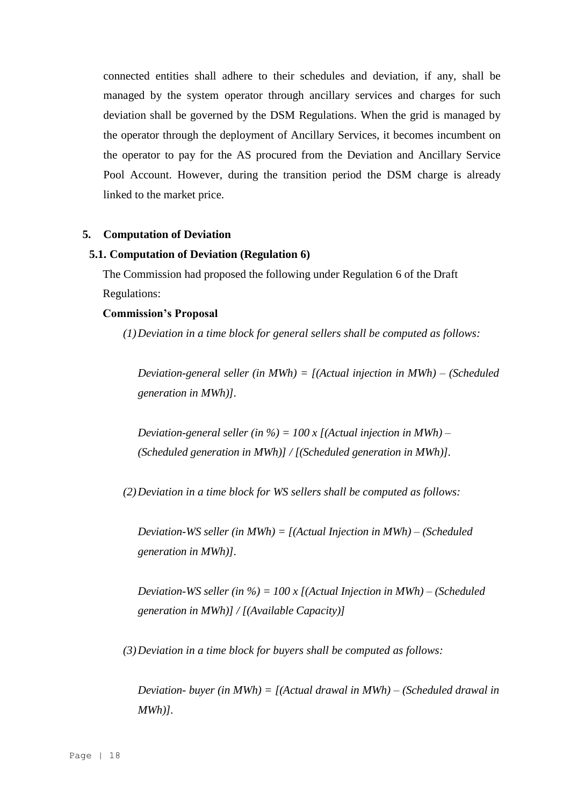connected entities shall adhere to their schedules and deviation, if any, shall be managed by the system operator through ancillary services and charges for such deviation shall be governed by the DSM Regulations. When the grid is managed by the operator through the deployment of Ancillary Services, it becomes incumbent on the operator to pay for the AS procured from the Deviation and Ancillary Service Pool Account. However, during the transition period the DSM charge is already linked to the market price.

#### **5. Computation of Deviation**

#### **5.1. Computation of Deviation (Regulation 6)**

The Commission had proposed the following under Regulation 6 of the Draft Regulations:

#### **Commission's Proposal**

*(1)Deviation in a time block for general sellers shall be computed as follows:*

*Deviation-general seller (in MWh) = [(Actual injection in MWh) – (Scheduled generation in MWh)].*

*Deviation-general seller (in %) = 100 x [(Actual injection in MWh) – (Scheduled generation in MWh)] / [(Scheduled generation in MWh)].*

*(2)Deviation in a time block for WS sellers shall be computed as follows:*

*Deviation-WS seller (in MWh) = [(Actual Injection in MWh) – (Scheduled generation in MWh)].*

*Deviation-WS seller (in %) = 100 x [(Actual Injection in MWh) – (Scheduled generation in MWh)] / [(Available Capacity)]* 

*(3)Deviation in a time block for buyers shall be computed as follows:* 

*Deviation- buyer (in MWh) = [(Actual drawal in MWh) – (Scheduled drawal in MWh)].*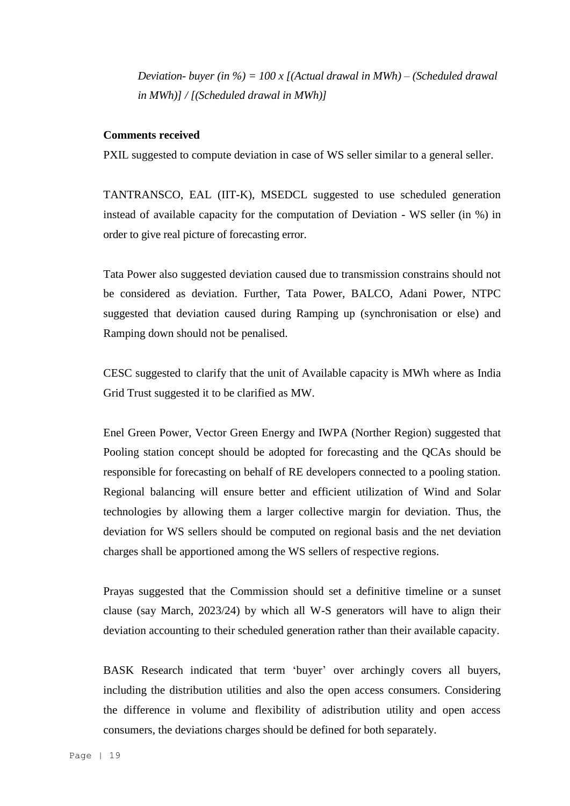*Deviation- buyer (in %) = 100 x [(Actual drawal in MWh) – (Scheduled drawal in MWh)] / [(Scheduled drawal in MWh)]*

#### **Comments received**

PXIL suggested to compute deviation in case of WS seller similar to a general seller.

TANTRANSCO, EAL (IIT-K), MSEDCL suggested to use scheduled generation instead of available capacity for the computation of Deviation - WS seller (in %) in order to give real picture of forecasting error.

Tata Power also suggested deviation caused due to transmission constrains should not be considered as deviation. Further, Tata Power, BALCO, Adani Power, NTPC suggested that deviation caused during Ramping up (synchronisation or else) and Ramping down should not be penalised.

CESC suggested to clarify that the unit of Available capacity is MWh where as India Grid Trust suggested it to be clarified as MW.

Enel Green Power, Vector Green Energy and IWPA (Norther Region) suggested that Pooling station concept should be adopted for forecasting and the QCAs should be responsible for forecasting on behalf of RE developers connected to a pooling station. Regional balancing will ensure better and efficient utilization of Wind and Solar technologies by allowing them a larger collective margin for deviation. Thus, the deviation for WS sellers should be computed on regional basis and the net deviation charges shall be apportioned among the WS sellers of respective regions.

Prayas suggested that the Commission should set a definitive timeline or a sunset clause (say March, 2023/24) by which all W-S generators will have to align their deviation accounting to their scheduled generation rather than their available capacity.

BASK Research indicated that term 'buyer' over archingly covers all buyers, including the distribution utilities and also the open access consumers. Considering the difference in volume and flexibility of adistribution utility and open access consumers, the deviations charges should be defined for both separately.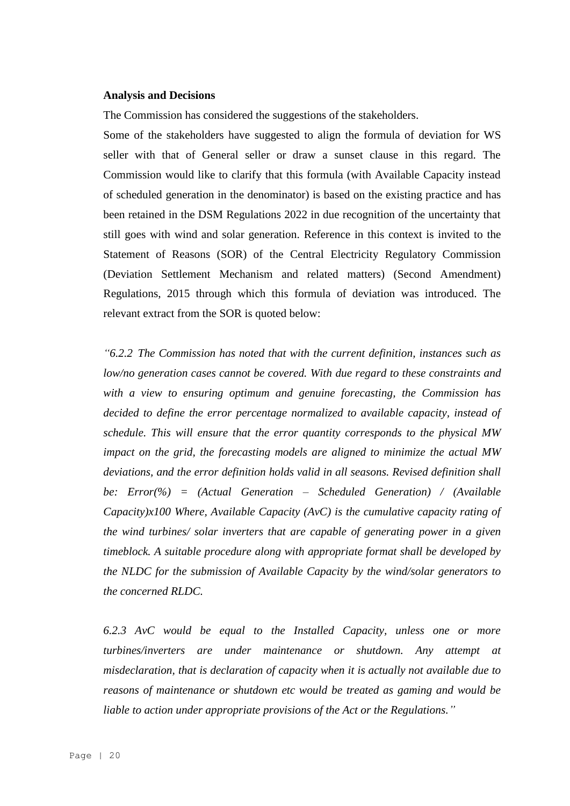#### **Analysis and Decisions**

The Commission has considered the suggestions of the stakeholders.

Some of the stakeholders have suggested to align the formula of deviation for WS seller with that of General seller or draw a sunset clause in this regard. The Commission would like to clarify that this formula (with Available Capacity instead of scheduled generation in the denominator) is based on the existing practice and has been retained in the DSM Regulations 2022 in due recognition of the uncertainty that still goes with wind and solar generation. Reference in this context is invited to the Statement of Reasons (SOR) of the Central Electricity Regulatory Commission (Deviation Settlement Mechanism and related matters) (Second Amendment) Regulations, 2015 through which this formula of deviation was introduced. The relevant extract from the SOR is quoted below:

*"6.2.2 The Commission has noted that with the current definition, instances such as low/no generation cases cannot be covered. With due regard to these constraints and with a view to ensuring optimum and genuine forecasting, the Commission has decided to define the error percentage normalized to available capacity, instead of schedule. This will ensure that the error quantity corresponds to the physical MW impact on the grid, the forecasting models are aligned to minimize the actual MW deviations, and the error definition holds valid in all seasons. Revised definition shall be: Error(%) = (Actual Generation – Scheduled Generation) / (Available Capacity)x100 Where, Available Capacity (AvC) is the cumulative capacity rating of the wind turbines/ solar inverters that are capable of generating power in a given timeblock. A suitable procedure along with appropriate format shall be developed by the NLDC for the submission of Available Capacity by the wind/solar generators to the concerned RLDC.*

*6.2.3 AvC would be equal to the Installed Capacity, unless one or more turbines/inverters are under maintenance or shutdown. Any attempt at misdeclaration, that is declaration of capacity when it is actually not available due to reasons of maintenance or shutdown etc would be treated as gaming and would be liable to action under appropriate provisions of the Act or the Regulations."*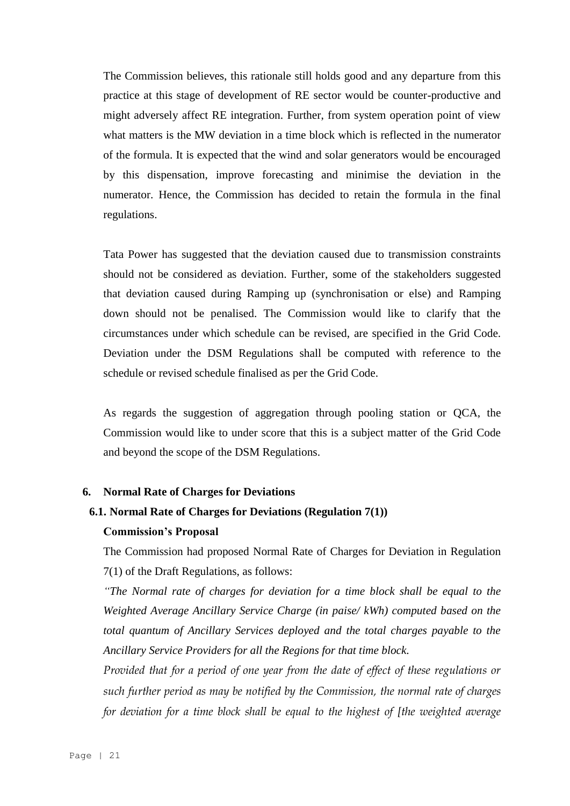The Commission believes, this rationale still holds good and any departure from this practice at this stage of development of RE sector would be counter-productive and might adversely affect RE integration. Further, from system operation point of view what matters is the MW deviation in a time block which is reflected in the numerator of the formula. It is expected that the wind and solar generators would be encouraged by this dispensation, improve forecasting and minimise the deviation in the numerator. Hence, the Commission has decided to retain the formula in the final regulations.

Tata Power has suggested that the deviation caused due to transmission constraints should not be considered as deviation. Further, some of the stakeholders suggested that deviation caused during Ramping up (synchronisation or else) and Ramping down should not be penalised. The Commission would like to clarify that the circumstances under which schedule can be revised, are specified in the Grid Code. Deviation under the DSM Regulations shall be computed with reference to the schedule or revised schedule finalised as per the Grid Code.

As regards the suggestion of aggregation through pooling station or QCA, the Commission would like to under score that this is a subject matter of the Grid Code and beyond the scope of the DSM Regulations.

### **6. Normal Rate of Charges for Deviations**

# **6.1. Normal Rate of Charges for Deviations (Regulation 7(1))**

### **Commission's Proposal**

The Commission had proposed Normal Rate of Charges for Deviation in Regulation 7(1) of the Draft Regulations, as follows:

*"The Normal rate of charges for deviation for a time block shall be equal to the Weighted Average Ancillary Service Charge (in paise/ kWh) computed based on the total quantum of Ancillary Services deployed and the total charges payable to the Ancillary Service Providers for all the Regions for that time block.* 

*Provided that for a period of one year from the date of effect of these regulations or such further period as may be notified by the Commission, the normal rate of charges for deviation for a time block shall be equal to the highest of [the weighted average*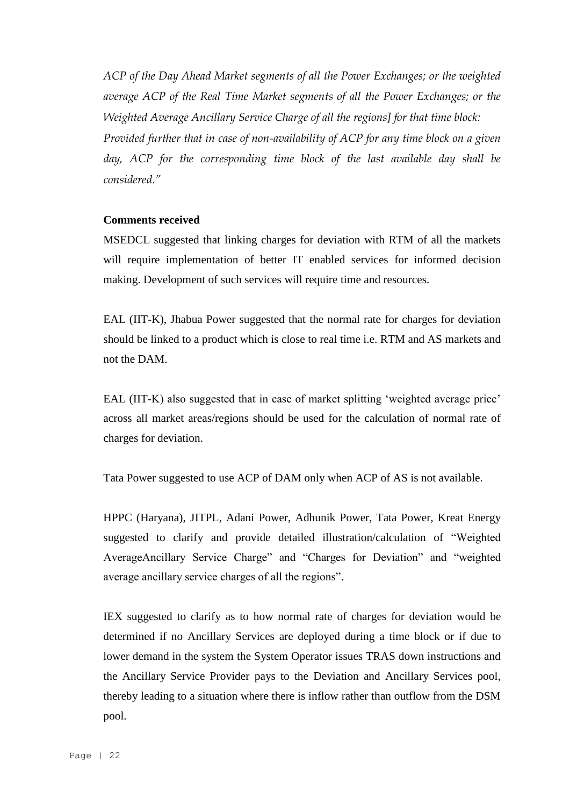*ACP of the Day Ahead Market segments of all the Power Exchanges; or the weighted average ACP of the Real Time Market segments of all the Power Exchanges; or the Weighted Average Ancillary Service Charge of all the regions] for that time block: Provided further that in case of non-availability of ACP for any time block on a given day, ACP for the corresponding time block of the last available day shall be considered."*

## **Comments received**

MSEDCL suggested that linking charges for deviation with RTM of all the markets will require implementation of better IT enabled services for informed decision making. Development of such services will require time and resources.

EAL (IIT-K), Jhabua Power suggested that the normal rate for charges for deviation should be linked to a product which is close to real time i.e. RTM and AS markets and not the DAM.

EAL (IIT-K) also suggested that in case of market splitting 'weighted average price' across all market areas/regions should be used for the calculation of normal rate of charges for deviation.

Tata Power suggested to use ACP of DAM only when ACP of AS is not available.

HPPC (Haryana), JITPL, Adani Power, Adhunik Power, Tata Power, Kreat Energy suggested to clarify and provide detailed illustration/calculation of "Weighted AverageAncillary Service Charge" and "Charges for Deviation" and "weighted average ancillary service charges of all the regions".

IEX suggested to clarify as to how normal rate of charges for deviation would be determined if no Ancillary Services are deployed during a time block or if due to lower demand in the system the System Operator issues TRAS down instructions and the Ancillary Service Provider pays to the Deviation and Ancillary Services pool, thereby leading to a situation where there is inflow rather than outflow from the DSM pool.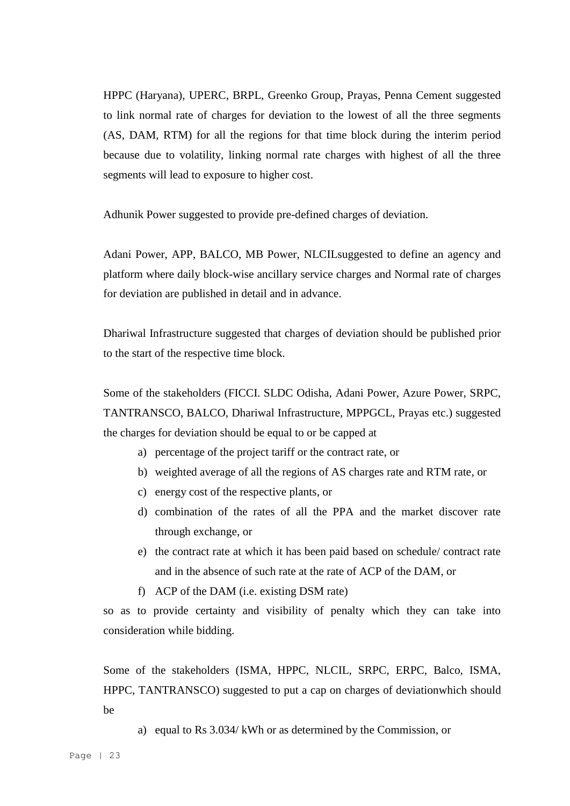HPPC (Haryana), UPERC, BRPL, Greenko Group, Prayas, Penna Cement suggested to link normal rate of charges for deviation to the lowest of all the three segments (AS, DAM, RTM) for all the regions for that time block during the interim period because due to volatility, linking normal rate charges with highest of all the three segments will lead to exposure to higher cost.

Adhunik Power suggested to provide pre-defined charges of deviation.

Adani Power, APP, BALCO, MB Power, NLCILsuggested to define an agency and platform where daily block-wise ancillary service charges and Normal rate of charges for deviation are published in detail and in advance.

Dhariwal Infrastructure suggested that charges of deviation should be published prior to the start of the respective time block.

Some of the stakeholders (FICCI. SLDC Odisha, Adani Power, Azure Power, SRPC, TANTRANSCO, BALCO, Dhariwal Infrastructure, MPPGCL, Prayas etc.) suggested the charges for deviation should be equal to or be capped at

- a) percentage of the project tariff or the contract rate, or
- b) weighted average of all the regions of AS charges rate and RTM rate, or
- c) energy cost of the respective plants, or
- d) combination of the rates of all the PPA and the market discover rate through exchange, or
- e) the contract rate at which it has been paid based on schedule/ contract rate and in the absence of such rate at the rate of ACP of the DAM, or
- f) ACP of the DAM (i.e. existing DSM rate)

so as to provide certainty and visibility of penalty which they can take into consideration while bidding.

Some of the stakeholders (ISMA, HPPC, NLCIL, SRPC, ERPC, Balco, ISMA, HPPC, TANTRANSCO) suggested to put a cap on charges of deviationwhich should be

a) equal to Rs 3.034/ kWh or as determined by the Commission, or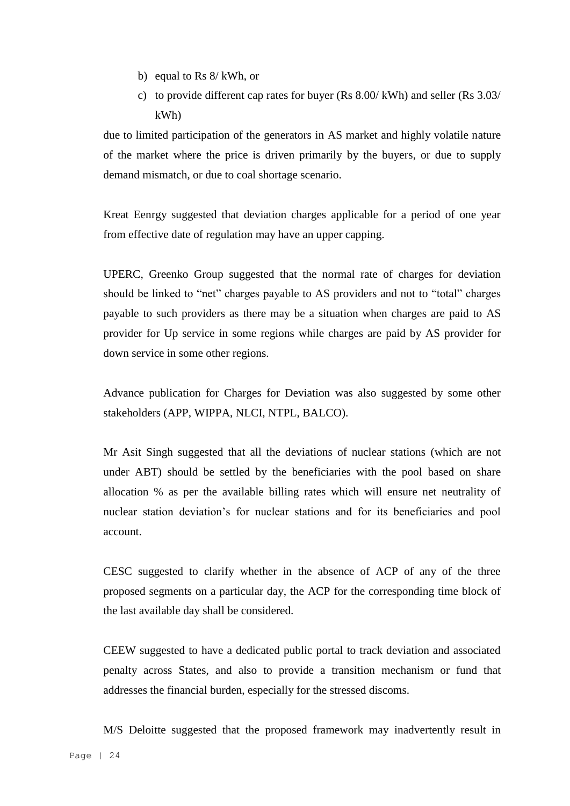- b) equal to Rs 8/ kWh, or
- c) to provide different cap rates for buyer (Rs 8.00/ kWh) and seller (Rs 3.03/ kWh)

due to limited participation of the generators in AS market and highly volatile nature of the market where the price is driven primarily by the buyers, or due to supply demand mismatch, or due to coal shortage scenario.

Kreat Eenrgy suggested that deviation charges applicable for a period of one year from effective date of regulation may have an upper capping.

UPERC, Greenko Group suggested that the normal rate of charges for deviation should be linked to "net" charges payable to AS providers and not to "total" charges payable to such providers as there may be a situation when charges are paid to AS provider for Up service in some regions while charges are paid by AS provider for down service in some other regions.

Advance publication for Charges for Deviation was also suggested by some other stakeholders (APP, WIPPA, NLCI, NTPL, BALCO).

Mr Asit Singh suggested that all the deviations of nuclear stations (which are not under ABT) should be settled by the beneficiaries with the pool based on share allocation % as per the available billing rates which will ensure net neutrality of nuclear station deviation's for nuclear stations and for its beneficiaries and pool account.

CESC suggested to clarify whether in the absence of ACP of any of the three proposed segments on a particular day, the ACP for the corresponding time block of the last available day shall be considered.

CEEW suggested to have a dedicated public portal to track deviation and associated penalty across States, and also to provide a transition mechanism or fund that addresses the financial burden, especially for the stressed discoms.

M/S Deloitte suggested that the proposed framework may inadvertently result in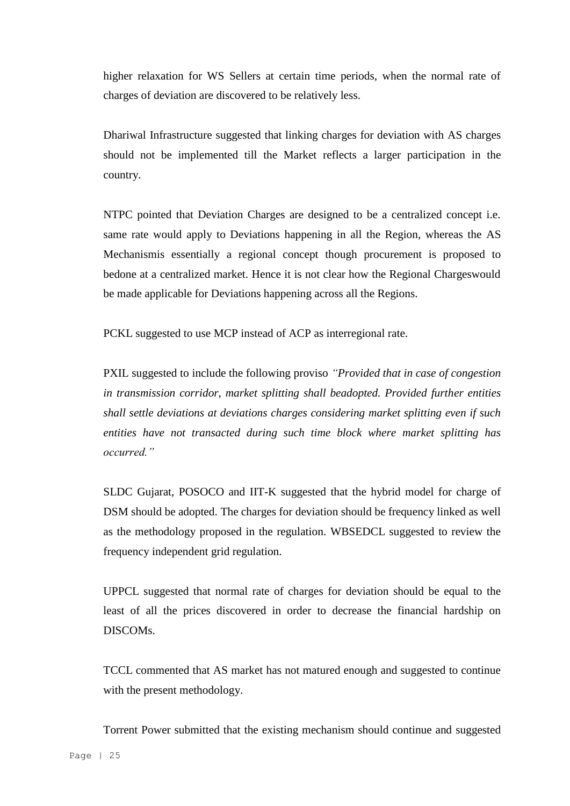higher relaxation for WS Sellers at certain time periods, when the normal rate of charges of deviation are discovered to be relatively less.

Dhariwal Infrastructure suggested that linking charges for deviation with AS charges should not be implemented till the Market reflects a larger participation in the country.

NTPC pointed that Deviation Charges are designed to be a centralized concept i.e. same rate would apply to Deviations happening in all the Region, whereas the AS Mechanismis essentially a regional concept though procurement is proposed to bedone at a centralized market. Hence it is not clear how the Regional Chargeswould be made applicable for Deviations happening across all the Regions.

PCKL suggested to use MCP instead of ACP as interregional rate.

PXIL suggested to include the following proviso *"Provided that in case of congestion in transmission corridor, market splitting shall beadopted. Provided further entities shall settle deviations at deviations charges considering market splitting even if such entities have not transacted during such time block where market splitting has occurred."* 

SLDC Gujarat, POSOCO and IIT-K suggested that the hybrid model for charge of DSM should be adopted. The charges for deviation should be frequency linked as well as the methodology proposed in the regulation. WBSEDCL suggested to review the frequency independent grid regulation.

UPPCL suggested that normal rate of charges for deviation should be equal to the least of all the prices discovered in order to decrease the financial hardship on DISCOMs.

TCCL commented that AS market has not matured enough and suggested to continue with the present methodology.

Torrent Power submitted that the existing mechanism should continue and suggested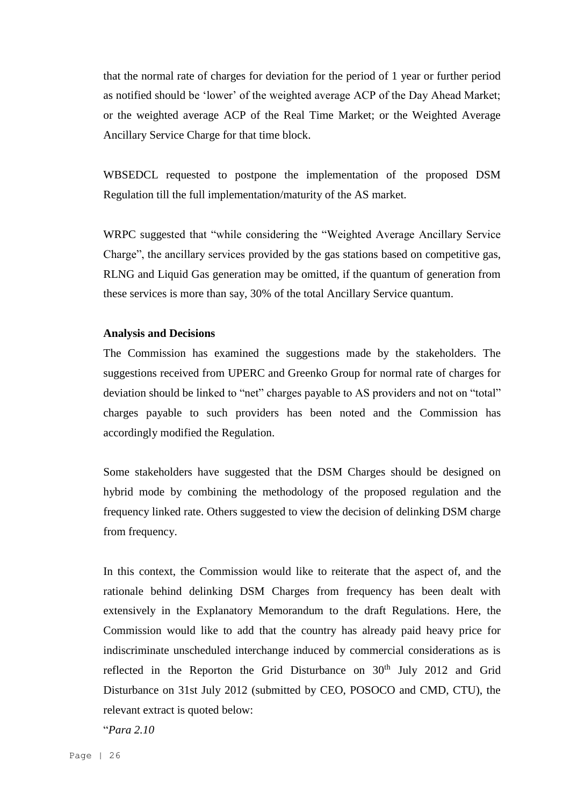that the normal rate of charges for deviation for the period of 1 year or further period as notified should be 'lower' of the weighted average ACP of the Day Ahead Market; or the weighted average ACP of the Real Time Market; or the Weighted Average Ancillary Service Charge for that time block.

WBSEDCL requested to postpone the implementation of the proposed DSM Regulation till the full implementation/maturity of the AS market.

WRPC suggested that "while considering the "Weighted Average Ancillary Service Charge", the ancillary services provided by the gas stations based on competitive gas, RLNG and Liquid Gas generation may be omitted, if the quantum of generation from these services is more than say, 30% of the total Ancillary Service quantum.

#### **Analysis and Decisions**

The Commission has examined the suggestions made by the stakeholders. The suggestions received from UPERC and Greenko Group for normal rate of charges for deviation should be linked to "net" charges payable to AS providers and not on "total" charges payable to such providers has been noted and the Commission has accordingly modified the Regulation.

Some stakeholders have suggested that the DSM Charges should be designed on hybrid mode by combining the methodology of the proposed regulation and the frequency linked rate. Others suggested to view the decision of delinking DSM charge from frequency.

In this context, the Commission would like to reiterate that the aspect of, and the rationale behind delinking DSM Charges from frequency has been dealt with extensively in the Explanatory Memorandum to the draft Regulations. Here, the Commission would like to add that the country has already paid heavy price for indiscriminate unscheduled interchange induced by commercial considerations as is reflected in the Reporton the Grid Disturbance on  $30<sup>th</sup>$  July 2012 and Grid Disturbance on 31st July 2012 (submitted by CEO, POSOCO and CMD, CTU), the relevant extract is quoted below:

"*Para 2.10*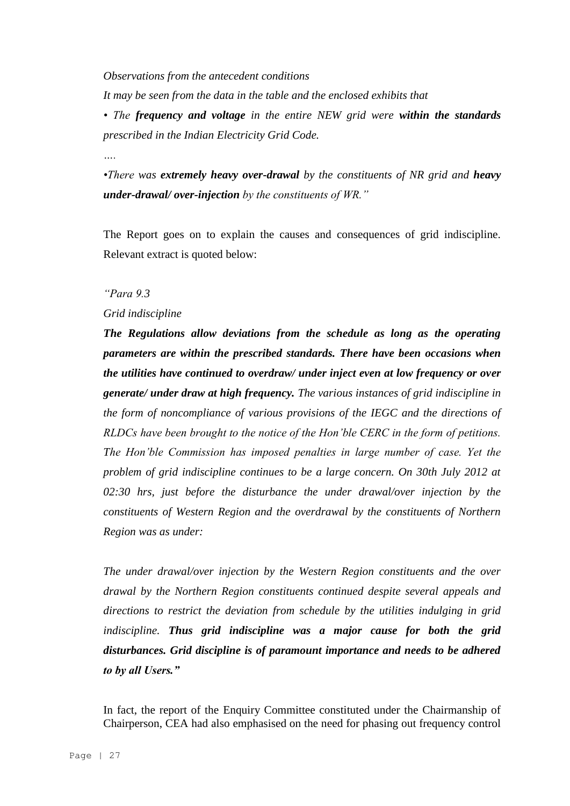### *Observations from the antecedent conditions*

*It may be seen from the data in the table and the enclosed exhibits that* 

*• The frequency and voltage in the entire NEW grid were within the standards prescribed in the Indian Electricity Grid Code.* 

*….*

*•There was extremely heavy over-drawal by the constituents of NR grid and heavy under-drawal/ over-injection by the constituents of WR."*

The Report goes on to explain the causes and consequences of grid indiscipline. Relevant extract is quoted below:

## *"Para 9.3*

# *Grid indiscipline*

*The Regulations allow deviations from the schedule as long as the operating parameters are within the prescribed standards. There have been occasions when the utilities have continued to overdraw/ under inject even at low frequency or over generate/ under draw at high frequency. The various instances of grid indiscipline in the form of noncompliance of various provisions of the IEGC and the directions of RLDCs have been brought to the notice of the Hon'ble CERC in the form of petitions. The Hon'ble Commission has imposed penalties in large number of case. Yet the problem of grid indiscipline continues to be a large concern. On 30th July 2012 at 02:30 hrs, just before the disturbance the under drawal/over injection by the constituents of Western Region and the overdrawal by the constituents of Northern Region was as under:*

*The under drawal/over injection by the Western Region constituents and the over drawal by the Northern Region constituents continued despite several appeals and directions to restrict the deviation from schedule by the utilities indulging in grid indiscipline. Thus grid indiscipline was a major cause for both the grid disturbances. Grid discipline is of paramount importance and needs to be adhered to by all Users."*

In fact, the report of the Enquiry Committee constituted under the Chairmanship of Chairperson, CEA had also emphasised on the need for phasing out frequency control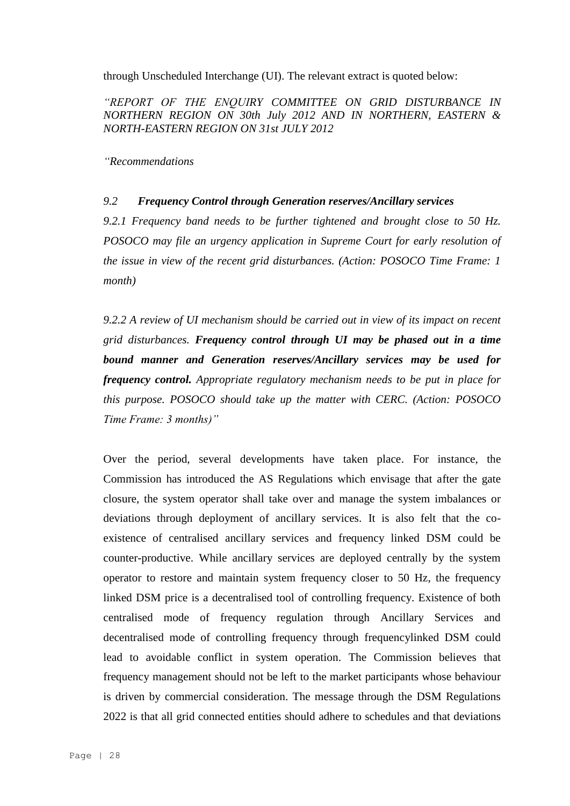through Unscheduled Interchange (UI). The relevant extract is quoted below:

*"REPORT OF THE ENQUIRY COMMITTEE ON GRID DISTURBANCE IN NORTHERN REGION ON 30th July 2012 AND IN NORTHERN, EASTERN & NORTH-EASTERN REGION ON 31st JULY 2012*

*"Recommendations*

## *9.2 Frequency Control through Generation reserves/Ancillary services*

*9.2.1 Frequency band needs to be further tightened and brought close to 50 Hz. POSOCO may file an urgency application in Supreme Court for early resolution of the issue in view of the recent grid disturbances. (Action: POSOCO Time Frame: 1 month)*

*9.2.2 A review of UI mechanism should be carried out in view of its impact on recent grid disturbances. Frequency control through UI may be phased out in a time bound manner and Generation reserves/Ancillary services may be used for frequency control. Appropriate regulatory mechanism needs to be put in place for this purpose. POSOCO should take up the matter with CERC. (Action: POSOCO Time Frame: 3 months)"*

Over the period, several developments have taken place. For instance, the Commission has introduced the AS Regulations which envisage that after the gate closure, the system operator shall take over and manage the system imbalances or deviations through deployment of ancillary services. It is also felt that the coexistence of centralised ancillary services and frequency linked DSM could be counter-productive. While ancillary services are deployed centrally by the system operator to restore and maintain system frequency closer to 50 Hz, the frequency linked DSM price is a decentralised tool of controlling frequency. Existence of both centralised mode of frequency regulation through Ancillary Services and decentralised mode of controlling frequency through frequencylinked DSM could lead to avoidable conflict in system operation. The Commission believes that frequency management should not be left to the market participants whose behaviour is driven by commercial consideration. The message through the DSM Regulations 2022 is that all grid connected entities should adhere to schedules and that deviations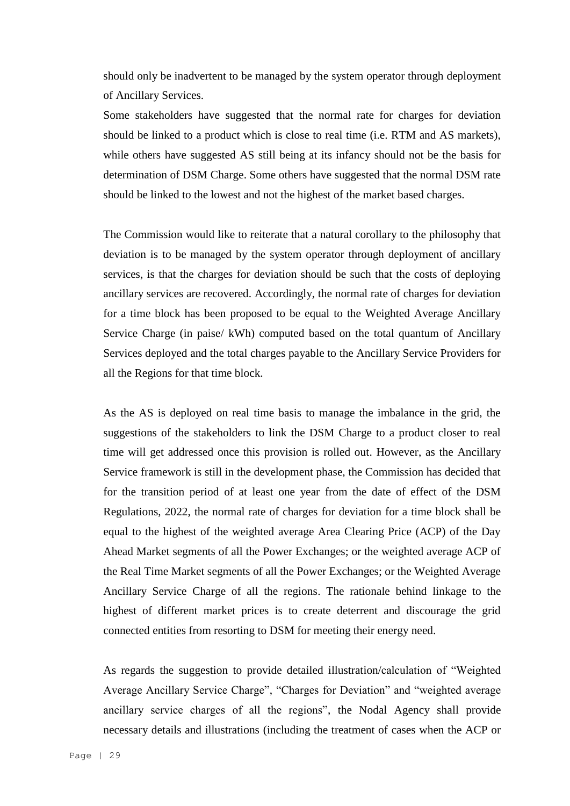should only be inadvertent to be managed by the system operator through deployment of Ancillary Services.

Some stakeholders have suggested that the normal rate for charges for deviation should be linked to a product which is close to real time (i.e. RTM and AS markets), while others have suggested AS still being at its infancy should not be the basis for determination of DSM Charge. Some others have suggested that the normal DSM rate should be linked to the lowest and not the highest of the market based charges.

The Commission would like to reiterate that a natural corollary to the philosophy that deviation is to be managed by the system operator through deployment of ancillary services, is that the charges for deviation should be such that the costs of deploying ancillary services are recovered. Accordingly, the normal rate of charges for deviation for a time block has been proposed to be equal to the Weighted Average Ancillary Service Charge (in paise/ kWh) computed based on the total quantum of Ancillary Services deployed and the total charges payable to the Ancillary Service Providers for all the Regions for that time block.

As the AS is deployed on real time basis to manage the imbalance in the grid, the suggestions of the stakeholders to link the DSM Charge to a product closer to real time will get addressed once this provision is rolled out. However, as the Ancillary Service framework is still in the development phase, the Commission has decided that for the transition period of at least one year from the date of effect of the DSM Regulations, 2022, the normal rate of charges for deviation for a time block shall be equal to the highest of the weighted average Area Clearing Price (ACP) of the Day Ahead Market segments of all the Power Exchanges; or the weighted average ACP of the Real Time Market segments of all the Power Exchanges; or the Weighted Average Ancillary Service Charge of all the regions. The rationale behind linkage to the highest of different market prices is to create deterrent and discourage the grid connected entities from resorting to DSM for meeting their energy need.

As regards the suggestion to provide detailed illustration/calculation of "Weighted Average Ancillary Service Charge", "Charges for Deviation" and "weighted average ancillary service charges of all the regions", the Nodal Agency shall provide necessary details and illustrations (including the treatment of cases when the ACP or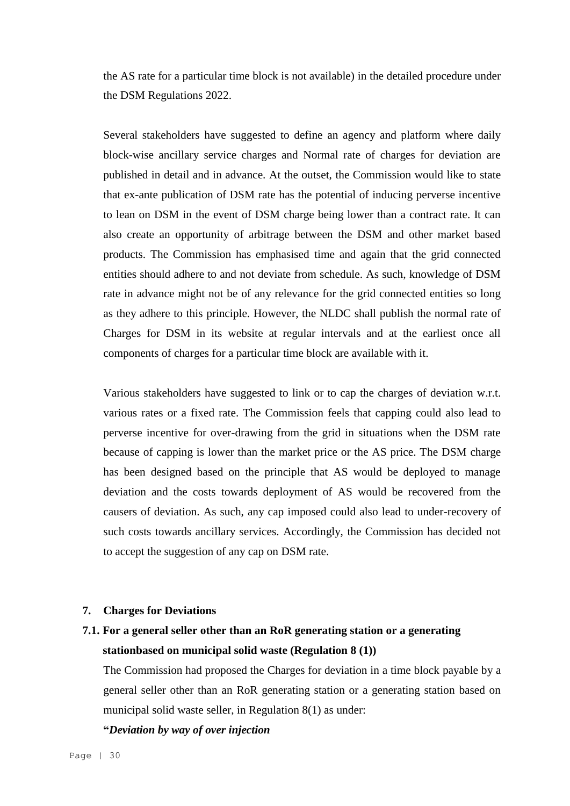the AS rate for a particular time block is not available) in the detailed procedure under the DSM Regulations 2022.

Several stakeholders have suggested to define an agency and platform where daily block-wise ancillary service charges and Normal rate of charges for deviation are published in detail and in advance. At the outset, the Commission would like to state that ex-ante publication of DSM rate has the potential of inducing perverse incentive to lean on DSM in the event of DSM charge being lower than a contract rate. It can also create an opportunity of arbitrage between the DSM and other market based products. The Commission has emphasised time and again that the grid connected entities should adhere to and not deviate from schedule. As such, knowledge of DSM rate in advance might not be of any relevance for the grid connected entities so long as they adhere to this principle. However, the NLDC shall publish the normal rate of Charges for DSM in its website at regular intervals and at the earliest once all components of charges for a particular time block are available with it.

Various stakeholders have suggested to link or to cap the charges of deviation w.r.t. various rates or a fixed rate. The Commission feels that capping could also lead to perverse incentive for over-drawing from the grid in situations when the DSM rate because of capping is lower than the market price or the AS price. The DSM charge has been designed based on the principle that AS would be deployed to manage deviation and the costs towards deployment of AS would be recovered from the causers of deviation. As such, any cap imposed could also lead to under-recovery of such costs towards ancillary services. Accordingly, the Commission has decided not to accept the suggestion of any cap on DSM rate.

#### **7. Charges for Deviations**

# **7.1. For a general seller other than an RoR generating station or a generating stationbased on municipal solid waste (Regulation 8 (1))**

The Commission had proposed the Charges for deviation in a time block payable by a general seller other than an RoR generating station or a generating station based on municipal solid waste seller, in Regulation 8(1) as under:

#### **"***Deviation by way of over injection*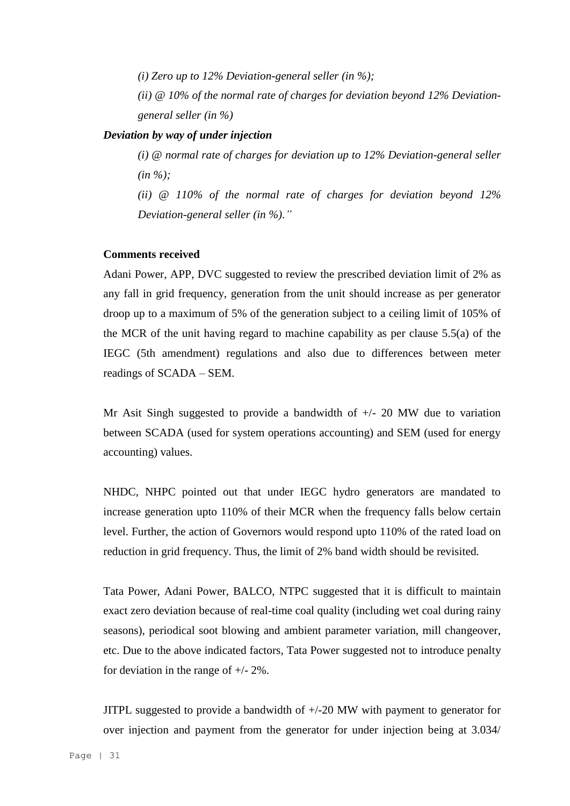*(i) Zero up to 12% Deviation-general seller (in %); (ii) @ 10% of the normal rate of charges for deviation beyond 12% Deviationgeneral seller (in %)*

#### *Deviation by way of under injection*

*(i) @ normal rate of charges for deviation up to 12% Deviation-general seller (in %);*

*(ii) @ 110% of the normal rate of charges for deviation beyond 12% Deviation-general seller (in %)."*

## **Comments received**

Adani Power, APP, DVC suggested to review the prescribed deviation limit of 2% as any fall in grid frequency, generation from the unit should increase as per generator droop up to a maximum of 5% of the generation subject to a ceiling limit of 105% of the MCR of the unit having regard to machine capability as per clause 5.5(a) of the IEGC (5th amendment) regulations and also due to differences between meter readings of SCADA – SEM.

Mr Asit Singh suggested to provide a bandwidth of  $+/- 20$  MW due to variation between SCADA (used for system operations accounting) and SEM (used for energy accounting) values.

NHDC, NHPC pointed out that under IEGC hydro generators are mandated to increase generation upto 110% of their MCR when the frequency falls below certain level. Further, the action of Governors would respond upto 110% of the rated load on reduction in grid frequency. Thus, the limit of 2% band width should be revisited.

Tata Power, Adani Power, BALCO, NTPC suggested that it is difficult to maintain exact zero deviation because of real-time coal quality (including wet coal during rainy seasons), periodical soot blowing and ambient parameter variation, mill changeover, etc. Due to the above indicated factors, Tata Power suggested not to introduce penalty for deviation in the range of  $+/- 2\%$ .

JITPL suggested to provide a bandwidth of +/-20 MW with payment to generator for over injection and payment from the generator for under injection being at 3.034/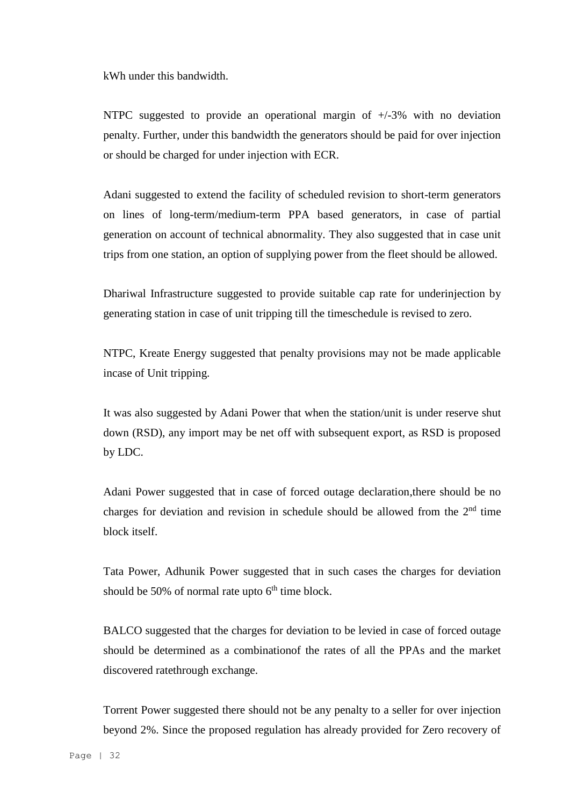kWh under this bandwidth.

NTPC suggested to provide an operational margin of  $+/-3\%$  with no deviation penalty. Further, under this bandwidth the generators should be paid for over injection or should be charged for under injection with ECR.

Adani suggested to extend the facility of scheduled revision to short-term generators on lines of long-term/medium-term PPA based generators, in case of partial generation on account of technical abnormality. They also suggested that in case unit trips from one station, an option of supplying power from the fleet should be allowed.

Dhariwal Infrastructure suggested to provide suitable cap rate for underinjection by generating station in case of unit tripping till the timeschedule is revised to zero.

NTPC, Kreate Energy suggested that penalty provisions may not be made applicable incase of Unit tripping.

It was also suggested by Adani Power that when the station/unit is under reserve shut down (RSD), any import may be net off with subsequent export, as RSD is proposed by LDC.

Adani Power suggested that in case of forced outage declaration,there should be no charges for deviation and revision in schedule should be allowed from the  $2<sup>nd</sup>$  time block itself.

Tata Power, Adhunik Power suggested that in such cases the charges for deviation should be 50% of normal rate upto  $6<sup>th</sup>$  time block.

BALCO suggested that the charges for deviation to be levied in case of forced outage should be determined as a combinationof the rates of all the PPAs and the market discovered ratethrough exchange.

Torrent Power suggested there should not be any penalty to a seller for over injection beyond 2%. Since the proposed regulation has already provided for Zero recovery of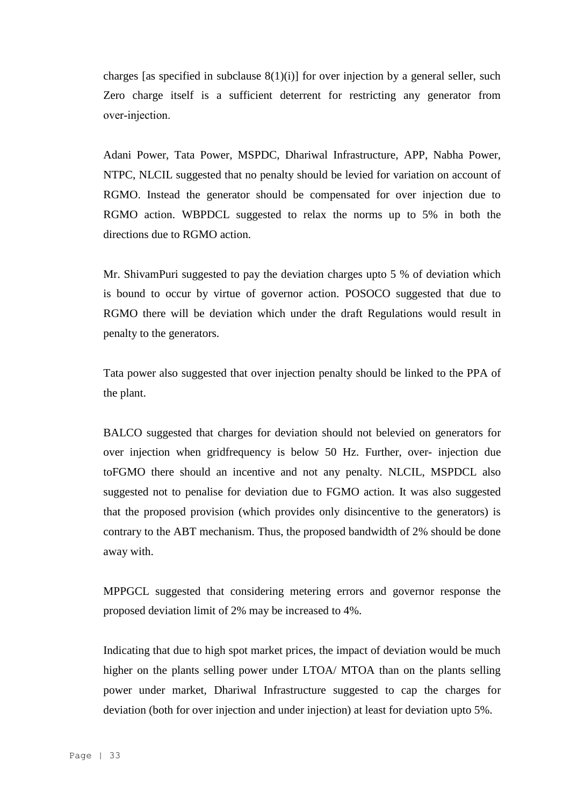charges [as specified in subclause  $8(1)(i)$ ] for over injection by a general seller, such Zero charge itself is a sufficient deterrent for restricting any generator from over‐injection.

Adani Power, Tata Power, MSPDC, Dhariwal Infrastructure, APP, Nabha Power, NTPC, NLCIL suggested that no penalty should be levied for variation on account of RGMO. Instead the generator should be compensated for over injection due to RGMO action. WBPDCL suggested to relax the norms up to 5% in both the directions due to RGMO action.

Mr. ShivamPuri suggested to pay the deviation charges upto 5 % of deviation which is bound to occur by virtue of governor action. POSOCO suggested that due to RGMO there will be deviation which under the draft Regulations would result in penalty to the generators.

Tata power also suggested that over injection penalty should be linked to the PPA of the plant.

BALCO suggested that charges for deviation should not belevied on generators for over injection when gridfrequency is below 50 Hz. Further, over- injection due toFGMO there should an incentive and not any penalty. NLCIL, MSPDCL also suggested not to penalise for deviation due to FGMO action. It was also suggested that the proposed provision (which provides only disincentive to the generators) is contrary to the ABT mechanism. Thus, the proposed bandwidth of 2% should be done away with.

MPPGCL suggested that considering metering errors and governor response the proposed deviation limit of 2% may be increased to 4%.

Indicating that due to high spot market prices, the impact of deviation would be much higher on the plants selling power under LTOA/ MTOA than on the plants selling power under market, Dhariwal Infrastructure suggested to cap the charges for deviation (both for over injection and under injection) at least for deviation upto 5%.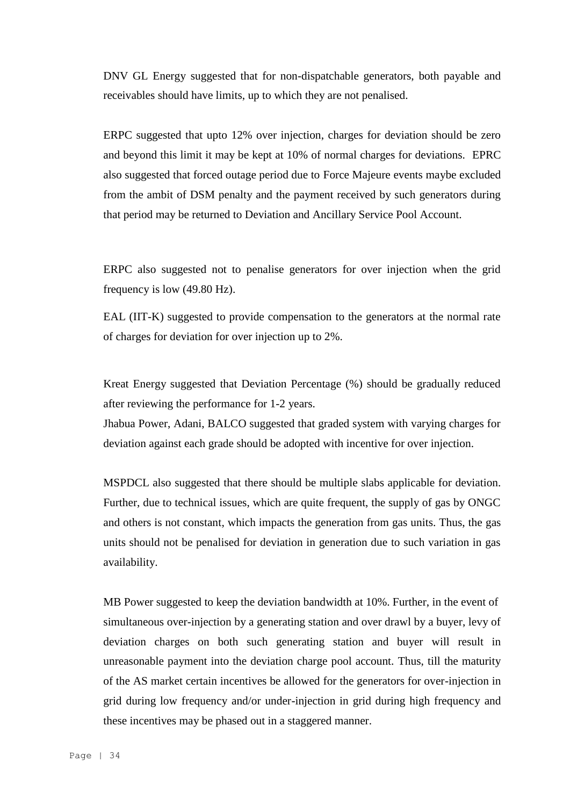DNV GL Energy suggested that for non-dispatchable generators, both payable and receivables should have limits, up to which they are not penalised.

ERPC suggested that upto 12% over injection, charges for deviation should be zero and beyond this limit it may be kept at 10% of normal charges for deviations. EPRC also suggested that forced outage period due to Force Majeure events maybe excluded from the ambit of DSM penalty and the payment received by such generators during that period may be returned to Deviation and Ancillary Service Pool Account.

ERPC also suggested not to penalise generators for over injection when the grid frequency is low (49.80 Hz).

EAL (IIT-K) suggested to provide compensation to the generators at the normal rate of charges for deviation for over injection up to 2%.

Kreat Energy suggested that Deviation Percentage (%) should be gradually reduced after reviewing the performance for 1-2 years.

Jhabua Power, Adani, BALCO suggested that graded system with varying charges for deviation against each grade should be adopted with incentive for over injection.

MSPDCL also suggested that there should be multiple slabs applicable for deviation. Further, due to technical issues, which are quite frequent, the supply of gas by ONGC and others is not constant, which impacts the generation from gas units. Thus, the gas units should not be penalised for deviation in generation due to such variation in gas availability.

MB Power suggested to keep the deviation bandwidth at 10%. Further, in the event of simultaneous over-injection by a generating station and over drawl by a buyer, levy of deviation charges on both such generating station and buyer will result in unreasonable payment into the deviation charge pool account. Thus, till the maturity of the AS market certain incentives be allowed for the generators for over-injection in grid during low frequency and/or under-injection in grid during high frequency and these incentives may be phased out in a staggered manner.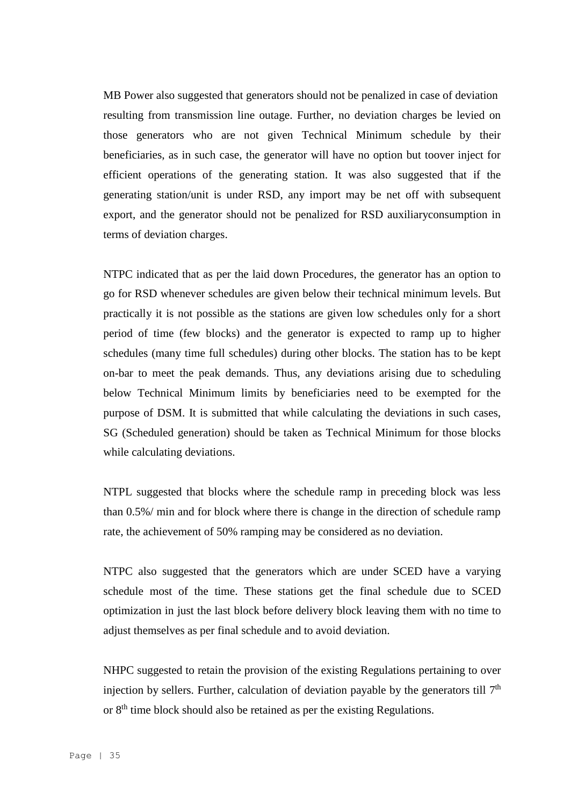MB Power also suggested that generators should not be penalized in case of deviation resulting from transmission line outage. Further, no deviation charges be levied on those generators who are not given Technical Minimum schedule by their beneficiaries, as in such case, the generator will have no option but toover inject for efficient operations of the generating station. It was also suggested that if the generating station/unit is under RSD, any import may be net off with subsequent export, and the generator should not be penalized for RSD auxiliaryconsumption in terms of deviation charges.

NTPC indicated that as per the laid down Procedures, the generator has an option to go for RSD whenever schedules are given below their technical minimum levels. But practically it is not possible as the stations are given low schedules only for a short period of time (few blocks) and the generator is expected to ramp up to higher schedules (many time full schedules) during other blocks. The station has to be kept on-bar to meet the peak demands. Thus, any deviations arising due to scheduling below Technical Minimum limits by beneficiaries need to be exempted for the purpose of DSM. It is submitted that while calculating the deviations in such cases, SG (Scheduled generation) should be taken as Technical Minimum for those blocks while calculating deviations.

NTPL suggested that blocks where the schedule ramp in preceding block was less than 0.5%/ min and for block where there is change in the direction of schedule ramp rate, the achievement of 50% ramping may be considered as no deviation.

NTPC also suggested that the generators which are under SCED have a varying schedule most of the time. These stations get the final schedule due to SCED optimization in just the last block before delivery block leaving them with no time to adjust themselves as per final schedule and to avoid deviation.

NHPC suggested to retain the provision of the existing Regulations pertaining to over injection by sellers. Further, calculation of deviation payable by the generators till  $7<sup>th</sup>$ or 8th time block should also be retained as per the existing Regulations.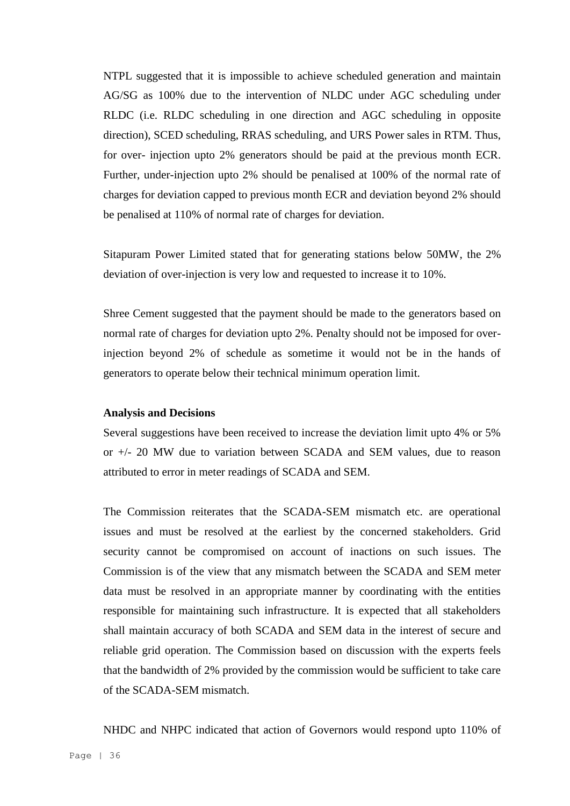NTPL suggested that it is impossible to achieve scheduled generation and maintain AG/SG as 100% due to the intervention of NLDC under AGC scheduling under RLDC (i.e. RLDC scheduling in one direction and AGC scheduling in opposite direction), SCED scheduling, RRAS scheduling, and URS Power sales in RTM. Thus, for over- injection upto 2% generators should be paid at the previous month ECR. Further, under-injection upto 2% should be penalised at 100% of the normal rate of charges for deviation capped to previous month ECR and deviation beyond 2% should be penalised at 110% of normal rate of charges for deviation.

Sitapuram Power Limited stated that for generating stations below 50MW, the 2% deviation of over-injection is very low and requested to increase it to 10%.

Shree Cement suggested that the payment should be made to the generators based on normal rate of charges for deviation upto 2%. Penalty should not be imposed for overinjection beyond 2% of schedule as sometime it would not be in the hands of generators to operate below their technical minimum operation limit.

#### **Analysis and Decisions**

Several suggestions have been received to increase the deviation limit upto 4% or 5% or +/- 20 MW due to variation between SCADA and SEM values, due to reason attributed to error in meter readings of SCADA and SEM.

The Commission reiterates that the SCADA-SEM mismatch etc. are operational issues and must be resolved at the earliest by the concerned stakeholders. Grid security cannot be compromised on account of inactions on such issues. The Commission is of the view that any mismatch between the SCADA and SEM meter data must be resolved in an appropriate manner by coordinating with the entities responsible for maintaining such infrastructure. It is expected that all stakeholders shall maintain accuracy of both SCADA and SEM data in the interest of secure and reliable grid operation. The Commission based on discussion with the experts feels that the bandwidth of 2% provided by the commission would be sufficient to take care of the SCADA-SEM mismatch.

NHDC and NHPC indicated that action of Governors would respond upto 110% of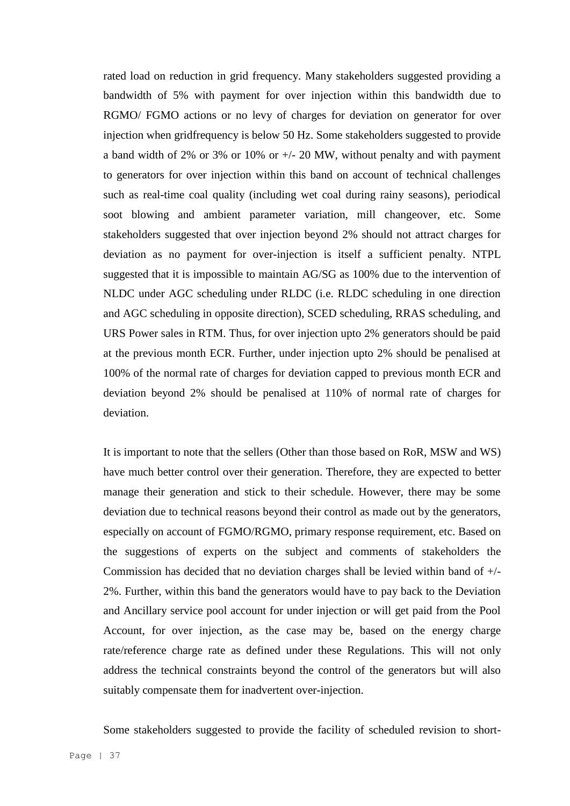rated load on reduction in grid frequency. Many stakeholders suggested providing a bandwidth of 5% with payment for over injection within this bandwidth due to RGMO/ FGMO actions or no levy of charges for deviation on generator for over injection when gridfrequency is below 50 Hz. Some stakeholders suggested to provide a band width of 2% or 3% or 10% or  $+/- 20$  MW, without penalty and with payment to generators for over injection within this band on account of technical challenges such as real-time coal quality (including wet coal during rainy seasons), periodical soot blowing and ambient parameter variation, mill changeover, etc. Some stakeholders suggested that over injection beyond 2% should not attract charges for deviation as no payment for over-injection is itself a sufficient penalty. NTPL suggested that it is impossible to maintain AG/SG as 100% due to the intervention of NLDC under AGC scheduling under RLDC (i.e. RLDC scheduling in one direction and AGC scheduling in opposite direction), SCED scheduling, RRAS scheduling, and URS Power sales in RTM. Thus, for over injection upto 2% generators should be paid at the previous month ECR. Further, under injection upto 2% should be penalised at 100% of the normal rate of charges for deviation capped to previous month ECR and deviation beyond 2% should be penalised at 110% of normal rate of charges for deviation.

It is important to note that the sellers (Other than those based on RoR, MSW and WS) have much better control over their generation. Therefore, they are expected to better manage their generation and stick to their schedule. However, there may be some deviation due to technical reasons beyond their control as made out by the generators, especially on account of FGMO/RGMO, primary response requirement, etc. Based on the suggestions of experts on the subject and comments of stakeholders the Commission has decided that no deviation charges shall be levied within band of +/- 2%. Further, within this band the generators would have to pay back to the Deviation and Ancillary service pool account for under injection or will get paid from the Pool Account, for over injection, as the case may be, based on the energy charge rate/reference charge rate as defined under these Regulations. This will not only address the technical constraints beyond the control of the generators but will also suitably compensate them for inadvertent over-injection.

Some stakeholders suggested to provide the facility of scheduled revision to short-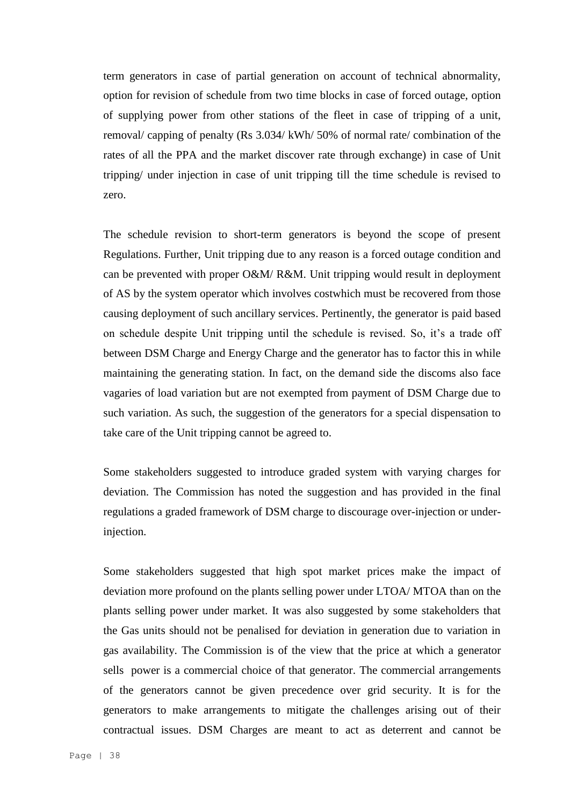term generators in case of partial generation on account of technical abnormality, option for revision of schedule from two time blocks in case of forced outage, option of supplying power from other stations of the fleet in case of tripping of a unit, removal/ capping of penalty (Rs 3.034/ kWh/ 50% of normal rate/ combination of the rates of all the PPA and the market discover rate through exchange) in case of Unit tripping/ under injection in case of unit tripping till the time schedule is revised to zero.

The schedule revision to short-term generators is beyond the scope of present Regulations. Further, Unit tripping due to any reason is a forced outage condition and can be prevented with proper O&M/ R&M. Unit tripping would result in deployment of AS by the system operator which involves costwhich must be recovered from those causing deployment of such ancillary services. Pertinently, the generator is paid based on schedule despite Unit tripping until the schedule is revised. So, it's a trade off between DSM Charge and Energy Charge and the generator has to factor this in while maintaining the generating station. In fact, on the demand side the discoms also face vagaries of load variation but are not exempted from payment of DSM Charge due to such variation. As such, the suggestion of the generators for a special dispensation to take care of the Unit tripping cannot be agreed to.

Some stakeholders suggested to introduce graded system with varying charges for deviation. The Commission has noted the suggestion and has provided in the final regulations a graded framework of DSM charge to discourage over-injection or underinjection.

Some stakeholders suggested that high spot market prices make the impact of deviation more profound on the plants selling power under LTOA/ MTOA than on the plants selling power under market. It was also suggested by some stakeholders that the Gas units should not be penalised for deviation in generation due to variation in gas availability. The Commission is of the view that the price at which a generator sells power is a commercial choice of that generator. The commercial arrangements of the generators cannot be given precedence over grid security. It is for the generators to make arrangements to mitigate the challenges arising out of their contractual issues. DSM Charges are meant to act as deterrent and cannot be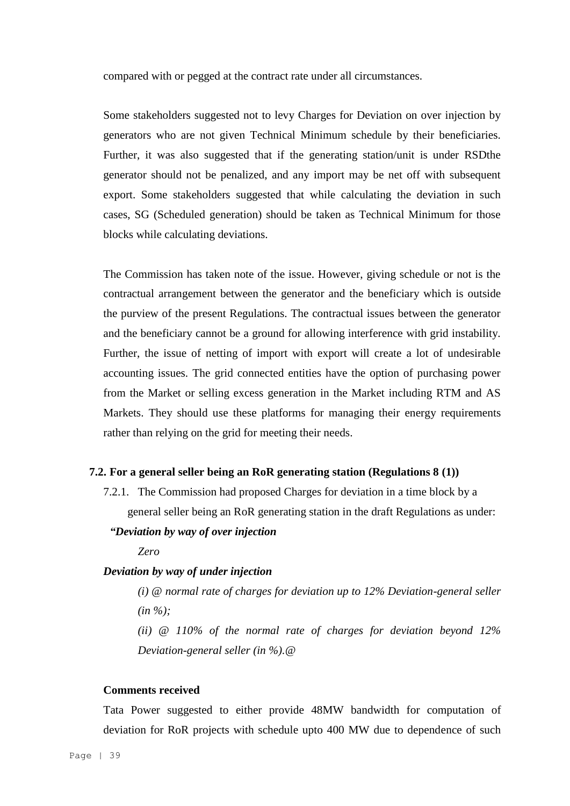compared with or pegged at the contract rate under all circumstances.

Some stakeholders suggested not to levy Charges for Deviation on over injection by generators who are not given Technical Minimum schedule by their beneficiaries. Further, it was also suggested that if the generating station/unit is under RSDthe generator should not be penalized, and any import may be net off with subsequent export. Some stakeholders suggested that while calculating the deviation in such cases, SG (Scheduled generation) should be taken as Technical Minimum for those blocks while calculating deviations.

The Commission has taken note of the issue. However, giving schedule or not is the contractual arrangement between the generator and the beneficiary which is outside the purview of the present Regulations. The contractual issues between the generator and the beneficiary cannot be a ground for allowing interference with grid instability. Further, the issue of netting of import with export will create a lot of undesirable accounting issues. The grid connected entities have the option of purchasing power from the Market or selling excess generation in the Market including RTM and AS Markets. They should use these platforms for managing their energy requirements rather than relying on the grid for meeting their needs.

### **7.2. For a general seller being an RoR generating station (Regulations 8 (1))**

7.2.1. The Commission had proposed Charges for deviation in a time block by a general seller being an RoR generating station in the draft Regulations as under: *"Deviation by way of over injection*

*Zero* 

### *Deviation by way of under injection*

*(i) @ normal rate of charges for deviation up to 12% Deviation-general seller (in %);*

*(ii) @ 110% of the normal rate of charges for deviation beyond 12% Deviation-general seller (in %).@*

### **Comments received**

Tata Power suggested to either provide 48MW bandwidth for computation of deviation for RoR projects with schedule upto 400 MW due to dependence of such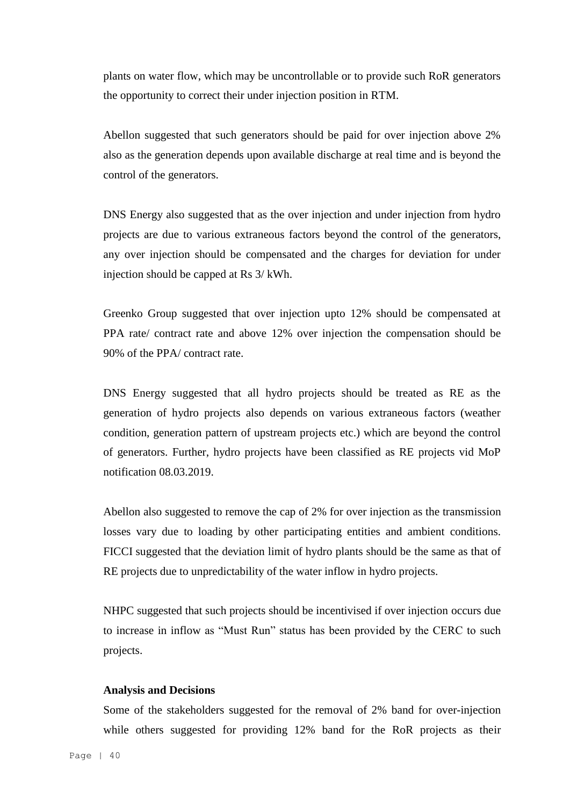plants on water flow, which may be uncontrollable or to provide such RoR generators the opportunity to correct their under injection position in RTM.

Abellon suggested that such generators should be paid for over injection above 2% also as the generation depends upon available discharge at real time and is beyond the control of the generators.

DNS Energy also suggested that as the over injection and under injection from hydro projects are due to various extraneous factors beyond the control of the generators, any over injection should be compensated and the charges for deviation for under injection should be capped at Rs 3/ kWh.

Greenko Group suggested that over injection upto 12% should be compensated at PPA rate/ contract rate and above 12% over injection the compensation should be 90% of the PPA/ contract rate.

DNS Energy suggested that all hydro projects should be treated as RE as the generation of hydro projects also depends on various extraneous factors (weather condition, generation pattern of upstream projects etc.) which are beyond the control of generators. Further, hydro projects have been classified as RE projects vid MoP notification 08.03.2019.

Abellon also suggested to remove the cap of 2% for over injection as the transmission losses vary due to loading by other participating entities and ambient conditions. FICCI suggested that the deviation limit of hydro plants should be the same as that of RE projects due to unpredictability of the water inflow in hydro projects.

NHPC suggested that such projects should be incentivised if over injection occurs due to increase in inflow as "Must Run" status has been provided by the CERC to such projects.

#### **Analysis and Decisions**

Some of the stakeholders suggested for the removal of 2% band for over-injection while others suggested for providing 12% band for the RoR projects as their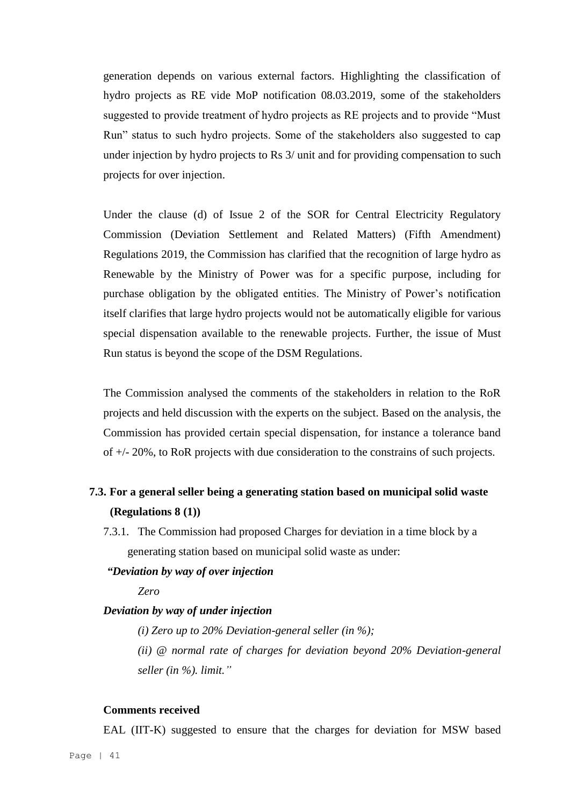generation depends on various external factors. Highlighting the classification of hydro projects as RE vide MoP notification 08.03.2019, some of the stakeholders suggested to provide treatment of hydro projects as RE projects and to provide "Must Run" status to such hydro projects. Some of the stakeholders also suggested to cap under injection by hydro projects to Rs 3/ unit and for providing compensation to such projects for over injection.

Under the clause (d) of Issue 2 of the SOR for Central Electricity Regulatory Commission (Deviation Settlement and Related Matters) (Fifth Amendment) Regulations 2019, the Commission has clarified that the recognition of large hydro as Renewable by the Ministry of Power was for a specific purpose, including for purchase obligation by the obligated entities. The Ministry of Power's notification itself clarifies that large hydro projects would not be automatically eligible for various special dispensation available to the renewable projects. Further, the issue of Must Run status is beyond the scope of the DSM Regulations.

The Commission analysed the comments of the stakeholders in relation to the RoR projects and held discussion with the experts on the subject. Based on the analysis, the Commission has provided certain special dispensation, for instance a tolerance band of +/- 20%, to RoR projects with due consideration to the constrains of such projects.

# **7.3. For a general seller being a generating station based on municipal solid waste (Regulations 8 (1))**

7.3.1. The Commission had proposed Charges for deviation in a time block by a generating station based on municipal solid waste as under:

# *"Deviation by way of over injection*

*Zero*

### *Deviation by way of under injection*

*(i) Zero up to 20% Deviation-general seller (in %);* 

*(ii) @ normal rate of charges for deviation beyond 20% Deviation-general seller (in %). limit."*

# **Comments received**

EAL (IIT-K) suggested to ensure that the charges for deviation for MSW based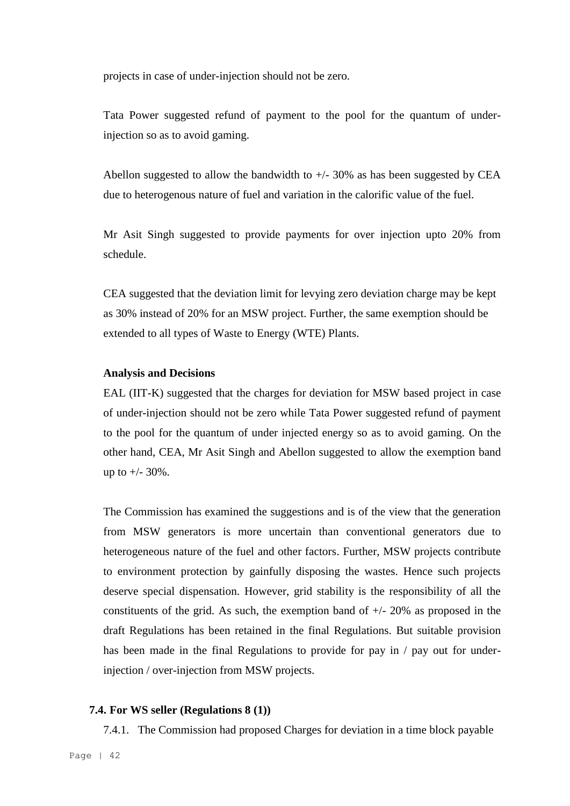projects in case of under-injection should not be zero.

Tata Power suggested refund of payment to the pool for the quantum of underinjection so as to avoid gaming.

Abellon suggested to allow the bandwidth to  $+/- 30\%$  as has been suggested by CEA due to heterogenous nature of fuel and variation in the calorific value of the fuel.

Mr Asit Singh suggested to provide payments for over injection upto 20% from schedule.

CEA suggested that the deviation limit for levying zero deviation charge may be kept as 30% instead of 20% for an MSW project. Further, the same exemption should be extended to all types of Waste to Energy (WTE) Plants.

### **Analysis and Decisions**

EAL (IIT-K) suggested that the charges for deviation for MSW based project in case of under-injection should not be zero while Tata Power suggested refund of payment to the pool for the quantum of under injected energy so as to avoid gaming. On the other hand, CEA, Mr Asit Singh and Abellon suggested to allow the exemption band up to  $+/- 30\%$ .

The Commission has examined the suggestions and is of the view that the generation from MSW generators is more uncertain than conventional generators due to heterogeneous nature of the fuel and other factors. Further, MSW projects contribute to environment protection by gainfully disposing the wastes. Hence such projects deserve special dispensation. However, grid stability is the responsibility of all the constituents of the grid. As such, the exemption band of  $+/- 20\%$  as proposed in the draft Regulations has been retained in the final Regulations. But suitable provision has been made in the final Regulations to provide for pay in / pay out for underinjection / over-injection from MSW projects.

### **7.4. For WS seller (Regulations 8 (1))**

7.4.1. The Commission had proposed Charges for deviation in a time block payable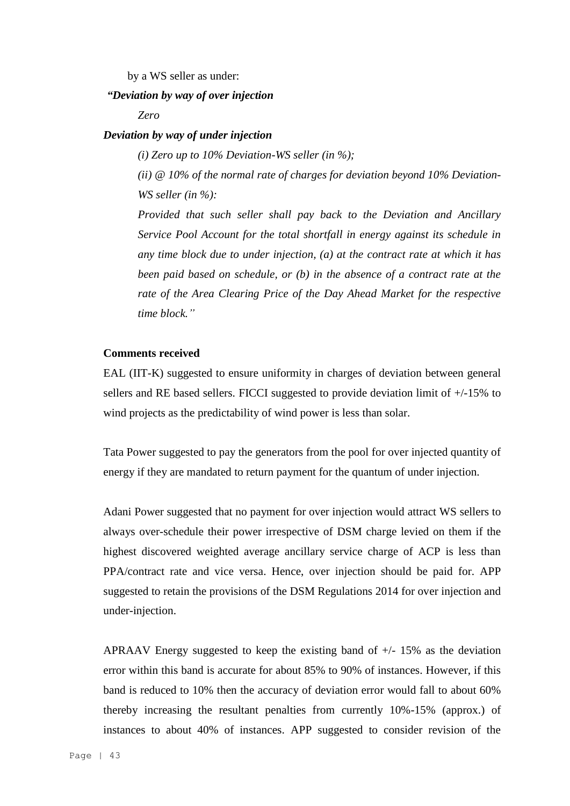by a WS seller as under:

### *"Deviation by way of over injection*

*Zero* 

# *Deviation by way of under injection*

*(i) Zero up to 10% Deviation-WS seller (in %); (ii) @ 10% of the normal rate of charges for deviation beyond 10% Deviation-WS seller (in %): Provided that such seller shall pay back to the Deviation and Ancillary Service Pool Account for the total shortfall in energy against its schedule in any time block due to under injection, (a) at the contract rate at which it has been paid based on schedule, or (b) in the absence of a contract rate at the rate of the Area Clearing Price of the Day Ahead Market for the respective time block."*

# **Comments received**

EAL (IIT-K) suggested to ensure uniformity in charges of deviation between general sellers and RE based sellers. FICCI suggested to provide deviation limit of +/-15% to wind projects as the predictability of wind power is less than solar.

Tata Power suggested to pay the generators from the pool for over injected quantity of energy if they are mandated to return payment for the quantum of under injection.

Adani Power suggested that no payment for over injection would attract WS sellers to always over-schedule their power irrespective of DSM charge levied on them if the highest discovered weighted average ancillary service charge of ACP is less than PPA/contract rate and vice versa. Hence, over injection should be paid for. APP suggested to retain the provisions of the DSM Regulations 2014 for over injection and under-injection.

APRAAV Energy suggested to keep the existing band of  $+/- 15\%$  as the deviation error within this band is accurate for about 85% to 90% of instances. However, if this band is reduced to 10% then the accuracy of deviation error would fall to about 60% thereby increasing the resultant penalties from currently 10%-15% (approx.) of instances to about 40% of instances. APP suggested to consider revision of the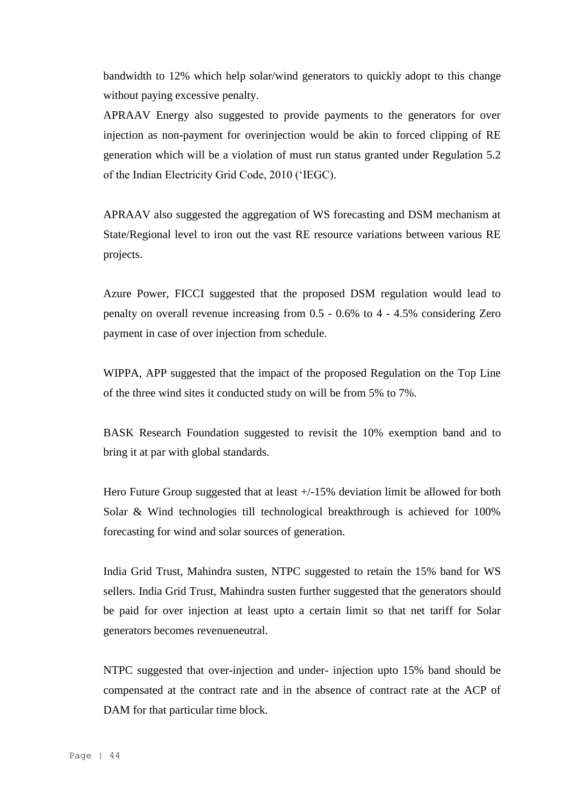bandwidth to 12% which help solar/wind generators to quickly adopt to this change without paying excessive penalty.

APRAAV Energy also suggested to provide payments to the generators for over injection as non-payment for overinjection would be akin to forced clipping of RE generation which will be a violation of must run status granted under Regulation 5.2 of the Indian Electricity Grid Code, 2010 ('IEGC).

APRAAV also suggested the aggregation of WS forecasting and DSM mechanism at State/Regional level to iron out the vast RE resource variations between various RE projects.

Azure Power, FICCI suggested that the proposed DSM regulation would lead to penalty on overall revenue increasing from 0.5 - 0.6% to 4 - 4.5% considering Zero payment in case of over injection from schedule.

WIPPA, APP suggested that the impact of the proposed Regulation on the Top Line of the three wind sites it conducted study on will be from 5% to 7%.

BASK Research Foundation suggested to revisit the 10% exemption band and to bring it at par with global standards.

Hero Future Group suggested that at least +/-15% deviation limit be allowed for both Solar & Wind technologies till technological breakthrough is achieved for 100% forecasting for wind and solar sources of generation.

India Grid Trust, Mahindra susten, NTPC suggested to retain the 15% band for WS sellers. India Grid Trust, Mahindra susten further suggested that the generators should be paid for over injection at least upto a certain limit so that net tariff for Solar generators becomes revenueneutral.

NTPC suggested that over-injection and under- injection upto 15% band should be compensated at the contract rate and in the absence of contract rate at the ACP of DAM for that particular time block.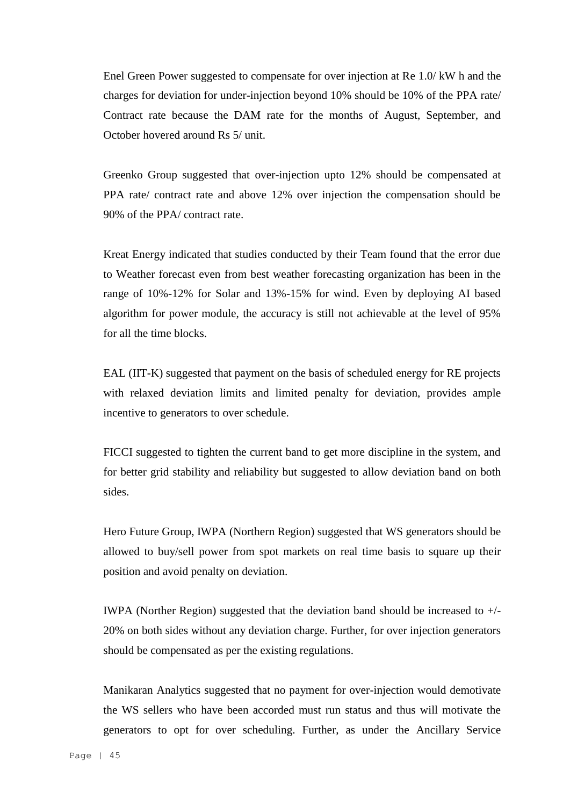Enel Green Power suggested to compensate for over injection at Re 1.0/ kW h and the charges for deviation for under-injection beyond 10% should be 10% of the PPA rate/ Contract rate because the DAM rate for the months of August, September, and October hovered around Rs 5/ unit.

Greenko Group suggested that over-injection upto 12% should be compensated at PPA rate/ contract rate and above 12% over injection the compensation should be 90% of the PPA/ contract rate.

Kreat Energy indicated that studies conducted by their Team found that the error due to Weather forecast even from best weather forecasting organization has been in the range of 10%-12% for Solar and 13%-15% for wind. Even by deploying AI based algorithm for power module, the accuracy is still not achievable at the level of 95% for all the time blocks.

EAL (IIT-K) suggested that payment on the basis of scheduled energy for RE projects with relaxed deviation limits and limited penalty for deviation, provides ample incentive to generators to over schedule.

FICCI suggested to tighten the current band to get more discipline in the system, and for better grid stability and reliability but suggested to allow deviation band on both sides.

Hero Future Group, IWPA (Northern Region) suggested that WS generators should be allowed to buy/sell power from spot markets on real time basis to square up their position and avoid penalty on deviation.

IWPA (Norther Region) suggested that the deviation band should be increased to +/- 20% on both sides without any deviation charge. Further, for over injection generators should be compensated as per the existing regulations.

Manikaran Analytics suggested that no payment for over-injection would demotivate the WS sellers who have been accorded must run status and thus will motivate the generators to opt for over scheduling. Further, as under the Ancillary Service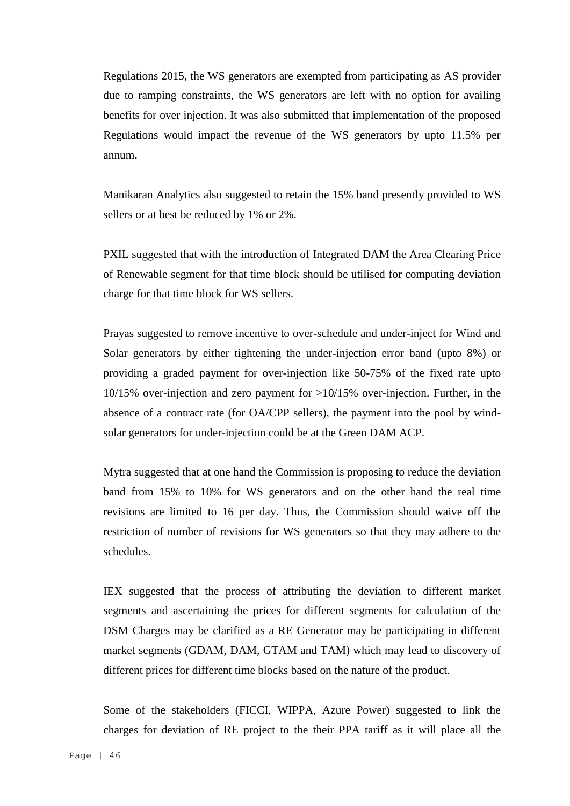Regulations 2015, the WS generators are exempted from participating as AS provider due to ramping constraints, the WS generators are left with no option for availing benefits for over injection. It was also submitted that implementation of the proposed Regulations would impact the revenue of the WS generators by upto 11.5% per annum.

Manikaran Analytics also suggested to retain the 15% band presently provided to WS sellers or at best be reduced by 1% or 2%.

PXIL suggested that with the introduction of Integrated DAM the Area Clearing Price of Renewable segment for that time block should be utilised for computing deviation charge for that time block for WS sellers.

Prayas suggested to remove incentive to over-schedule and under-inject for Wind and Solar generators by either tightening the under-injection error band (upto 8%) or providing a graded payment for over-injection like 50-75% of the fixed rate upto 10/15% over-injection and zero payment for >10/15% over-injection. Further, in the absence of a contract rate (for OA/CPP sellers), the payment into the pool by windsolar generators for under-injection could be at the Green DAM ACP.

Mytra suggested that at one hand the Commission is proposing to reduce the deviation band from 15% to 10% for WS generators and on the other hand the real time revisions are limited to 16 per day. Thus, the Commission should waive off the restriction of number of revisions for WS generators so that they may adhere to the schedules.

IEX suggested that the process of attributing the deviation to different market segments and ascertaining the prices for different segments for calculation of the DSM Charges may be clarified as a RE Generator may be participating in different market segments (GDAM, DAM, GTAM and TAM) which may lead to discovery of different prices for different time blocks based on the nature of the product.

Some of the stakeholders (FICCI, WIPPA, Azure Power) suggested to link the charges for deviation of RE project to the their PPA tariff as it will place all the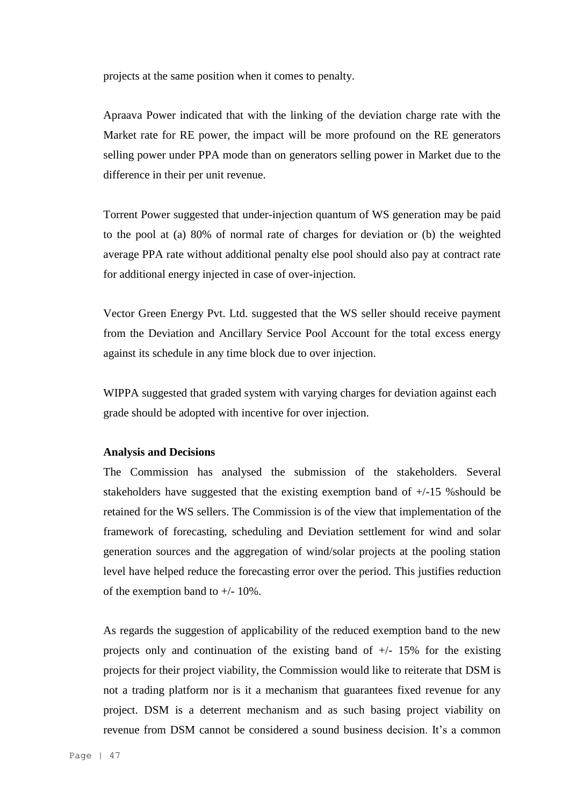projects at the same position when it comes to penalty.

Apraava Power indicated that with the linking of the deviation charge rate with the Market rate for RE power, the impact will be more profound on the RE generators selling power under PPA mode than on generators selling power in Market due to the difference in their per unit revenue.

Torrent Power suggested that under-injection quantum of WS generation may be paid to the pool at (a) 80% of normal rate of charges for deviation or (b) the weighted average PPA rate without additional penalty else pool should also pay at contract rate for additional energy injected in case of over-injection.

Vector Green Energy Pvt. Ltd. suggested that the WS seller should receive payment from the Deviation and Ancillary Service Pool Account for the total excess energy against its schedule in any time block due to over injection.

WIPPA suggested that graded system with varying charges for deviation against each grade should be adopted with incentive for over injection.

#### **Analysis and Decisions**

The Commission has analysed the submission of the stakeholders. Several stakeholders have suggested that the existing exemption band of +/-15 %should be retained for the WS sellers. The Commission is of the view that implementation of the framework of forecasting, scheduling and Deviation settlement for wind and solar generation sources and the aggregation of wind/solar projects at the pooling station level have helped reduce the forecasting error over the period. This justifies reduction of the exemption band to +/- 10%.

As regards the suggestion of applicability of the reduced exemption band to the new projects only and continuation of the existing band of  $+/- 15\%$  for the existing projects for their project viability, the Commission would like to reiterate that DSM is not a trading platform nor is it a mechanism that guarantees fixed revenue for any project. DSM is a deterrent mechanism and as such basing project viability on revenue from DSM cannot be considered a sound business decision. It's a common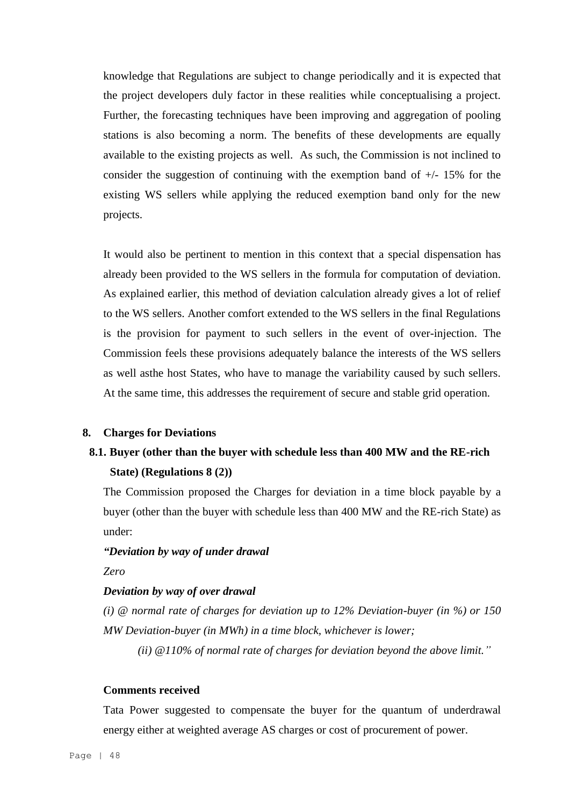knowledge that Regulations are subject to change periodically and it is expected that the project developers duly factor in these realities while conceptualising a project. Further, the forecasting techniques have been improving and aggregation of pooling stations is also becoming a norm. The benefits of these developments are equally available to the existing projects as well. As such, the Commission is not inclined to consider the suggestion of continuing with the exemption band of  $+/-15\%$  for the existing WS sellers while applying the reduced exemption band only for the new projects.

It would also be pertinent to mention in this context that a special dispensation has already been provided to the WS sellers in the formula for computation of deviation. As explained earlier, this method of deviation calculation already gives a lot of relief to the WS sellers. Another comfort extended to the WS sellers in the final Regulations is the provision for payment to such sellers in the event of over-injection. The Commission feels these provisions adequately balance the interests of the WS sellers as well asthe host States, who have to manage the variability caused by such sellers. At the same time, this addresses the requirement of secure and stable grid operation.

#### **8. Charges for Deviations**

# **8.1. Buyer (other than the buyer with schedule less than 400 MW and the RE-rich State) (Regulations 8 (2))**

The Commission proposed the Charges for deviation in a time block payable by a buyer (other than the buyer with schedule less than 400 MW and the RE-rich State) as under:

### *"Deviation by way of under drawal*

*Zero*

### *Deviation by way of over drawal*

*(i) @ normal rate of charges for deviation up to 12% Deviation-buyer (in %) or 150 MW Deviation-buyer (in MWh) in a time block, whichever is lower;*

*(ii) @110% of normal rate of charges for deviation beyond the above limit."*

### **Comments received**

Tata Power suggested to compensate the buyer for the quantum of underdrawal energy either at weighted average AS charges or cost of procurement of power.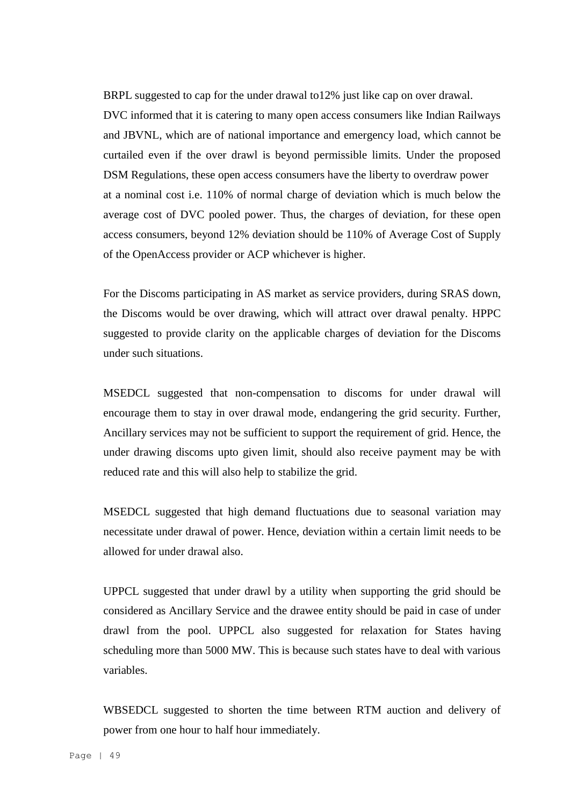BRPL suggested to cap for the under drawal to12% just like cap on over drawal. DVC informed that it is catering to many open access consumers like Indian Railways and JBVNL, which are of national importance and emergency load, which cannot be curtailed even if the over drawl is beyond permissible limits. Under the proposed DSM Regulations, these open access consumers have the liberty to overdraw power at a nominal cost i.e. 110% of normal charge of deviation which is much below the average cost of DVC pooled power. Thus, the charges of deviation, for these open access consumers, beyond 12% deviation should be 110% of Average Cost of Supply of the OpenAccess provider or ACP whichever is higher.

For the Discoms participating in AS market as service providers, during SRAS down, the Discoms would be over drawing, which will attract over drawal penalty. HPPC suggested to provide clarity on the applicable charges of deviation for the Discoms under such situations.

MSEDCL suggested that non-compensation to discoms for under drawal will encourage them to stay in over drawal mode, endangering the grid security. Further, Ancillary services may not be sufficient to support the requirement of grid. Hence, the under drawing discoms upto given limit, should also receive payment may be with reduced rate and this will also help to stabilize the grid.

MSEDCL suggested that high demand fluctuations due to seasonal variation may necessitate under drawal of power. Hence, deviation within a certain limit needs to be allowed for under drawal also.

UPPCL suggested that under drawl by a utility when supporting the grid should be considered as Ancillary Service and the drawee entity should be paid in case of under drawl from the pool. UPPCL also suggested for relaxation for States having scheduling more than 5000 MW. This is because such states have to deal with various variables.

WBSEDCL suggested to shorten the time between RTM auction and delivery of power from one hour to half hour immediately.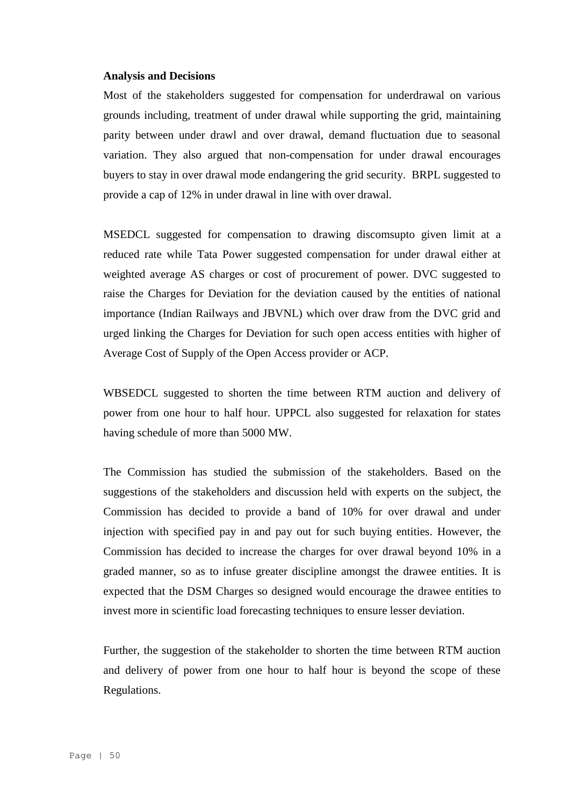#### **Analysis and Decisions**

Most of the stakeholders suggested for compensation for underdrawal on various grounds including, treatment of under drawal while supporting the grid, maintaining parity between under drawl and over drawal, demand fluctuation due to seasonal variation. They also argued that non-compensation for under drawal encourages buyers to stay in over drawal mode endangering the grid security. BRPL suggested to provide a cap of 12% in under drawal in line with over drawal.

MSEDCL suggested for compensation to drawing discomsupto given limit at a reduced rate while Tata Power suggested compensation for under drawal either at weighted average AS charges or cost of procurement of power. DVC suggested to raise the Charges for Deviation for the deviation caused by the entities of national importance (Indian Railways and JBVNL) which over draw from the DVC grid and urged linking the Charges for Deviation for such open access entities with higher of Average Cost of Supply of the Open Access provider or ACP.

WBSEDCL suggested to shorten the time between RTM auction and delivery of power from one hour to half hour. UPPCL also suggested for relaxation for states having schedule of more than 5000 MW.

The Commission has studied the submission of the stakeholders. Based on the suggestions of the stakeholders and discussion held with experts on the subject, the Commission has decided to provide a band of 10% for over drawal and under injection with specified pay in and pay out for such buying entities. However, the Commission has decided to increase the charges for over drawal beyond 10% in a graded manner, so as to infuse greater discipline amongst the drawee entities. It is expected that the DSM Charges so designed would encourage the drawee entities to invest more in scientific load forecasting techniques to ensure lesser deviation.

Further, the suggestion of the stakeholder to shorten the time between RTM auction and delivery of power from one hour to half hour is beyond the scope of these Regulations.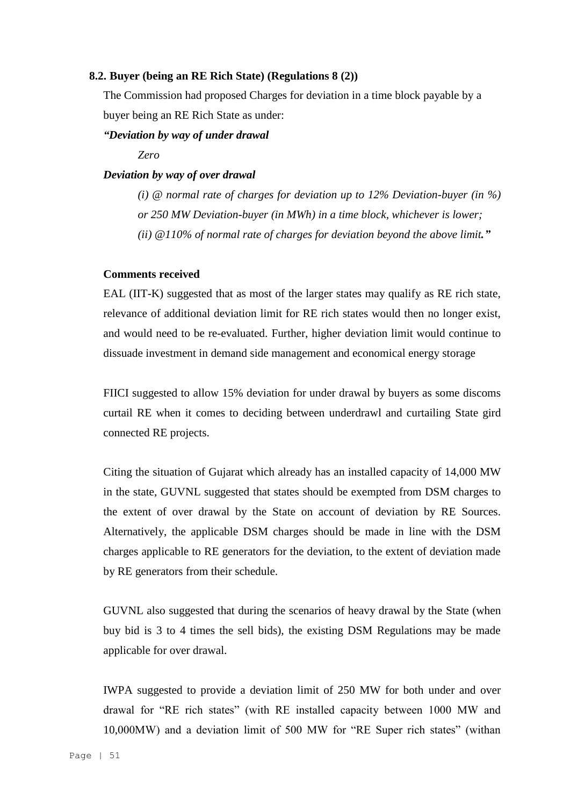### **8.2. Buyer (being an RE Rich State) (Regulations 8 (2))**

The Commission had proposed Charges for deviation in a time block payable by a buyer being an RE Rich State as under:

*"Deviation by way of under drawal*

*Zero*

### *Deviation by way of over drawal*

*(i) @ normal rate of charges for deviation up to 12% Deviation-buyer (in %) or 250 MW Deviation-buyer (in MWh) in a time block, whichever is lower; (ii) @110% of normal rate of charges for deviation beyond the above limit."*

#### **Comments received**

EAL (IIT-K) suggested that as most of the larger states may qualify as RE rich state, relevance of additional deviation limit for RE rich states would then no longer exist, and would need to be re-evaluated. Further, higher deviation limit would continue to dissuade investment in demand side management and economical energy storage

FIICI suggested to allow 15% deviation for under drawal by buyers as some discoms curtail RE when it comes to deciding between underdrawl and curtailing State gird connected RE projects.

Citing the situation of Gujarat which already has an installed capacity of 14,000 MW in the state, GUVNL suggested that states should be exempted from DSM charges to the extent of over drawal by the State on account of deviation by RE Sources. Alternatively, the applicable DSM charges should be made in line with the DSM charges applicable to RE generators for the deviation, to the extent of deviation made by RE generators from their schedule.

GUVNL also suggested that during the scenarios of heavy drawal by the State (when buy bid is 3 to 4 times the sell bids), the existing DSM Regulations may be made applicable for over drawal.

IWPA suggested to provide a deviation limit of 250 MW for both under and over drawal for "RE rich states" (with RE installed capacity between 1000 MW and 10,000MW) and a deviation limit of 500 MW for "RE Super rich states" (withan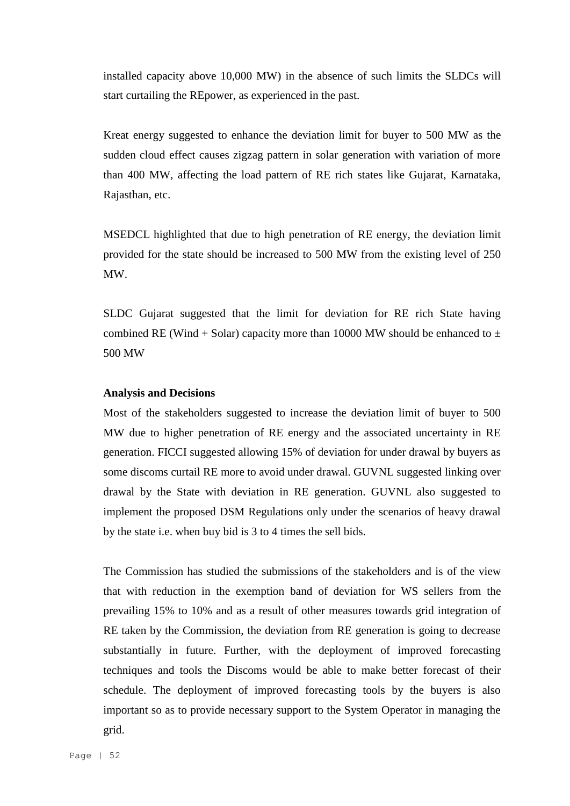installed capacity above 10,000 MW) in the absence of such limits the SLDCs will start curtailing the REpower, as experienced in the past.

Kreat energy suggested to enhance the deviation limit for buyer to 500 MW as the sudden cloud effect causes zigzag pattern in solar generation with variation of more than 400 MW, affecting the load pattern of RE rich states like Gujarat, Karnataka, Rajasthan, etc.

MSEDCL highlighted that due to high penetration of RE energy, the deviation limit provided for the state should be increased to 500 MW from the existing level of 250 MW.

SLDC Gujarat suggested that the limit for deviation for RE rich State having combined RE (Wind + Solar) capacity more than 10000 MW should be enhanced to  $\pm$ 500 MW

### **Analysis and Decisions**

Most of the stakeholders suggested to increase the deviation limit of buyer to 500 MW due to higher penetration of RE energy and the associated uncertainty in RE generation. FICCI suggested allowing 15% of deviation for under drawal by buyers as some discoms curtail RE more to avoid under drawal. GUVNL suggested linking over drawal by the State with deviation in RE generation. GUVNL also suggested to implement the proposed DSM Regulations only under the scenarios of heavy drawal by the state i.e. when buy bid is 3 to 4 times the sell bids.

The Commission has studied the submissions of the stakeholders and is of the view that with reduction in the exemption band of deviation for WS sellers from the prevailing 15% to 10% and as a result of other measures towards grid integration of RE taken by the Commission, the deviation from RE generation is going to decrease substantially in future. Further, with the deployment of improved forecasting techniques and tools the Discoms would be able to make better forecast of their schedule. The deployment of improved forecasting tools by the buyers is also important so as to provide necessary support to the System Operator in managing the grid.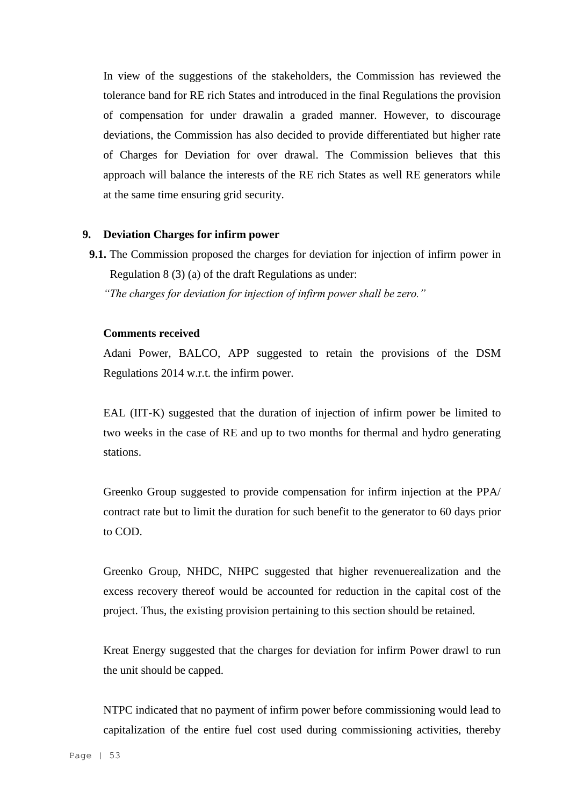In view of the suggestions of the stakeholders, the Commission has reviewed the tolerance band for RE rich States and introduced in the final Regulations the provision of compensation for under drawalin a graded manner. However, to discourage deviations, the Commission has also decided to provide differentiated but higher rate of Charges for Deviation for over drawal. The Commission believes that this approach will balance the interests of the RE rich States as well RE generators while at the same time ensuring grid security.

### **9. Deviation Charges for infirm power**

**9.1.** The Commission proposed the charges for deviation for injection of infirm power in Regulation 8 (3) (a) of the draft Regulations as under:

*"The charges for deviation for injection of infirm power shall be zero."*

### **Comments received**

Adani Power, BALCO, APP suggested to retain the provisions of the DSM Regulations 2014 w.r.t. the infirm power.

EAL (IIT-K) suggested that the duration of injection of infirm power be limited to two weeks in the case of RE and up to two months for thermal and hydro generating stations.

Greenko Group suggested to provide compensation for infirm injection at the PPA/ contract rate but to limit the duration for such benefit to the generator to 60 days prior to COD.

Greenko Group, NHDC, NHPC suggested that higher revenuerealization and the excess recovery thereof would be accounted for reduction in the capital cost of the project. Thus, the existing provision pertaining to this section should be retained.

Kreat Energy suggested that the charges for deviation for infirm Power drawl to run the unit should be capped.

NTPC indicated that no payment of infirm power before commissioning would lead to capitalization of the entire fuel cost used during commissioning activities, thereby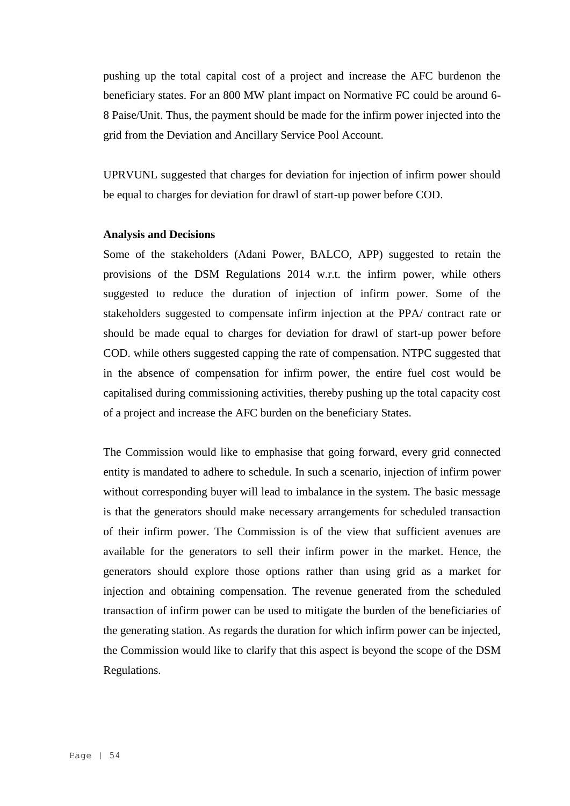pushing up the total capital cost of a project and increase the AFC burdenon the beneficiary states. For an 800 MW plant impact on Normative FC could be around 6- 8 Paise/Unit. Thus, the payment should be made for the infirm power injected into the grid from the Deviation and Ancillary Service Pool Account.

UPRVUNL suggested that charges for deviation for injection of infirm power should be equal to charges for deviation for drawl of start-up power before COD.

### **Analysis and Decisions**

Some of the stakeholders (Adani Power, BALCO, APP) suggested to retain the provisions of the DSM Regulations 2014 w.r.t. the infirm power, while others suggested to reduce the duration of injection of infirm power. Some of the stakeholders suggested to compensate infirm injection at the PPA/ contract rate or should be made equal to charges for deviation for drawl of start-up power before COD. while others suggested capping the rate of compensation. NTPC suggested that in the absence of compensation for infirm power, the entire fuel cost would be capitalised during commissioning activities, thereby pushing up the total capacity cost of a project and increase the AFC burden on the beneficiary States.

The Commission would like to emphasise that going forward, every grid connected entity is mandated to adhere to schedule. In such a scenario, injection of infirm power without corresponding buyer will lead to imbalance in the system. The basic message is that the generators should make necessary arrangements for scheduled transaction of their infirm power. The Commission is of the view that sufficient avenues are available for the generators to sell their infirm power in the market. Hence, the generators should explore those options rather than using grid as a market for injection and obtaining compensation. The revenue generated from the scheduled transaction of infirm power can be used to mitigate the burden of the beneficiaries of the generating station. As regards the duration for which infirm power can be injected, the Commission would like to clarify that this aspect is beyond the scope of the DSM Regulations.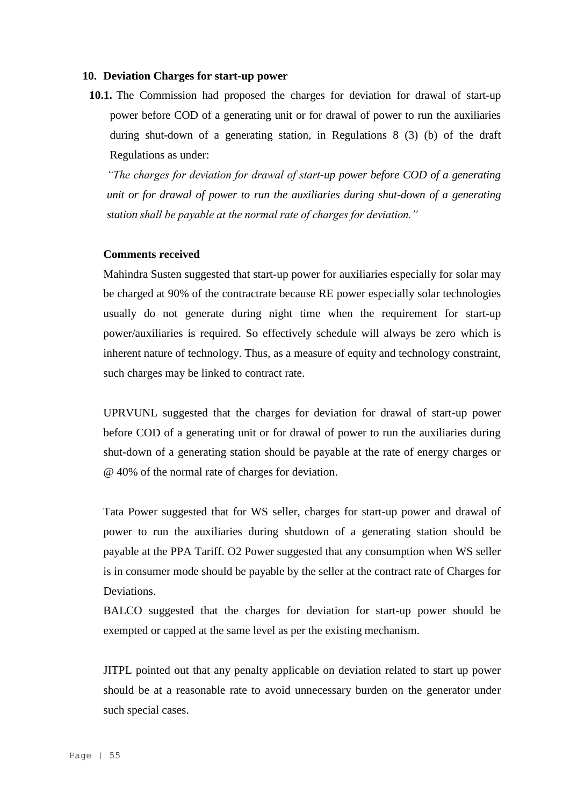### **10. Deviation Charges for start-up power**

**10.1.** The Commission had proposed the charges for deviation for drawal of start-up power before COD of a generating unit or for drawal of power to run the auxiliaries during shut-down of a generating station, in Regulations 8 (3) (b) of the draft Regulations as under:

*"The charges for deviation for drawal of start-up power before COD of a generating unit or for drawal of power to run the auxiliaries during shut-down of a generating station shall be payable at the normal rate of charges for deviation."*

### **Comments received**

Mahindra Susten suggested that start-up power for auxiliaries especially for solar may be charged at 90% of the contractrate because RE power especially solar technologies usually do not generate during night time when the requirement for start-up power/auxiliaries is required. So effectively schedule will always be zero which is inherent nature of technology. Thus, as a measure of equity and technology constraint, such charges may be linked to contract rate.

UPRVUNL suggested that the charges for deviation for drawal of start-up power before COD of a generating unit or for drawal of power to run the auxiliaries during shut-down of a generating station should be payable at the rate of energy charges or @ 40% of the normal rate of charges for deviation.

Tata Power suggested that for WS seller, charges for start-up power and drawal of power to run the auxiliaries during shutdown of a generating station should be payable at the PPA Tariff. O2 Power suggested that any consumption when WS seller is in consumer mode should be payable by the seller at the contract rate of Charges for Deviations.

BALCO suggested that the charges for deviation for start-up power should be exempted or capped at the same level as per the existing mechanism.

JITPL pointed out that any penalty applicable on deviation related to start up power should be at a reasonable rate to avoid unnecessary burden on the generator under such special cases.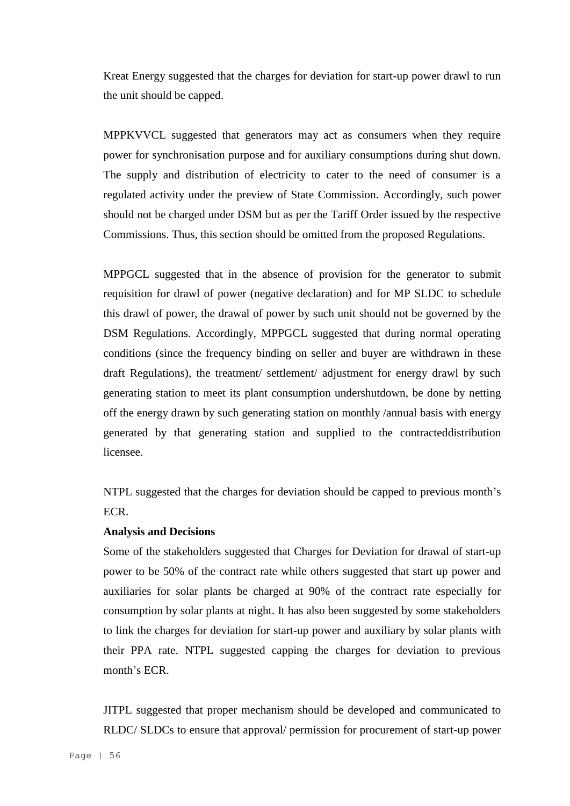Kreat Energy suggested that the charges for deviation for start-up power drawl to run the unit should be capped.

MPPKVVCL suggested that generators may act as consumers when they require power for synchronisation purpose and for auxiliary consumptions during shut down. The supply and distribution of electricity to cater to the need of consumer is a regulated activity under the preview of State Commission. Accordingly, such power should not be charged under DSM but as per the Tariff Order issued by the respective Commissions. Thus, this section should be omitted from the proposed Regulations.

MPPGCL suggested that in the absence of provision for the generator to submit requisition for drawl of power (negative declaration) and for MP SLDC to schedule this drawl of power, the drawal of power by such unit should not be governed by the DSM Regulations. Accordingly, MPPGCL suggested that during normal operating conditions (since the frequency binding on seller and buyer are withdrawn in these draft Regulations), the treatment/ settlement/ adjustment for energy drawl by such generating station to meet its plant consumption undershutdown, be done by netting off the energy drawn by such generating station on monthly /annual basis with energy generated by that generating station and supplied to the contracteddistribution licensee.

NTPL suggested that the charges for deviation should be capped to previous month's ECR.

### **Analysis and Decisions**

Some of the stakeholders suggested that Charges for Deviation for drawal of start-up power to be 50% of the contract rate while others suggested that start up power and auxiliaries for solar plants be charged at 90% of the contract rate especially for consumption by solar plants at night. It has also been suggested by some stakeholders to link the charges for deviation for start-up power and auxiliary by solar plants with their PPA rate. NTPL suggested capping the charges for deviation to previous month's ECR.

JITPL suggested that proper mechanism should be developed and communicated to RLDC/ SLDCs to ensure that approval/ permission for procurement of start-up power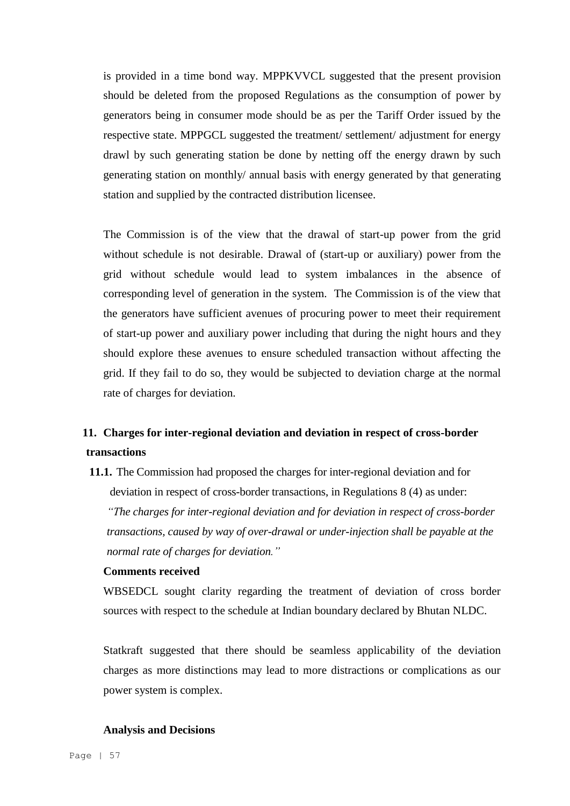is provided in a time bond way. MPPKVVCL suggested that the present provision should be deleted from the proposed Regulations as the consumption of power by generators being in consumer mode should be as per the Tariff Order issued by the respective state. MPPGCL suggested the treatment/ settlement/ adjustment for energy drawl by such generating station be done by netting off the energy drawn by such generating station on monthly/ annual basis with energy generated by that generating station and supplied by the contracted distribution licensee.

The Commission is of the view that the drawal of start-up power from the grid without schedule is not desirable. Drawal of (start-up or auxiliary) power from the grid without schedule would lead to system imbalances in the absence of corresponding level of generation in the system. The Commission is of the view that the generators have sufficient avenues of procuring power to meet their requirement of start-up power and auxiliary power including that during the night hours and they should explore these avenues to ensure scheduled transaction without affecting the grid. If they fail to do so, they would be subjected to deviation charge at the normal rate of charges for deviation.

# **11. Charges for inter-regional deviation and deviation in respect of cross-border transactions**

**11.1.** The Commission had proposed the charges for inter-regional deviation and for deviation in respect of cross-border transactions, in Regulations 8 (4) as under: *"The charges for inter-regional deviation and for deviation in respect of cross-border transactions, caused by way of over-drawal or under-injection shall be payable at the normal rate of charges for deviation."*

### **Comments received**

WBSEDCL sought clarity regarding the treatment of deviation of cross border sources with respect to the schedule at Indian boundary declared by Bhutan NLDC.

Statkraft suggested that there should be seamless applicability of the deviation charges as more distinctions may lead to more distractions or complications as our power system is complex.

#### **Analysis and Decisions**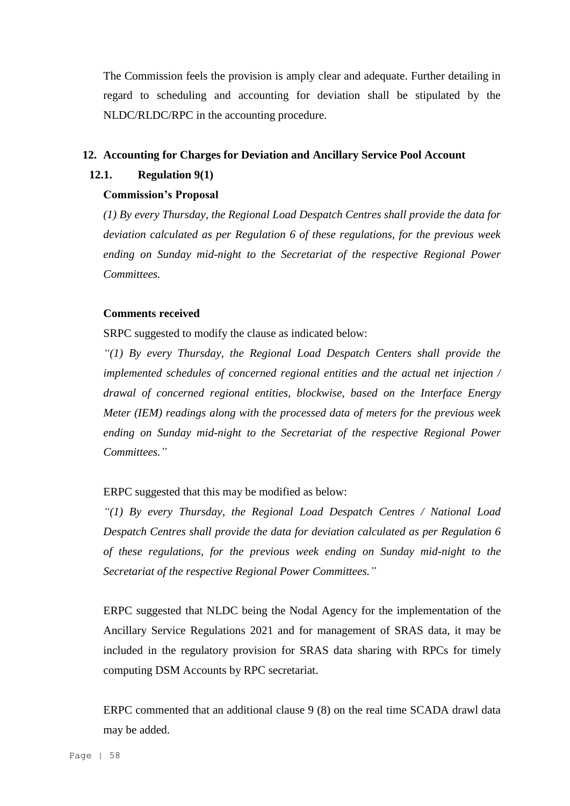The Commission feels the provision is amply clear and adequate. Further detailing in regard to scheduling and accounting for deviation shall be stipulated by the NLDC/RLDC/RPC in the accounting procedure.

### **12. Accounting for Charges for Deviation and Ancillary Service Pool Account**

# **12.1. Regulation 9(1)**

### **Commission's Proposal**

*(1) By every Thursday, the Regional Load Despatch Centres shall provide the data for deviation calculated as per Regulation 6 of these regulations, for the previous week ending on Sunday mid-night to the Secretariat of the respective Regional Power Committees.*

### **Comments received**

SRPC suggested to modify the clause as indicated below:

*"(1) By every Thursday, the Regional Load Despatch Centers shall provide the implemented schedules of concerned regional entities and the actual net injection / drawal of concerned regional entities, blockwise, based on the Interface Energy Meter (IEM) readings along with the processed data of meters for the previous week ending on Sunday mid-night to the Secretariat of the respective Regional Power Committees."*

### ERPC suggested that this may be modified as below:

*"(1) By every Thursday, the Regional Load Despatch Centres / National Load Despatch Centres shall provide the data for deviation calculated as per Regulation 6 of these regulations, for the previous week ending on Sunday mid-night to the Secretariat of the respective Regional Power Committees."*

ERPC suggested that NLDC being the Nodal Agency for the implementation of the Ancillary Service Regulations 2021 and for management of SRAS data, it may be included in the regulatory provision for SRAS data sharing with RPCs for timely computing DSM Accounts by RPC secretariat.

ERPC commented that an additional clause 9 (8) on the real time SCADA drawl data may be added.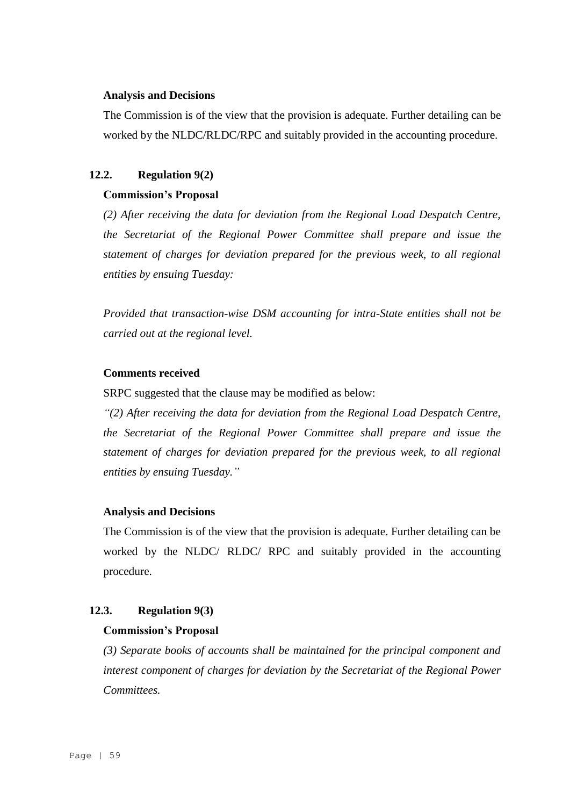### **Analysis and Decisions**

The Commission is of the view that the provision is adequate. Further detailing can be worked by the NLDC/RLDC/RPC and suitably provided in the accounting procedure.

# **12.2. Regulation 9(2)**

# **Commission's Proposal**

*(2) After receiving the data for deviation from the Regional Load Despatch Centre, the Secretariat of the Regional Power Committee shall prepare and issue the statement of charges for deviation prepared for the previous week, to all regional entities by ensuing Tuesday:*

*Provided that transaction-wise DSM accounting for intra-State entities shall not be carried out at the regional level.*

# **Comments received**

SRPC suggested that the clause may be modified as below:

*"(2) After receiving the data for deviation from the Regional Load Despatch Centre, the Secretariat of the Regional Power Committee shall prepare and issue the statement of charges for deviation prepared for the previous week, to all regional entities by ensuing Tuesday."*

### **Analysis and Decisions**

The Commission is of the view that the provision is adequate. Further detailing can be worked by the NLDC/ RLDC/ RPC and suitably provided in the accounting procedure.

# **12.3. Regulation 9(3)**

# **Commission's Proposal**

*(3) Separate books of accounts shall be maintained for the principal component and interest component of charges for deviation by the Secretariat of the Regional Power Committees.*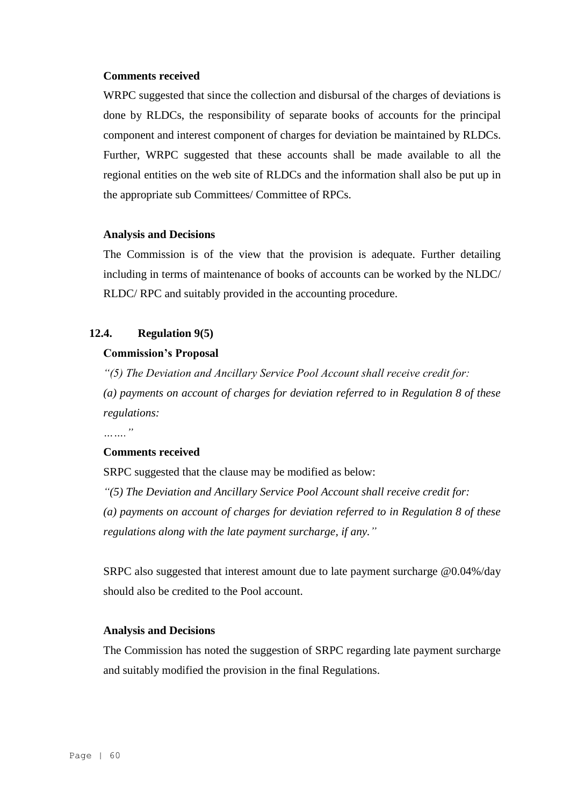### **Comments received**

WRPC suggested that since the collection and disbursal of the charges of deviations is done by RLDCs, the responsibility of separate books of accounts for the principal component and interest component of charges for deviation be maintained by RLDCs. Further, WRPC suggested that these accounts shall be made available to all the regional entities on the web site of RLDCs and the information shall also be put up in the appropriate sub Committees/ Committee of RPCs.

# **Analysis and Decisions**

The Commission is of the view that the provision is adequate. Further detailing including in terms of maintenance of books of accounts can be worked by the NLDC/ RLDC/ RPC and suitably provided in the accounting procedure.

# **12.4. Regulation 9(5)**

# **Commission's Proposal**

*"(5) The Deviation and Ancillary Service Pool Account shall receive credit for: (a) payments on account of charges for deviation referred to in Regulation 8 of these regulations:*

*……."*

### **Comments received**

SRPC suggested that the clause may be modified as below:

*"(5) The Deviation and Ancillary Service Pool Account shall receive credit for: (a) payments on account of charges for deviation referred to in Regulation 8 of these regulations along with the late payment surcharge, if any."*

SRPC also suggested that interest amount due to late payment surcharge @0.04%/day should also be credited to the Pool account.

### **Analysis and Decisions**

The Commission has noted the suggestion of SRPC regarding late payment surcharge and suitably modified the provision in the final Regulations.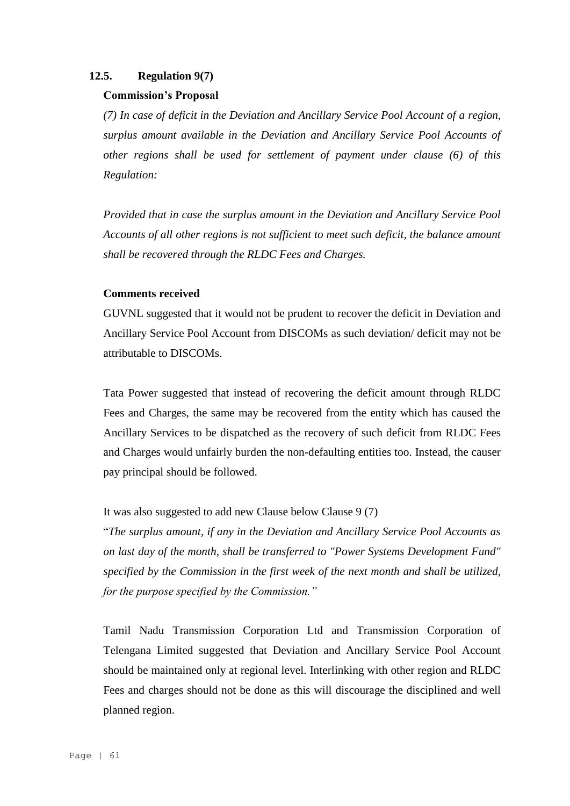# **12.5. Regulation 9(7)**

### **Commission's Proposal**

*(7) In case of deficit in the Deviation and Ancillary Service Pool Account of a region, surplus amount available in the Deviation and Ancillary Service Pool Accounts of other regions shall be used for settlement of payment under clause (6) of this Regulation:* 

*Provided that in case the surplus amount in the Deviation and Ancillary Service Pool Accounts of all other regions is not sufficient to meet such deficit, the balance amount shall be recovered through the RLDC Fees and Charges.*

### **Comments received**

GUVNL suggested that it would not be prudent to recover the deficit in Deviation and Ancillary Service Pool Account from DISCOMs as such deviation/ deficit may not be attributable to DISCOMs.

Tata Power suggested that instead of recovering the deficit amount through RLDC Fees and Charges, the same may be recovered from the entity which has caused the Ancillary Services to be dispatched as the recovery of such deficit from RLDC Fees and Charges would unfairly burden the non-defaulting entities too. Instead, the causer pay principal should be followed.

# It was also suggested to add new Clause below Clause 9 (7)

"*The surplus amount, if any in the Deviation and Ancillary Service Pool Accounts as on last day of the month, shall be transferred to "Power Systems Development Fund" specified by the Commission in the first week of the next month and shall be utilized, for the purpose specified by the Commission."*

Tamil Nadu Transmission Corporation Ltd and Transmission Corporation of Telengana Limited suggested that Deviation and Ancillary Service Pool Account should be maintained only at regional level. Interlinking with other region and RLDC Fees and charges should not be done as this will discourage the disciplined and well planned region.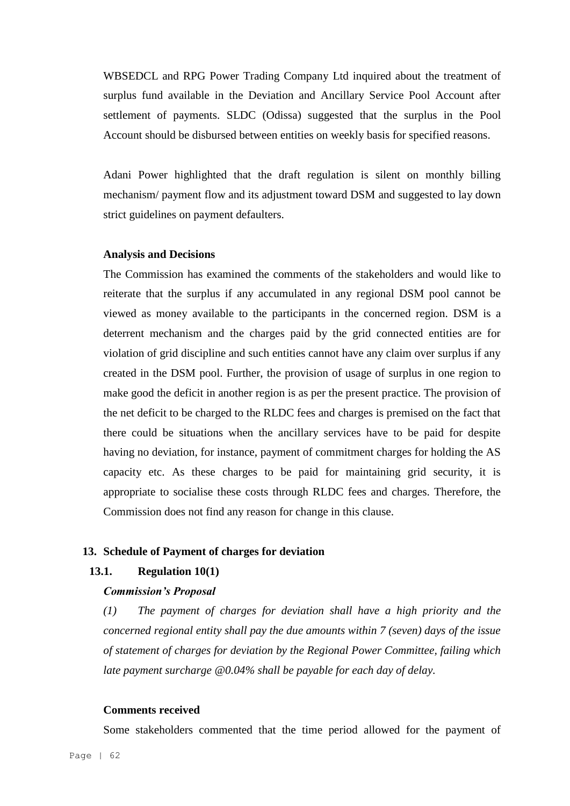WBSEDCL and RPG Power Trading Company Ltd inquired about the treatment of surplus fund available in the Deviation and Ancillary Service Pool Account after settlement of payments. SLDC (Odissa) suggested that the surplus in the Pool Account should be disbursed between entities on weekly basis for specified reasons.

Adani Power highlighted that the draft regulation is silent on monthly billing mechanism/ payment flow and its adjustment toward DSM and suggested to lay down strict guidelines on payment defaulters.

### **Analysis and Decisions**

The Commission has examined the comments of the stakeholders and would like to reiterate that the surplus if any accumulated in any regional DSM pool cannot be viewed as money available to the participants in the concerned region. DSM is a deterrent mechanism and the charges paid by the grid connected entities are for violation of grid discipline and such entities cannot have any claim over surplus if any created in the DSM pool. Further, the provision of usage of surplus in one region to make good the deficit in another region is as per the present practice. The provision of the net deficit to be charged to the RLDC fees and charges is premised on the fact that there could be situations when the ancillary services have to be paid for despite having no deviation, for instance, payment of commitment charges for holding the AS capacity etc. As these charges to be paid for maintaining grid security, it is appropriate to socialise these costs through RLDC fees and charges. Therefore, the Commission does not find any reason for change in this clause.

# **13. Schedule of Payment of charges for deviation**

# **13.1. Regulation 10(1)**

### *Commission's Proposal*

*(1) The payment of charges for deviation shall have a high priority and the concerned regional entity shall pay the due amounts within 7 (seven) days of the issue of statement of charges for deviation by the Regional Power Committee, failing which late payment surcharge @0.04% shall be payable for each day of delay.*

# **Comments received**

Some stakeholders commented that the time period allowed for the payment of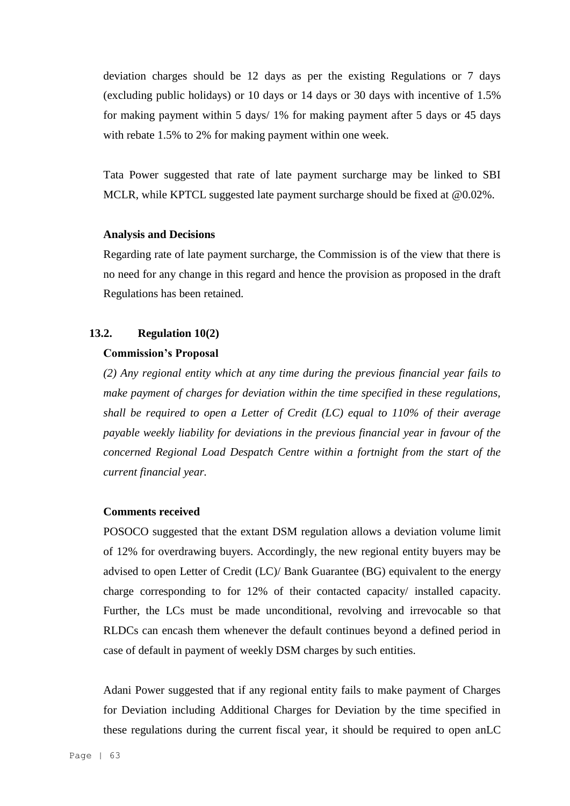deviation charges should be 12 days as per the existing Regulations or 7 days (excluding public holidays) or 10 days or 14 days or 30 days with incentive of 1.5% for making payment within 5 days/ 1% for making payment after 5 days or 45 days with rebate 1.5% to 2% for making payment within one week.

Tata Power suggested that rate of late payment surcharge may be linked to SBI MCLR, while KPTCL suggested late payment surcharge should be fixed at @0.02%.

### **Analysis and Decisions**

Regarding rate of late payment surcharge, the Commission is of the view that there is no need for any change in this regard and hence the provision as proposed in the draft Regulations has been retained.

### **13.2. Regulation 10(2)**

# **Commission's Proposal**

*(2) Any regional entity which at any time during the previous financial year fails to make payment of charges for deviation within the time specified in these regulations, shall be required to open a Letter of Credit (LC) equal to 110% of their average payable weekly liability for deviations in the previous financial year in favour of the concerned Regional Load Despatch Centre within a fortnight from the start of the current financial year.*

### **Comments received**

POSOCO suggested that the extant DSM regulation allows a deviation volume limit of 12% for overdrawing buyers. Accordingly, the new regional entity buyers may be advised to open Letter of Credit (LC)/ Bank Guarantee (BG) equivalent to the energy charge corresponding to for 12% of their contacted capacity/ installed capacity. Further, the LCs must be made unconditional, revolving and irrevocable so that RLDCs can encash them whenever the default continues beyond a defined period in case of default in payment of weekly DSM charges by such entities.

Adani Power suggested that if any regional entity fails to make payment of Charges for Deviation including Additional Charges for Deviation by the time specified in these regulations during the current fiscal year, it should be required to open anLC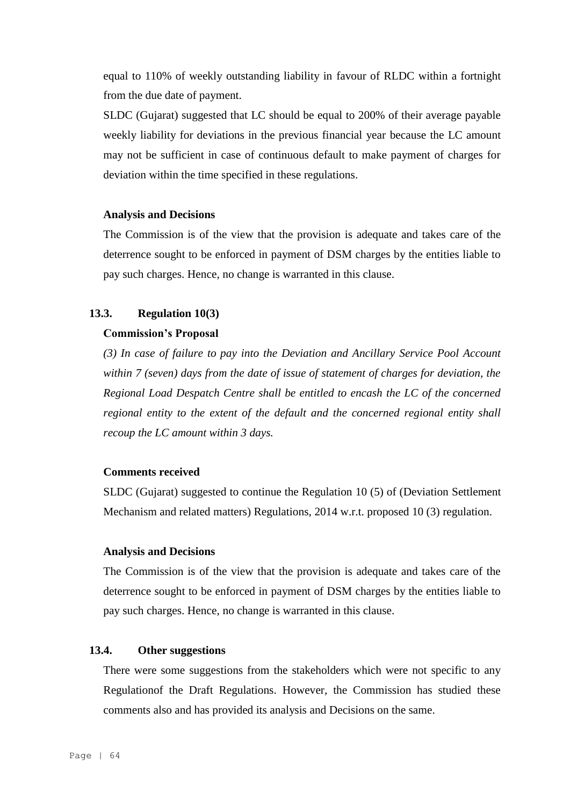equal to 110% of weekly outstanding liability in favour of RLDC within a fortnight from the due date of payment.

SLDC (Gujarat) suggested that LC should be equal to 200% of their average payable weekly liability for deviations in the previous financial year because the LC amount may not be sufficient in case of continuous default to make payment of charges for deviation within the time specified in these regulations.

### **Analysis and Decisions**

The Commission is of the view that the provision is adequate and takes care of the deterrence sought to be enforced in payment of DSM charges by the entities liable to pay such charges. Hence, no change is warranted in this clause.

# **13.3. Regulation 10(3)**

### **Commission's Proposal**

*(3) In case of failure to pay into the Deviation and Ancillary Service Pool Account within 7 (seven) days from the date of issue of statement of charges for deviation, the Regional Load Despatch Centre shall be entitled to encash the LC of the concerned regional entity to the extent of the default and the concerned regional entity shall recoup the LC amount within 3 days.*

### **Comments received**

SLDC (Gujarat) suggested to continue the Regulation 10 (5) of (Deviation Settlement Mechanism and related matters) Regulations, 2014 w.r.t. proposed 10 (3) regulation.

### **Analysis and Decisions**

The Commission is of the view that the provision is adequate and takes care of the deterrence sought to be enforced in payment of DSM charges by the entities liable to pay such charges. Hence, no change is warranted in this clause.

### **13.4. Other suggestions**

There were some suggestions from the stakeholders which were not specific to any Regulationof the Draft Regulations. However, the Commission has studied these comments also and has provided its analysis and Decisions on the same.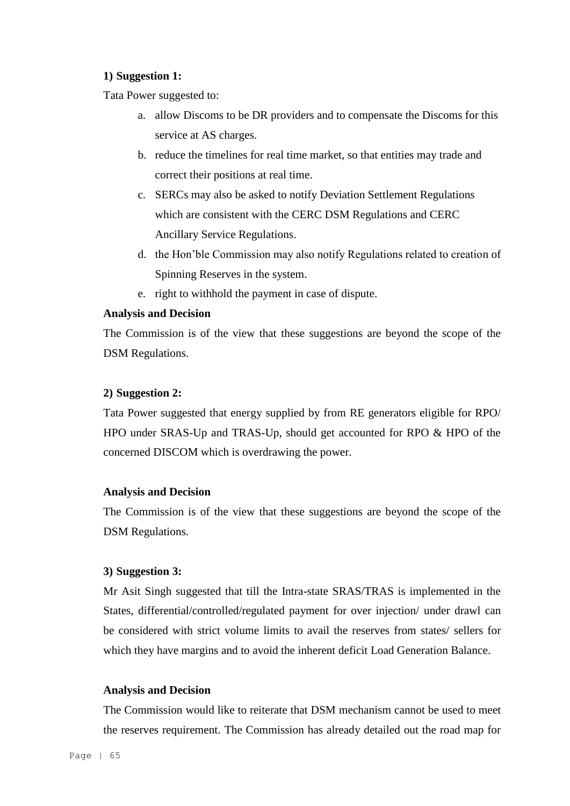# **1) Suggestion 1:**

Tata Power suggested to:

- a. allow Discoms to be DR providers and to compensate the Discoms for this service at AS charges.
- b. reduce the timelines for real time market, so that entities may trade and correct their positions at real time.
- c. SERCs may also be asked to notify Deviation Settlement Regulations which are consistent with the CERC DSM Regulations and CERC Ancillary Service Regulations.
- d. the Hon'ble Commission may also notify Regulations related to creation of Spinning Reserves in the system.
- e. right to withhold the payment in case of dispute.

# **Analysis and Decision**

The Commission is of the view that these suggestions are beyond the scope of the DSM Regulations.

# **2) Suggestion 2:**

Tata Power suggested that energy supplied by from RE generators eligible for RPO/ HPO under SRAS-Up and TRAS-Up, should get accounted for RPO & HPO of the concerned DISCOM which is overdrawing the power.

# **Analysis and Decision**

The Commission is of the view that these suggestions are beyond the scope of the DSM Regulations.

### **3) Suggestion 3:**

Mr Asit Singh suggested that till the Intra-state SRAS/TRAS is implemented in the States, differential/controlled/regulated payment for over injection/ under drawl can be considered with strict volume limits to avail the reserves from states/ sellers for which they have margins and to avoid the inherent deficit Load Generation Balance.

### **Analysis and Decision**

The Commission would like to reiterate that DSM mechanism cannot be used to meet the reserves requirement. The Commission has already detailed out the road map for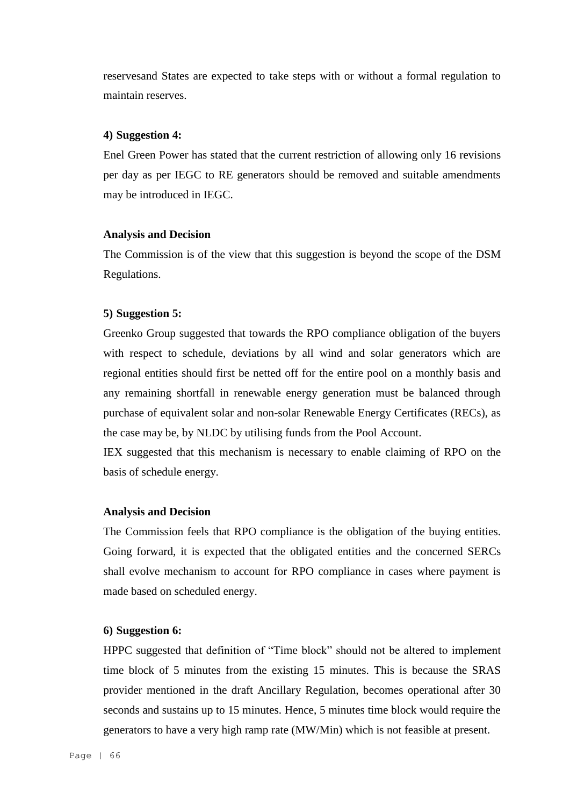reservesand States are expected to take steps with or without a formal regulation to maintain reserves.

### **4) Suggestion 4:**

Enel Green Power has stated that the current restriction of allowing only 16 revisions per day as per IEGC to RE generators should be removed and suitable amendments may be introduced in IEGC.

### **Analysis and Decision**

The Commission is of the view that this suggestion is beyond the scope of the DSM Regulations.

#### **5) Suggestion 5:**

Greenko Group suggested that towards the RPO compliance obligation of the buyers with respect to schedule, deviations by all wind and solar generators which are regional entities should first be netted off for the entire pool on a monthly basis and any remaining shortfall in renewable energy generation must be balanced through purchase of equivalent solar and non-solar Renewable Energy Certificates (RECs), as the case may be, by NLDC by utilising funds from the Pool Account.

IEX suggested that this mechanism is necessary to enable claiming of RPO on the basis of schedule energy.

### **Analysis and Decision**

The Commission feels that RPO compliance is the obligation of the buying entities. Going forward, it is expected that the obligated entities and the concerned SERCs shall evolve mechanism to account for RPO compliance in cases where payment is made based on scheduled energy.

#### **6) Suggestion 6:**

HPPC suggested that definition of "Time block" should not be altered to implement time block of 5 minutes from the existing 15 minutes. This is because the SRAS provider mentioned in the draft Ancillary Regulation, becomes operational after 30 seconds and sustains up to 15 minutes. Hence, 5 minutes time block would require the generators to have a very high ramp rate (MW/Min) which is not feasible at present.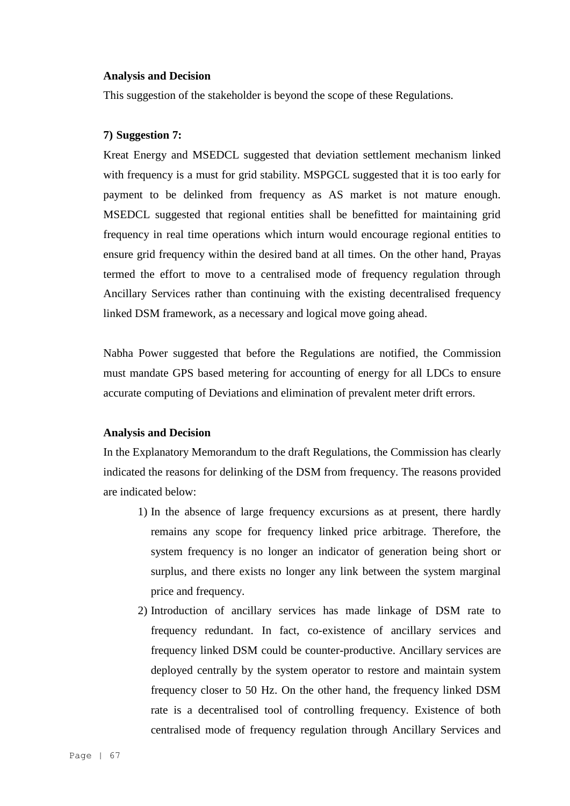### **Analysis and Decision**

This suggestion of the stakeholder is beyond the scope of these Regulations.

### **7) Suggestion 7:**

Kreat Energy and MSEDCL suggested that deviation settlement mechanism linked with frequency is a must for grid stability. MSPGCL suggested that it is too early for payment to be delinked from frequency as AS market is not mature enough. MSEDCL suggested that regional entities shall be benefitted for maintaining grid frequency in real time operations which inturn would encourage regional entities to ensure grid frequency within the desired band at all times. On the other hand, Prayas termed the effort to move to a centralised mode of frequency regulation through Ancillary Services rather than continuing with the existing decentralised frequency linked DSM framework, as a necessary and logical move going ahead.

Nabha Power suggested that before the Regulations are notified, the Commission must mandate GPS based metering for accounting of energy for all LDCs to ensure accurate computing of Deviations and elimination of prevalent meter drift errors.

#### **Analysis and Decision**

In the Explanatory Memorandum to the draft Regulations, the Commission has clearly indicated the reasons for delinking of the DSM from frequency. The reasons provided are indicated below:

- 1) In the absence of large frequency excursions as at present, there hardly remains any scope for frequency linked price arbitrage. Therefore, the system frequency is no longer an indicator of generation being short or surplus, and there exists no longer any link between the system marginal price and frequency.
- 2) Introduction of ancillary services has made linkage of DSM rate to frequency redundant. In fact, co-existence of ancillary services and frequency linked DSM could be counter-productive. Ancillary services are deployed centrally by the system operator to restore and maintain system frequency closer to 50 Hz. On the other hand, the frequency linked DSM rate is a decentralised tool of controlling frequency. Existence of both centralised mode of frequency regulation through Ancillary Services and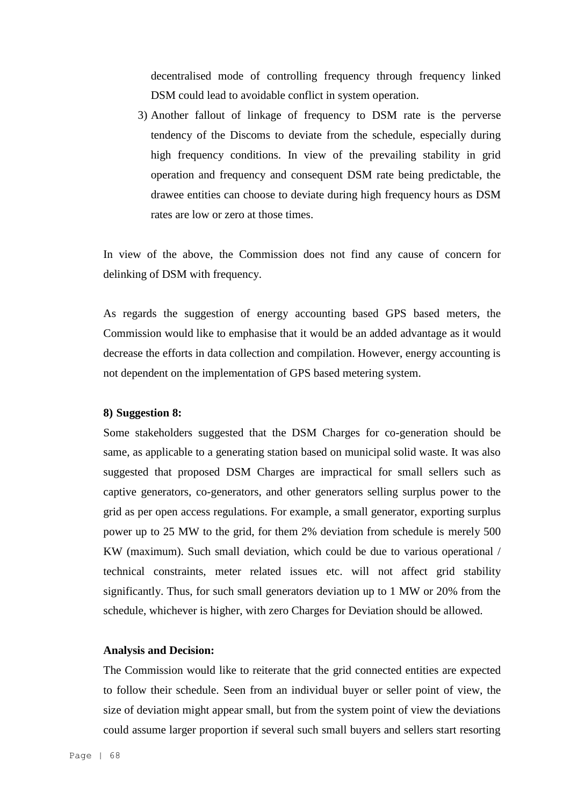decentralised mode of controlling frequency through frequency linked DSM could lead to avoidable conflict in system operation.

3) Another fallout of linkage of frequency to DSM rate is the perverse tendency of the Discoms to deviate from the schedule, especially during high frequency conditions. In view of the prevailing stability in grid operation and frequency and consequent DSM rate being predictable, the drawee entities can choose to deviate during high frequency hours as DSM rates are low or zero at those times.

In view of the above, the Commission does not find any cause of concern for delinking of DSM with frequency.

As regards the suggestion of energy accounting based GPS based meters, the Commission would like to emphasise that it would be an added advantage as it would decrease the efforts in data collection and compilation. However, energy accounting is not dependent on the implementation of GPS based metering system.

### **8) Suggestion 8:**

Some stakeholders suggested that the DSM Charges for co-generation should be same, as applicable to a generating station based on municipal solid waste. It was also suggested that proposed DSM Charges are impractical for small sellers such as captive generators, co-generators, and other generators selling surplus power to the grid as per open access regulations. For example, a small generator, exporting surplus power up to 25 MW to the grid, for them 2% deviation from schedule is merely 500 KW (maximum). Such small deviation, which could be due to various operational / technical constraints, meter related issues etc. will not affect grid stability significantly. Thus, for such small generators deviation up to 1 MW or 20% from the schedule, whichever is higher, with zero Charges for Deviation should be allowed.

### **Analysis and Decision:**

The Commission would like to reiterate that the grid connected entities are expected to follow their schedule. Seen from an individual buyer or seller point of view, the size of deviation might appear small, but from the system point of view the deviations could assume larger proportion if several such small buyers and sellers start resorting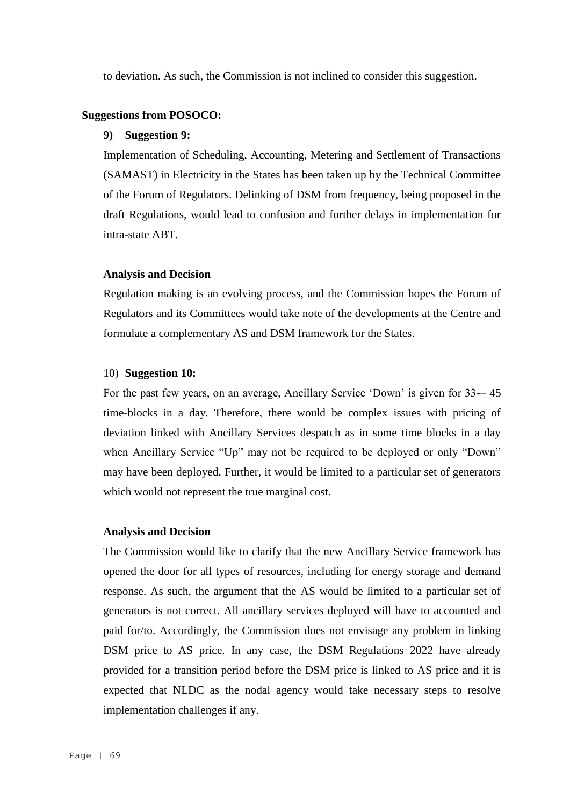to deviation. As such, the Commission is not inclined to consider this suggestion.

### **Suggestions from POSOCO:**

### **9) Suggestion 9:**

Implementation of Scheduling, Accounting, Metering and Settlement of Transactions (SAMAST) in Electricity in the States has been taken up by the Technical Committee of the Forum of Regulators. Delinking of DSM from frequency, being proposed in the draft Regulations, would lead to confusion and further delays in implementation for intra-state ABT.

#### **Analysis and Decision**

Regulation making is an evolving process, and the Commission hopes the Forum of Regulators and its Committees would take note of the developments at the Centre and formulate a complementary AS and DSM framework for the States.

#### 10) **Suggestion 10:**

For the past few years, on an average, Ancillary Service 'Down' is given for 33-– 45 time-blocks in a day. Therefore, there would be complex issues with pricing of deviation linked with Ancillary Services despatch as in some time blocks in a day when Ancillary Service "Up" may not be required to be deployed or only "Down" may have been deployed. Further, it would be limited to a particular set of generators which would not represent the true marginal cost.

#### **Analysis and Decision**

The Commission would like to clarify that the new Ancillary Service framework has opened the door for all types of resources, including for energy storage and demand response. As such, the argument that the AS would be limited to a particular set of generators is not correct. All ancillary services deployed will have to accounted and paid for/to. Accordingly, the Commission does not envisage any problem in linking DSM price to AS price. In any case, the DSM Regulations 2022 have already provided for a transition period before the DSM price is linked to AS price and it is expected that NLDC as the nodal agency would take necessary steps to resolve implementation challenges if any.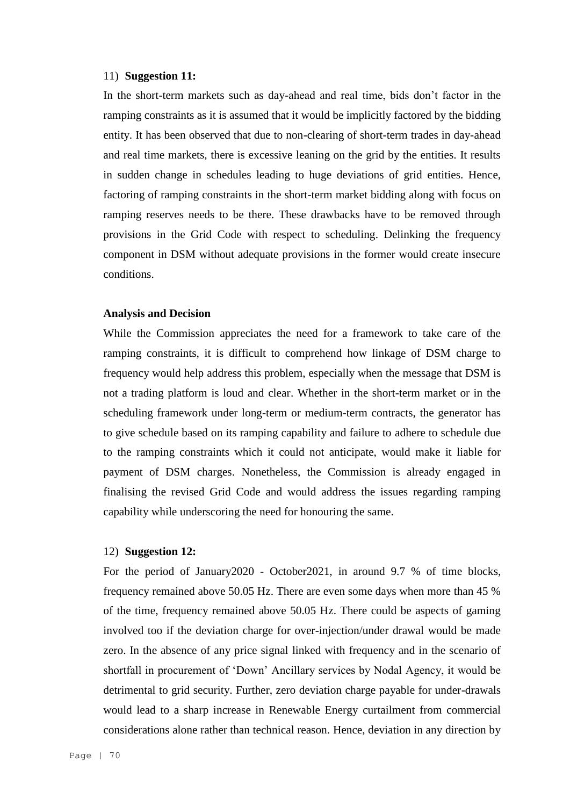### 11) **Suggestion 11:**

In the short-term markets such as day-ahead and real time, bids don't factor in the ramping constraints as it is assumed that it would be implicitly factored by the bidding entity. It has been observed that due to non-clearing of short-term trades in day-ahead and real time markets, there is excessive leaning on the grid by the entities. It results in sudden change in schedules leading to huge deviations of grid entities. Hence, factoring of ramping constraints in the short-term market bidding along with focus on ramping reserves needs to be there. These drawbacks have to be removed through provisions in the Grid Code with respect to scheduling. Delinking the frequency component in DSM without adequate provisions in the former would create insecure conditions.

#### **Analysis and Decision**

While the Commission appreciates the need for a framework to take care of the ramping constraints, it is difficult to comprehend how linkage of DSM charge to frequency would help address this problem, especially when the message that DSM is not a trading platform is loud and clear. Whether in the short-term market or in the scheduling framework under long-term or medium-term contracts, the generator has to give schedule based on its ramping capability and failure to adhere to schedule due to the ramping constraints which it could not anticipate, would make it liable for payment of DSM charges. Nonetheless, the Commission is already engaged in finalising the revised Grid Code and would address the issues regarding ramping capability while underscoring the need for honouring the same.

### 12) **Suggestion 12:**

For the period of January2020 - October2021, in around 9.7 % of time blocks, frequency remained above 50.05 Hz. There are even some days when more than 45 % of the time, frequency remained above 50.05 Hz. There could be aspects of gaming involved too if the deviation charge for over-injection/under drawal would be made zero. In the absence of any price signal linked with frequency and in the scenario of shortfall in procurement of 'Down' Ancillary services by Nodal Agency, it would be detrimental to grid security. Further, zero deviation charge payable for under-drawals would lead to a sharp increase in Renewable Energy curtailment from commercial considerations alone rather than technical reason. Hence, deviation in any direction by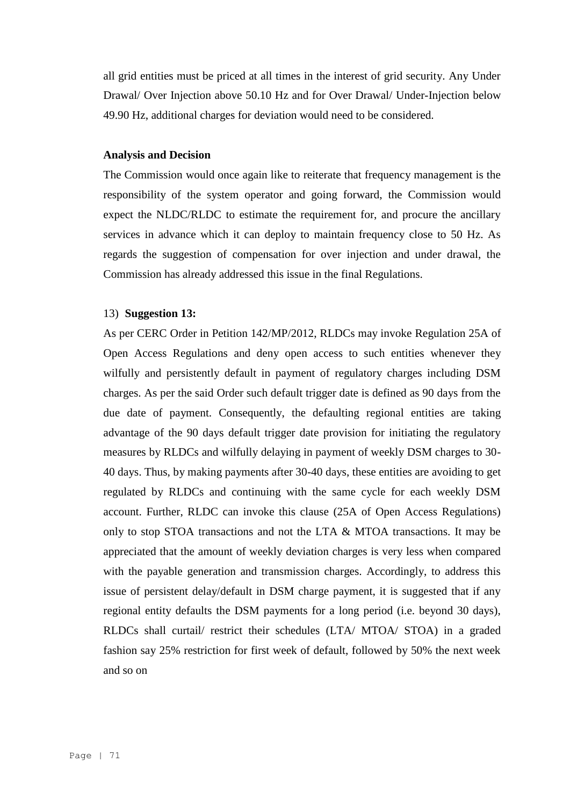all grid entities must be priced at all times in the interest of grid security. Any Under Drawal/ Over Injection above 50.10 Hz and for Over Drawal/ Under-Injection below 49.90 Hz, additional charges for deviation would need to be considered.

#### **Analysis and Decision**

The Commission would once again like to reiterate that frequency management is the responsibility of the system operator and going forward, the Commission would expect the NLDC/RLDC to estimate the requirement for, and procure the ancillary services in advance which it can deploy to maintain frequency close to 50 Hz. As regards the suggestion of compensation for over injection and under drawal, the Commission has already addressed this issue in the final Regulations.

### 13) **Suggestion 13:**

As per CERC Order in Petition 142/MP/2012, RLDCs may invoke Regulation 25A of Open Access Regulations and deny open access to such entities whenever they wilfully and persistently default in payment of regulatory charges including DSM charges. As per the said Order such default trigger date is defined as 90 days from the due date of payment. Consequently, the defaulting regional entities are taking advantage of the 90 days default trigger date provision for initiating the regulatory measures by RLDCs and wilfully delaying in payment of weekly DSM charges to 30- 40 days. Thus, by making payments after 30-40 days, these entities are avoiding to get regulated by RLDCs and continuing with the same cycle for each weekly DSM account. Further, RLDC can invoke this clause (25A of Open Access Regulations) only to stop STOA transactions and not the LTA & MTOA transactions. It may be appreciated that the amount of weekly deviation charges is very less when compared with the payable generation and transmission charges. Accordingly, to address this issue of persistent delay/default in DSM charge payment, it is suggested that if any regional entity defaults the DSM payments for a long period (i.e. beyond 30 days), RLDCs shall curtail/ restrict their schedules (LTA/ MTOA/ STOA) in a graded fashion say 25% restriction for first week of default, followed by 50% the next week and so on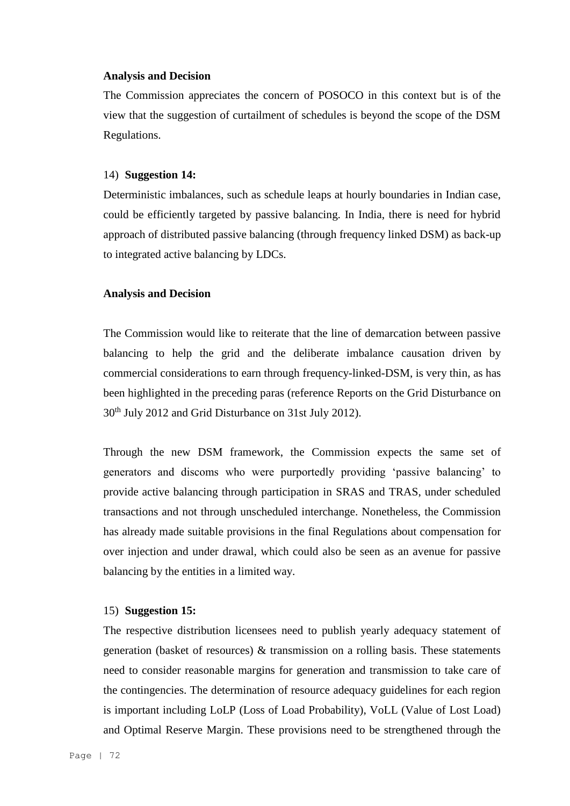### **Analysis and Decision**

The Commission appreciates the concern of POSOCO in this context but is of the view that the suggestion of curtailment of schedules is beyond the scope of the DSM Regulations.

### 14) **Suggestion 14:**

Deterministic imbalances, such as schedule leaps at hourly boundaries in Indian case, could be efficiently targeted by passive balancing. In India, there is need for hybrid approach of distributed passive balancing (through frequency linked DSM) as back-up to integrated active balancing by LDCs.

### **Analysis and Decision**

The Commission would like to reiterate that the line of demarcation between passive balancing to help the grid and the deliberate imbalance causation driven by commercial considerations to earn through frequency-linked-DSM, is very thin, as has been highlighted in the preceding paras (reference Reports on the Grid Disturbance on 30th July 2012 and Grid Disturbance on 31st July 2012).

Through the new DSM framework, the Commission expects the same set of generators and discoms who were purportedly providing 'passive balancing' to provide active balancing through participation in SRAS and TRAS, under scheduled transactions and not through unscheduled interchange. Nonetheless, the Commission has already made suitable provisions in the final Regulations about compensation for over injection and under drawal, which could also be seen as an avenue for passive balancing by the entities in a limited way.

#### 15) **Suggestion 15:**

The respective distribution licensees need to publish yearly adequacy statement of generation (basket of resources) & transmission on a rolling basis. These statements need to consider reasonable margins for generation and transmission to take care of the contingencies. The determination of resource adequacy guidelines for each region is important including LoLP (Loss of Load Probability), VoLL (Value of Lost Load) and Optimal Reserve Margin. These provisions need to be strengthened through the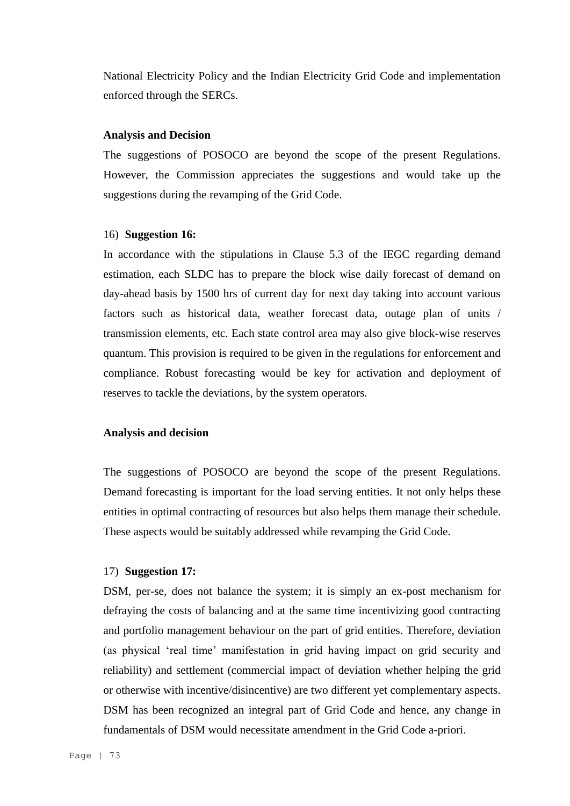National Electricity Policy and the Indian Electricity Grid Code and implementation enforced through the SERCs.

## **Analysis and Decision**

The suggestions of POSOCO are beyond the scope of the present Regulations. However, the Commission appreciates the suggestions and would take up the suggestions during the revamping of the Grid Code.

## 16) **Suggestion 16:**

In accordance with the stipulations in Clause 5.3 of the IEGC regarding demand estimation, each SLDC has to prepare the block wise daily forecast of demand on day-ahead basis by 1500 hrs of current day for next day taking into account various factors such as historical data, weather forecast data, outage plan of units / transmission elements, etc. Each state control area may also give block-wise reserves quantum. This provision is required to be given in the regulations for enforcement and compliance. Robust forecasting would be key for activation and deployment of reserves to tackle the deviations, by the system operators.

### **Analysis and decision**

The suggestions of POSOCO are beyond the scope of the present Regulations. Demand forecasting is important for the load serving entities. It not only helps these entities in optimal contracting of resources but also helps them manage their schedule. These aspects would be suitably addressed while revamping the Grid Code.

## 17) **Suggestion 17:**

DSM, per-se, does not balance the system; it is simply an ex-post mechanism for defraying the costs of balancing and at the same time incentivizing good contracting and portfolio management behaviour on the part of grid entities. Therefore, deviation (as physical 'real time' manifestation in grid having impact on grid security and reliability) and settlement (commercial impact of deviation whether helping the grid or otherwise with incentive/disincentive) are two different yet complementary aspects. DSM has been recognized an integral part of Grid Code and hence, any change in fundamentals of DSM would necessitate amendment in the Grid Code a-priori.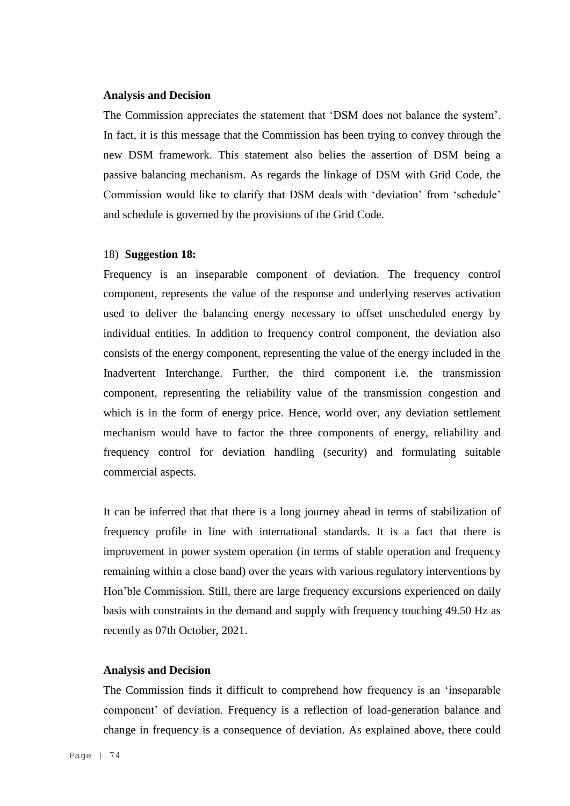#### **Analysis and Decision**

The Commission appreciates the statement that 'DSM does not balance the system'. In fact, it is this message that the Commission has been trying to convey through the new DSM framework. This statement also belies the assertion of DSM being a passive balancing mechanism. As regards the linkage of DSM with Grid Code, the Commission would like to clarify that DSM deals with 'deviation' from 'schedule' and schedule is governed by the provisions of the Grid Code.

#### 18) **Suggestion 18:**

Frequency is an inseparable component of deviation. The frequency control component, represents the value of the response and underlying reserves activation used to deliver the balancing energy necessary to offset unscheduled energy by individual entities. In addition to frequency control component, the deviation also consists of the energy component, representing the value of the energy included in the Inadvertent Interchange. Further, the third component i.e. the transmission component, representing the reliability value of the transmission congestion and which is in the form of energy price. Hence, world over, any deviation settlement mechanism would have to factor the three components of energy, reliability and frequency control for deviation handling (security) and formulating suitable commercial aspects.

It can be inferred that that there is a long journey ahead in terms of stabilization of frequency profile in line with international standards. It is a fact that there is improvement in power system operation (in terms of stable operation and frequency remaining within a close band) over the years with various regulatory interventions by Hon'ble Commission. Still, there are large frequency excursions experienced on daily basis with constraints in the demand and supply with frequency touching 49.50 Hz as recently as 07th October, 2021.

#### **Analysis and Decision**

The Commission finds it difficult to comprehend how frequency is an 'inseparable component' of deviation. Frequency is a reflection of load-generation balance and change in frequency is a consequence of deviation. As explained above, there could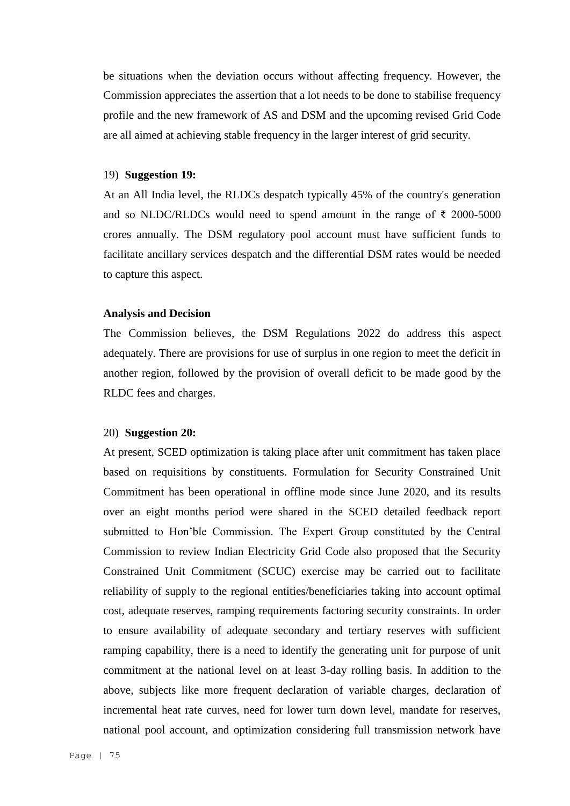be situations when the deviation occurs without affecting frequency. However, the Commission appreciates the assertion that a lot needs to be done to stabilise frequency profile and the new framework of AS and DSM and the upcoming revised Grid Code are all aimed at achieving stable frequency in the larger interest of grid security.

#### 19) **Suggestion 19:**

At an All India level, the RLDCs despatch typically 45% of the country's generation and so NLDC/RLDCs would need to spend amount in the range of  $\bar{\tau}$  2000-5000 crores annually. The DSM regulatory pool account must have sufficient funds to facilitate ancillary services despatch and the differential DSM rates would be needed to capture this aspect.

#### **Analysis and Decision**

The Commission believes, the DSM Regulations 2022 do address this aspect adequately. There are provisions for use of surplus in one region to meet the deficit in another region, followed by the provision of overall deficit to be made good by the RLDC fees and charges.

#### 20) **Suggestion 20:**

At present, SCED optimization is taking place after unit commitment has taken place based on requisitions by constituents. Formulation for Security Constrained Unit Commitment has been operational in offline mode since June 2020, and its results over an eight months period were shared in the SCED detailed feedback report submitted to Hon'ble Commission. The Expert Group constituted by the Central Commission to review Indian Electricity Grid Code also proposed that the Security Constrained Unit Commitment (SCUC) exercise may be carried out to facilitate reliability of supply to the regional entities/beneficiaries taking into account optimal cost, adequate reserves, ramping requirements factoring security constraints. In order to ensure availability of adequate secondary and tertiary reserves with sufficient ramping capability, there is a need to identify the generating unit for purpose of unit commitment at the national level on at least 3-day rolling basis. In addition to the above, subjects like more frequent declaration of variable charges, declaration of incremental heat rate curves, need for lower turn down level, mandate for reserves, national pool account, and optimization considering full transmission network have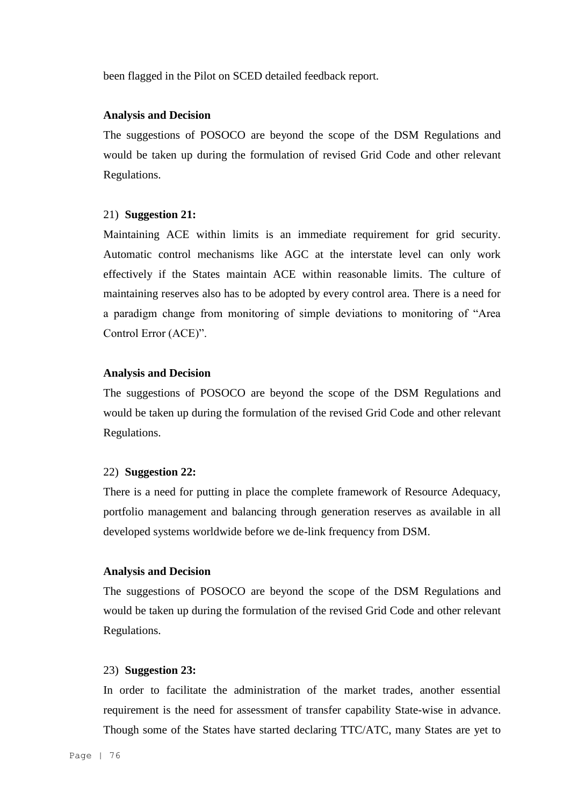been flagged in the Pilot on SCED detailed feedback report.

#### **Analysis and Decision**

The suggestions of POSOCO are beyond the scope of the DSM Regulations and would be taken up during the formulation of revised Grid Code and other relevant Regulations.

## 21) **Suggestion 21:**

Maintaining ACE within limits is an immediate requirement for grid security. Automatic control mechanisms like AGC at the interstate level can only work effectively if the States maintain ACE within reasonable limits. The culture of maintaining reserves also has to be adopted by every control area. There is a need for a paradigm change from monitoring of simple deviations to monitoring of "Area Control Error (ACE)".

#### **Analysis and Decision**

The suggestions of POSOCO are beyond the scope of the DSM Regulations and would be taken up during the formulation of the revised Grid Code and other relevant Regulations.

#### 22) **Suggestion 22:**

There is a need for putting in place the complete framework of Resource Adequacy, portfolio management and balancing through generation reserves as available in all developed systems worldwide before we de-link frequency from DSM.

### **Analysis and Decision**

The suggestions of POSOCO are beyond the scope of the DSM Regulations and would be taken up during the formulation of the revised Grid Code and other relevant Regulations.

### 23) **Suggestion 23:**

In order to facilitate the administration of the market trades, another essential requirement is the need for assessment of transfer capability State-wise in advance. Though some of the States have started declaring TTC/ATC, many States are yet to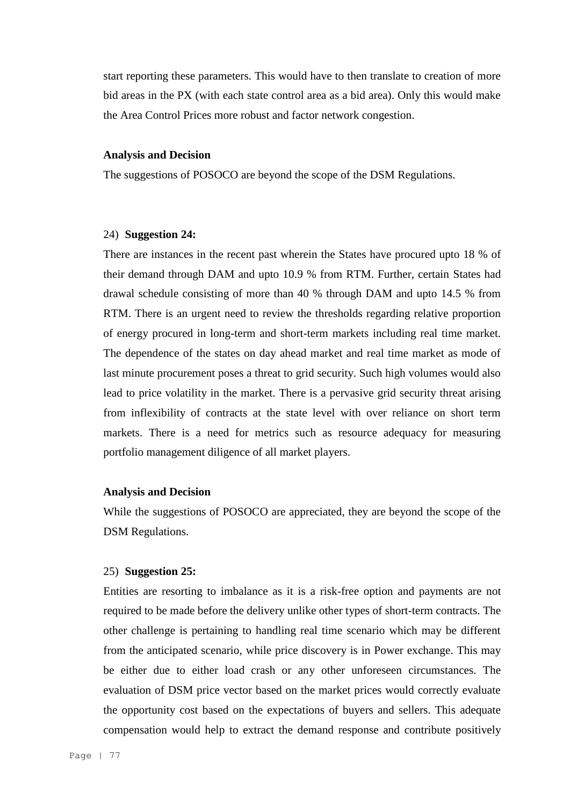start reporting these parameters. This would have to then translate to creation of more bid areas in the PX (with each state control area as a bid area). Only this would make the Area Control Prices more robust and factor network congestion.

#### **Analysis and Decision**

The suggestions of POSOCO are beyond the scope of the DSM Regulations.

## 24) **Suggestion 24:**

There are instances in the recent past wherein the States have procured upto 18 % of their demand through DAM and upto 10.9 % from RTM. Further, certain States had drawal schedule consisting of more than 40 % through DAM and upto 14.5 % from RTM. There is an urgent need to review the thresholds regarding relative proportion of energy procured in long-term and short-term markets including real time market. The dependence of the states on day ahead market and real time market as mode of last minute procurement poses a threat to grid security. Such high volumes would also lead to price volatility in the market. There is a pervasive grid security threat arising from inflexibility of contracts at the state level with over reliance on short term markets. There is a need for metrics such as resource adequacy for measuring portfolio management diligence of all market players.

## **Analysis and Decision**

While the suggestions of POSOCO are appreciated, they are beyond the scope of the DSM Regulations.

## 25) **Suggestion 25:**

Entities are resorting to imbalance as it is a risk-free option and payments are not required to be made before the delivery unlike other types of short-term contracts. The other challenge is pertaining to handling real time scenario which may be different from the anticipated scenario, while price discovery is in Power exchange. This may be either due to either load crash or any other unforeseen circumstances. The evaluation of DSM price vector based on the market prices would correctly evaluate the opportunity cost based on the expectations of buyers and sellers. This adequate compensation would help to extract the demand response and contribute positively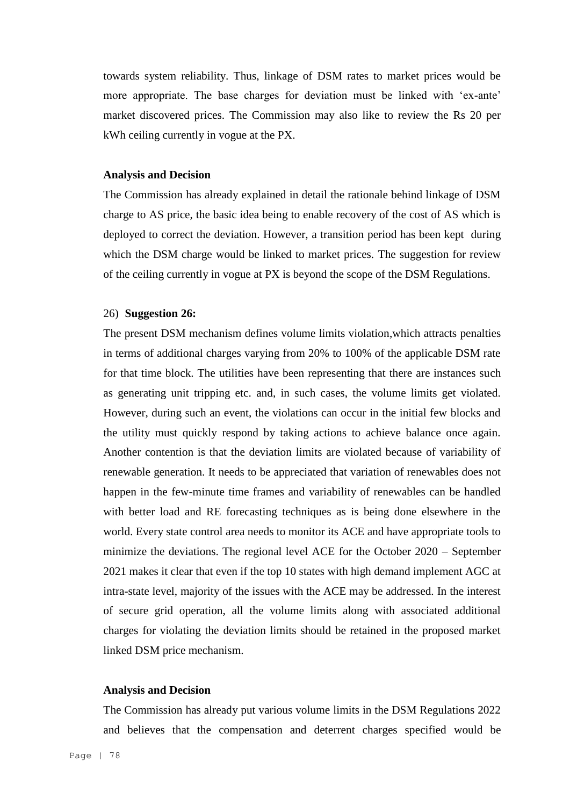towards system reliability. Thus, linkage of DSM rates to market prices would be more appropriate. The base charges for deviation must be linked with 'ex-ante' market discovered prices. The Commission may also like to review the Rs 20 per kWh ceiling currently in vogue at the PX.

### **Analysis and Decision**

The Commission has already explained in detail the rationale behind linkage of DSM charge to AS price, the basic idea being to enable recovery of the cost of AS which is deployed to correct the deviation. However, a transition period has been kept during which the DSM charge would be linked to market prices. The suggestion for review of the ceiling currently in vogue at PX is beyond the scope of the DSM Regulations.

## 26) **Suggestion 26:**

The present DSM mechanism defines volume limits violation,which attracts penalties in terms of additional charges varying from 20% to 100% of the applicable DSM rate for that time block. The utilities have been representing that there are instances such as generating unit tripping etc. and, in such cases, the volume limits get violated. However, during such an event, the violations can occur in the initial few blocks and the utility must quickly respond by taking actions to achieve balance once again. Another contention is that the deviation limits are violated because of variability of renewable generation. It needs to be appreciated that variation of renewables does not happen in the few-minute time frames and variability of renewables can be handled with better load and RE forecasting techniques as is being done elsewhere in the world. Every state control area needs to monitor its ACE and have appropriate tools to minimize the deviations. The regional level ACE for the October 2020 – September 2021 makes it clear that even if the top 10 states with high demand implement AGC at intra-state level, majority of the issues with the ACE may be addressed. In the interest of secure grid operation, all the volume limits along with associated additional charges for violating the deviation limits should be retained in the proposed market linked DSM price mechanism.

#### **Analysis and Decision**

The Commission has already put various volume limits in the DSM Regulations 2022 and believes that the compensation and deterrent charges specified would be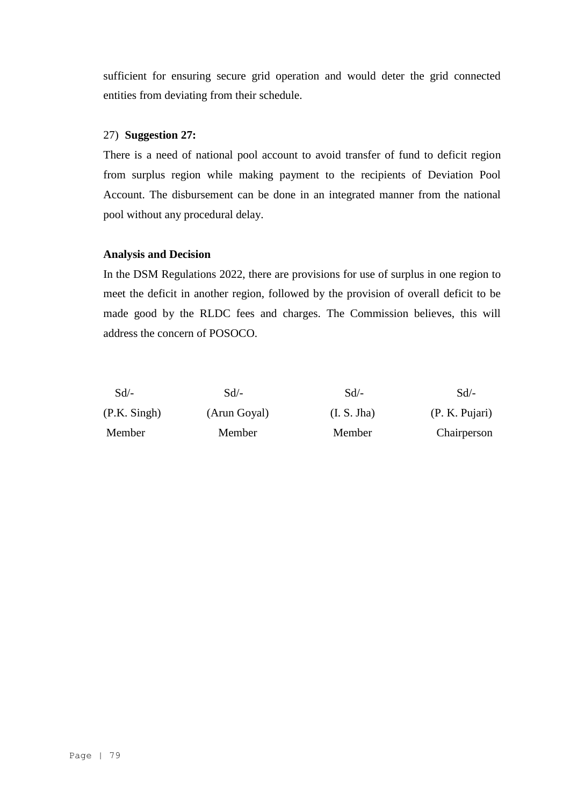sufficient for ensuring secure grid operation and would deter the grid connected entities from deviating from their schedule.

## 27) **Suggestion 27:**

There is a need of national pool account to avoid transfer of fund to deficit region from surplus region while making payment to the recipients of Deviation Pool Account. The disbursement can be done in an integrated manner from the national pool without any procedural delay.

## **Analysis and Decision**

In the DSM Regulations 2022, there are provisions for use of surplus in one region to meet the deficit in another region, followed by the provision of overall deficit to be made good by the RLDC fees and charges. The Commission believes, this will address the concern of POSOCO.

| $Sd/-$       | Sd/-         | $Sd/-$      | $Sd/-$         |
|--------------|--------------|-------------|----------------|
| (P.K. Singh) | (Arun Goyal) | (I. S. Jha) | (P. K. Pujari) |
| Member       | Member       | Member      | Chairperson    |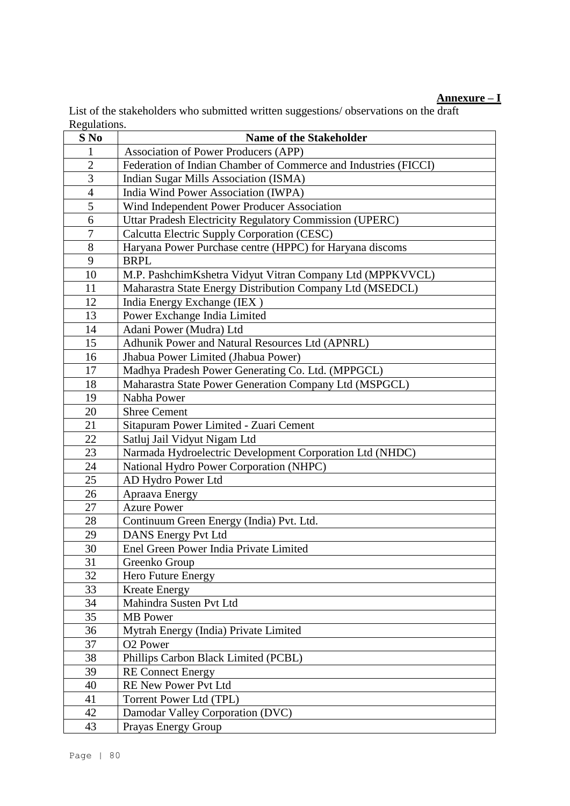## **Annexure – I**

List of the stakeholders who submitted written suggestions/ observations on the draft Regulations.

| S No           | <b>Name of the Stakeholder</b>                                  |
|----------------|-----------------------------------------------------------------|
|                | Association of Power Producers (APP)                            |
| $\overline{2}$ | Federation of Indian Chamber of Commerce and Industries (FICCI) |
| 3              | Indian Sugar Mills Association (ISMA)                           |
| $\overline{4}$ | India Wind Power Association (IWPA)                             |
| 5              | Wind Independent Power Producer Association                     |
| 6              | Uttar Pradesh Electricity Regulatory Commission (UPERC)         |
| 7              | Calcutta Electric Supply Corporation (CESC)                     |
| 8              | Haryana Power Purchase centre (HPPC) for Haryana discoms        |
| 9              | <b>BRPL</b>                                                     |
| 10             | M.P. PashchimKshetra Vidyut Vitran Company Ltd (MPPKVVCL)       |
| 11             | Maharastra State Energy Distribution Company Ltd (MSEDCL)       |
| 12             | India Energy Exchange (IEX)                                     |
| 13             | Power Exchange India Limited                                    |
| 14             | Adani Power (Mudra) Ltd                                         |
| 15             | Adhunik Power and Natural Resources Ltd (APNRL)                 |
| 16             | Jhabua Power Limited (Jhabua Power)                             |
| 17             | Madhya Pradesh Power Generating Co. Ltd. (MPPGCL)               |
| 18             | Maharastra State Power Generation Company Ltd (MSPGCL)          |
| 19             | Nabha Power                                                     |
| 20             | <b>Shree Cement</b>                                             |
| 21             | Sitapuram Power Limited - Zuari Cement                          |
| 22             | Satluj Jail Vidyut Nigam Ltd                                    |
| 23             | Narmada Hydroelectric Development Corporation Ltd (NHDC)        |
| 24             | National Hydro Power Corporation (NHPC)                         |
| 25             | AD Hydro Power Ltd                                              |
| 26             | Apraava Energy                                                  |
| 27             | <b>Azure Power</b>                                              |
| 28             | Continuum Green Energy (India) Pvt. Ltd.                        |
| 29             | DANS Energy Pvt Ltd                                             |
| 30             | Enel Green Power India Private Limited                          |
| 31             | Greenko Group                                                   |
| 32             | Hero Future Energy                                              |
| 33             | <b>Kreate Energy</b>                                            |
| 34             | Mahindra Susten Pvt Ltd                                         |
| 35             | <b>MB</b> Power                                                 |
| 36             | Mytrah Energy (India) Private Limited                           |
| 37             | O <sub>2</sub> Power                                            |
| 38             | Phillips Carbon Black Limited (PCBL)                            |
| 39             | <b>RE Connect Energy</b>                                        |
| 40             | <b>RE New Power Pvt Ltd</b>                                     |
| 41             | Torrent Power Ltd (TPL)                                         |
| 42             | Damodar Valley Corporation (DVC)                                |
| 43             | Prayas Energy Group                                             |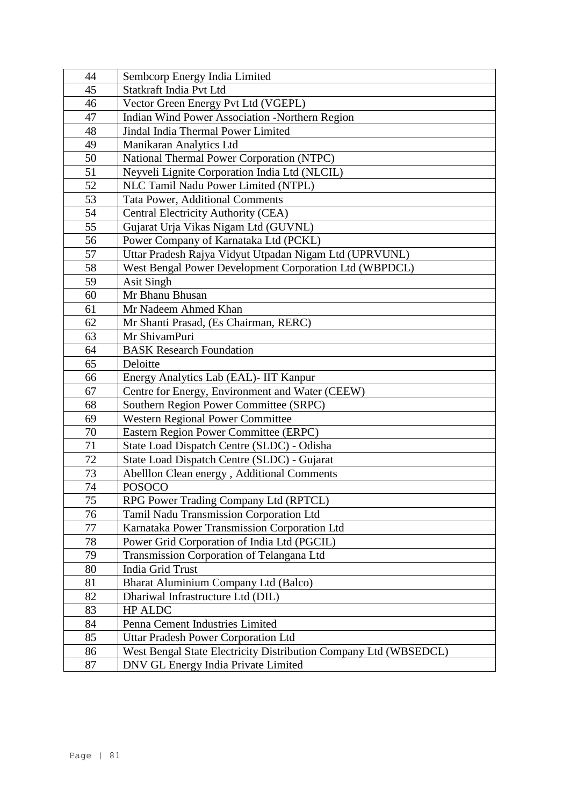| 44 | Sembcorp Energy India Limited                                    |
|----|------------------------------------------------------------------|
| 45 | Statkraft India Pvt Ltd                                          |
| 46 | Vector Green Energy Pvt Ltd (VGEPL)                              |
| 47 | Indian Wind Power Association -Northern Region                   |
| 48 | Jindal India Thermal Power Limited                               |
| 49 | Manikaran Analytics Ltd                                          |
| 50 | National Thermal Power Corporation (NTPC)                        |
| 51 | Neyveli Lignite Corporation India Ltd (NLCIL)                    |
| 52 | NLC Tamil Nadu Power Limited (NTPL)                              |
| 53 | <b>Tata Power, Additional Comments</b>                           |
| 54 | Central Electricity Authority (CEA)                              |
| 55 | Gujarat Urja Vikas Nigam Ltd (GUVNL)                             |
| 56 | Power Company of Karnataka Ltd (PCKL)                            |
| 57 | Uttar Pradesh Rajya Vidyut Utpadan Nigam Ltd (UPRVUNL)           |
| 58 | West Bengal Power Development Corporation Ltd (WBPDCL)           |
| 59 | <b>Asit Singh</b>                                                |
| 60 | Mr Bhanu Bhusan                                                  |
| 61 | Mr Nadeem Ahmed Khan                                             |
| 62 | Mr Shanti Prasad, (Es Chairman, RERC)                            |
| 63 | Mr ShivamPuri                                                    |
| 64 | <b>BASK Research Foundation</b>                                  |
| 65 | Deloitte                                                         |
| 66 | Energy Analytics Lab (EAL)- IIT Kanpur                           |
| 67 | Centre for Energy, Environment and Water (CEEW)                  |
| 68 | Southern Region Power Committee (SRPC)                           |
| 69 | <b>Western Regional Power Committee</b>                          |
| 70 | Eastern Region Power Committee (ERPC)                            |
| 71 | State Load Dispatch Centre (SLDC) - Odisha                       |
| 72 | State Load Dispatch Centre (SLDC) - Gujarat                      |
| 73 | Abelllon Clean energy, Additional Comments                       |
| 74 | <b>POSOCO</b>                                                    |
| 75 | RPG Power Trading Company Ltd (RPTCL)                            |
| 76 | Tamil Nadu Transmission Corporation Ltd                          |
| 77 | Karnataka Power Transmission Corporation Ltd                     |
| 78 | Power Grid Corporation of India Ltd (PGCIL)                      |
| 79 | Transmission Corporation of Telangana Ltd                        |
| 80 | India Grid Trust                                                 |
| 81 | Bharat Aluminium Company Ltd (Balco)                             |
| 82 | Dhariwal Infrastructure Ltd (DIL)                                |
| 83 | <b>HP ALDC</b>                                                   |
| 84 | Penna Cement Industries Limited                                  |
| 85 | <b>Uttar Pradesh Power Corporation Ltd</b>                       |
| 86 | West Bengal State Electricity Distribution Company Ltd (WBSEDCL) |
| 87 | DNV GL Energy India Private Limited                              |